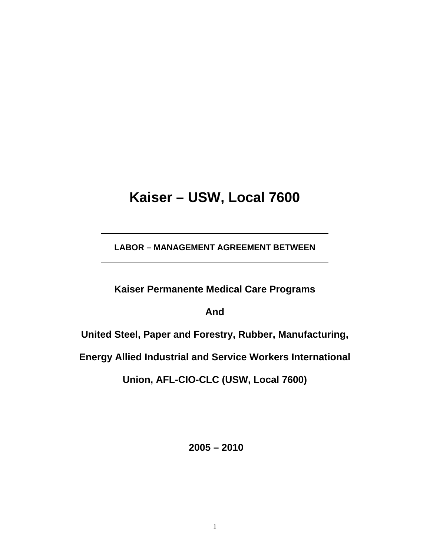# **Kaiser – USW, Local 7600**

**LABOR – MANAGEMENT AGREEMENT BETWEEN** 

**Kaiser Permanente Medical Care Programs** 

**And** 

**United Steel, Paper and Forestry, Rubber, Manufacturing,** 

**Energy Allied Industrial and Service Workers International** 

**Union, AFL-CIO-CLC (USW, Local 7600)** 

 **2005 – 2010**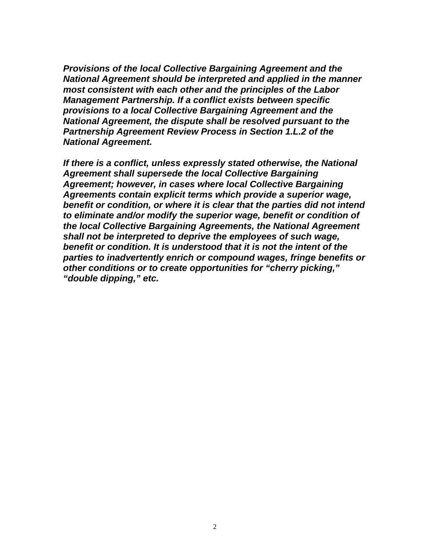*Provisions of the local Collective Bargaining Agreement and the National Agreement should be interpreted and applied in the manner most consistent with each other and the principles of the Labor Management Partnership. If a conflict exists between specific provisions to a local Collective Bargaining Agreement and the National Agreement, the dispute shall be resolved pursuant to the Partnership Agreement Review Process in Section 1.L.2 of the National Agreement.* 

*If there is a conflict, unless expressly stated otherwise, the National Agreement shall supersede the local Collective Bargaining Agreement; however, in cases where local Collective Bargaining Agreements contain explicit terms which provide a superior wage, benefit or condition, or where it is clear that the parties did not intend to eliminate and/or modify the superior wage, benefit or condition of the local Collective Bargaining Agreements, the National Agreement shall not be interpreted to deprive the employees of such wage, benefit or condition. It is understood that it is not the intent of the parties to inadvertently enrich or compound wages, fringe benefits or other conditions or to create opportunities for "cherry picking," "double dipping," etc.*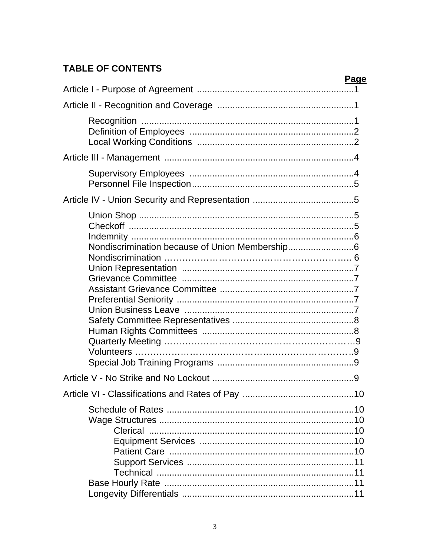# **TABLE OF CONTENTS**

| Page |
|------|
|      |
|      |
|      |
|      |
|      |
|      |
|      |
|      |
|      |
|      |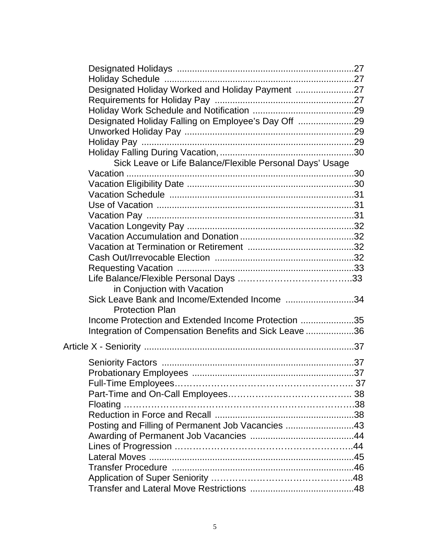| Designated Holiday Worked and Holiday Payment 27         |  |
|----------------------------------------------------------|--|
|                                                          |  |
|                                                          |  |
| Designated Holiday Falling on Employee's Day Off 29      |  |
|                                                          |  |
|                                                          |  |
|                                                          |  |
| Sick Leave or Life Balance/Flexible Personal Days' Usage |  |
|                                                          |  |
|                                                          |  |
|                                                          |  |
|                                                          |  |
|                                                          |  |
|                                                          |  |
|                                                          |  |
|                                                          |  |
|                                                          |  |
|                                                          |  |
|                                                          |  |
| in Conjuction with Vacation                              |  |
| Sick Leave Bank and Income/Extended Income 34            |  |
| <b>Protection Plan</b>                                   |  |
| Income Protection and Extended Income Protection 35      |  |
| Integration of Compensation Benefits and Sick Leave 36   |  |
|                                                          |  |
|                                                          |  |
|                                                          |  |
|                                                          |  |
|                                                          |  |
|                                                          |  |
|                                                          |  |
|                                                          |  |
| Posting and Filling of Permanent Job Vacancies 43        |  |
|                                                          |  |
|                                                          |  |
|                                                          |  |
|                                                          |  |
|                                                          |  |
|                                                          |  |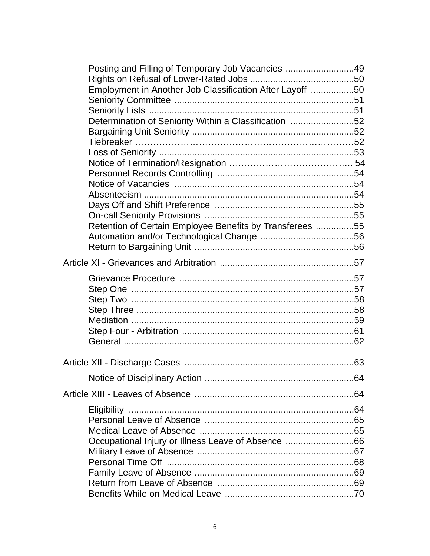| Posting and Filling of Temporary Job Vacancies 49        |  |
|----------------------------------------------------------|--|
|                                                          |  |
| Employment in Another Job Classification After Layoff 50 |  |
|                                                          |  |
|                                                          |  |
| Determination of Seniority Within a Classification 52    |  |
|                                                          |  |
|                                                          |  |
|                                                          |  |
|                                                          |  |
|                                                          |  |
|                                                          |  |
|                                                          |  |
|                                                          |  |
|                                                          |  |
| Retention of Certain Employee Benefits by Transferees 55 |  |
|                                                          |  |
|                                                          |  |
|                                                          |  |
|                                                          |  |
|                                                          |  |
|                                                          |  |
|                                                          |  |
|                                                          |  |
|                                                          |  |
|                                                          |  |
|                                                          |  |
|                                                          |  |
|                                                          |  |
|                                                          |  |
|                                                          |  |
|                                                          |  |
|                                                          |  |
| Occupational Injury or Illness Leave of Absence 66       |  |
|                                                          |  |
|                                                          |  |
|                                                          |  |
|                                                          |  |
|                                                          |  |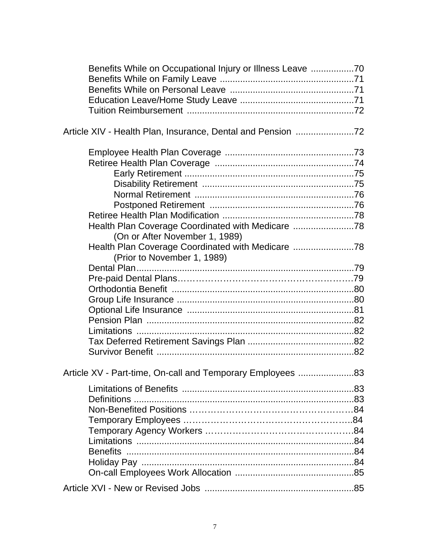| Benefits While on Occupational Injury or Illness Leave 70                                                                                                            |    |
|----------------------------------------------------------------------------------------------------------------------------------------------------------------------|----|
|                                                                                                                                                                      |    |
| Health Plan Coverage Coordinated with Medicare<br>(On or After November 1, 1989)<br>Health Plan Coverage Coordinated with Medicare 78<br>(Prior to November 1, 1989) |    |
|                                                                                                                                                                      |    |
|                                                                                                                                                                      |    |
| Article XV - Part-time, On-call and Temporary Employees                                                                                                              | 83 |
|                                                                                                                                                                      |    |
|                                                                                                                                                                      |    |
|                                                                                                                                                                      |    |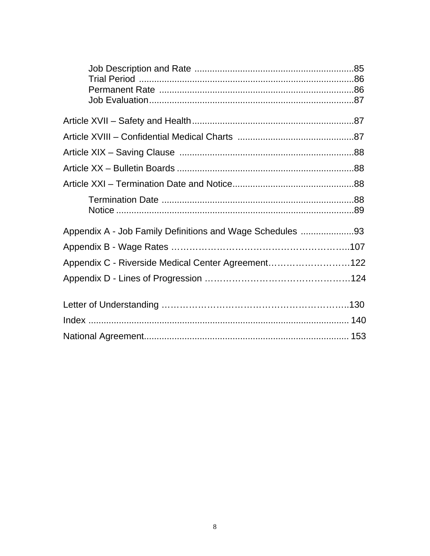| Appendix C - Riverside Medical Center Agreement122 |  |
|----------------------------------------------------|--|
|                                                    |  |
|                                                    |  |
|                                                    |  |
|                                                    |  |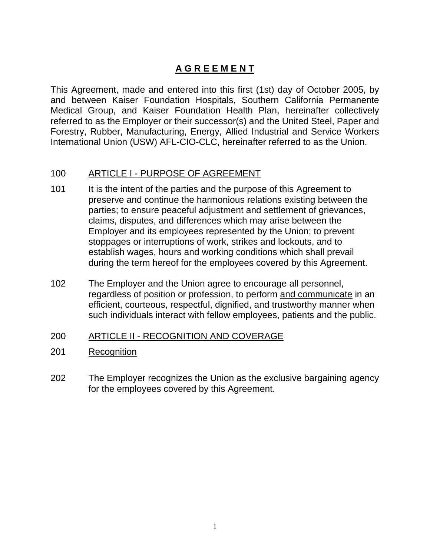# **A G R E E M E N T**

This Agreement, made and entered into this first (1st) day of October 2005, by and between Kaiser Foundation Hospitals, Southern California Permanente Medical Group, and Kaiser Foundation Health Plan, hereinafter collectively referred to as the Employer or their successor(s) and the United Steel, Paper and Forestry, Rubber, Manufacturing, Energy, Allied Industrial and Service Workers International Union (USW) AFL-CIO-CLC, hereinafter referred to as the Union.

# 100 ARTICLE I - PURPOSE OF AGREEMENT

- 101 It is the intent of the parties and the purpose of this Agreement to preserve and continue the harmonious relations existing between the parties; to ensure peaceful adjustment and settlement of grievances, claims, disputes, and differences which may arise between the Employer and its employees represented by the Union; to prevent stoppages or interruptions of work, strikes and lockouts, and to establish wages, hours and working conditions which shall prevail during the term hereof for the employees covered by this Agreement.
- 102 The Employer and the Union agree to encourage all personnel, regardless of position or profession, to perform and communicate in an efficient, courteous, respectful, dignified, and trustworthy manner when such individuals interact with fellow employees, patients and the public.

# 200 ARTICLE II - RECOGNITION AND COVERAGE

- 201 Recognition
- 202 The Employer recognizes the Union as the exclusive bargaining agency for the employees covered by this Agreement.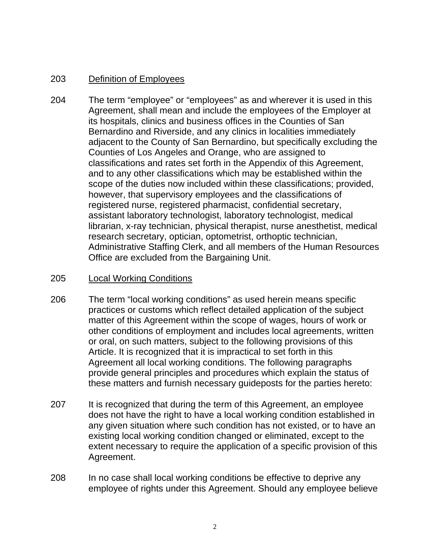# 203 Definition of Employees

204 The term "employee" or "employees" as and wherever it is used in this Agreement, shall mean and include the employees of the Employer at its hospitals, clinics and business offices in the Counties of San Bernardino and Riverside, and any clinics in localities immediately adjacent to the County of San Bernardino, but specifically excluding the Counties of Los Angeles and Orange, who are assigned to classifications and rates set forth in the Appendix of this Agreement, and to any other classifications which may be established within the scope of the duties now included within these classifications; provided, however, that supervisory employees and the classifications of registered nurse, registered pharmacist, confidential secretary, assistant laboratory technologist, laboratory technologist, medical librarian, x-ray technician, physical therapist, nurse anesthetist, medical research secretary, optician, optometrist, orthoptic technician, Administrative Staffing Clerk, and all members of the Human Resources Office are excluded from the Bargaining Unit.

# 205 Local Working Conditions

- 206 The term "local working conditions" as used herein means specific practices or customs which reflect detailed application of the subject matter of this Agreement within the scope of wages, hours of work or other conditions of employment and includes local agreements, written or oral, on such matters, subject to the following provisions of this Article. It is recognized that it is impractical to set forth in this Agreement all local working conditions. The following paragraphs provide general principles and procedures which explain the status of these matters and furnish necessary guideposts for the parties hereto:
- 207 It is recognized that during the term of this Agreement, an employee does not have the right to have a local working condition established in any given situation where such condition has not existed, or to have an existing local working condition changed or eliminated, except to the extent necessary to require the application of a specific provision of this Agreement.
- 208 In no case shall local working conditions be effective to deprive any employee of rights under this Agreement. Should any employee believe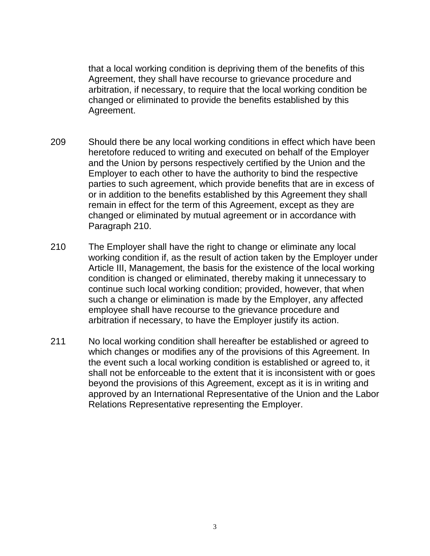that a local working condition is depriving them of the benefits of this Agreement, they shall have recourse to grievance procedure and arbitration, if necessary, to require that the local working condition be changed or eliminated to provide the benefits established by this Agreement.

- 209 Should there be any local working conditions in effect which have been heretofore reduced to writing and executed on behalf of the Employer and the Union by persons respectively certified by the Union and the Employer to each other to have the authority to bind the respective parties to such agreement, which provide benefits that are in excess of or in addition to the benefits established by this Agreement they shall remain in effect for the term of this Agreement, except as they are changed or eliminated by mutual agreement or in accordance with Paragraph 210.
- 210 The Employer shall have the right to change or eliminate any local working condition if, as the result of action taken by the Employer under Article III, Management, the basis for the existence of the local working condition is changed or eliminated, thereby making it unnecessary to continue such local working condition; provided, however, that when such a change or elimination is made by the Employer, any affected employee shall have recourse to the grievance procedure and arbitration if necessary, to have the Employer justify its action.
- 211 No local working condition shall hereafter be established or agreed to which changes or modifies any of the provisions of this Agreement. In the event such a local working condition is established or agreed to, it shall not be enforceable to the extent that it is inconsistent with or goes beyond the provisions of this Agreement, except as it is in writing and approved by an International Representative of the Union and the Labor Relations Representative representing the Employer.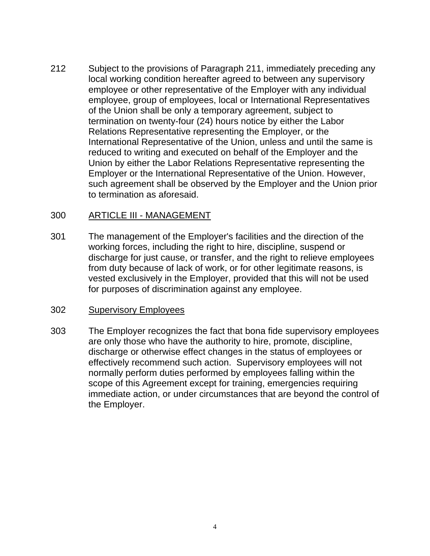212 Subject to the provisions of Paragraph 211, immediately preceding any local working condition hereafter agreed to between any supervisory employee or other representative of the Employer with any individual employee, group of employees, local or International Representatives of the Union shall be only a temporary agreement, subject to termination on twenty-four (24) hours notice by either the Labor Relations Representative representing the Employer, or the International Representative of the Union, unless and until the same is reduced to writing and executed on behalf of the Employer and the Union by either the Labor Relations Representative representing the Employer or the International Representative of the Union. However, such agreement shall be observed by the Employer and the Union prior to termination as aforesaid.

# 300 ARTICLE III - MANAGEMENT

301 The management of the Employer's facilities and the direction of the working forces, including the right to hire, discipline, suspend or discharge for just cause, or transfer, and the right to relieve employees from duty because of lack of work, or for other legitimate reasons, is vested exclusively in the Employer, provided that this will not be used for purposes of discrimination against any employee.

#### 302 Supervisory Employees

303 The Employer recognizes the fact that bona fide supervisory employees are only those who have the authority to hire, promote, discipline, discharge or otherwise effect changes in the status of employees or effectively recommend such action. Supervisory employees will not normally perform duties performed by employees falling within the scope of this Agreement except for training, emergencies requiring immediate action, or under circumstances that are beyond the control of the Employer.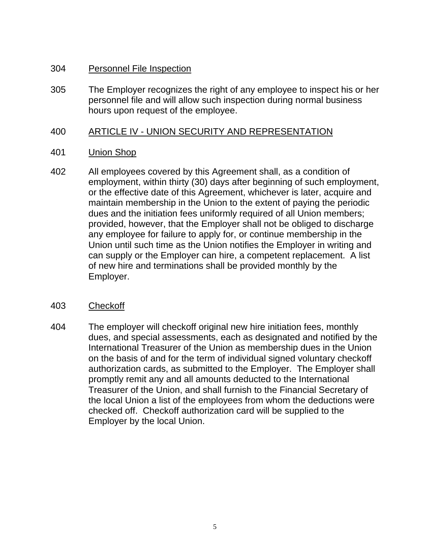# 304 Personnel File Inspection

305 The Employer recognizes the right of any employee to inspect his or her personnel file and will allow such inspection during normal business hours upon request of the employee.

# 400 ARTICLE IV - UNION SECURITY AND REPRESENTATION

# 401 Union Shop

402 All employees covered by this Agreement shall, as a condition of employment, within thirty (30) days after beginning of such employment, or the effective date of this Agreement, whichever is later, acquire and maintain membership in the Union to the extent of paying the periodic dues and the initiation fees uniformly required of all Union members; provided, however, that the Employer shall not be obliged to discharge any employee for failure to apply for, or continue membership in the Union until such time as the Union notifies the Employer in writing and can supply or the Employer can hire, a competent replacement. A list of new hire and terminations shall be provided monthly by the Employer.

# 403 Checkoff

404 The employer will checkoff original new hire initiation fees, monthly dues, and special assessments, each as designated and notified by the International Treasurer of the Union as membership dues in the Union on the basis of and for the term of individual signed voluntary checkoff authorization cards, as submitted to the Employer. The Employer shall promptly remit any and all amounts deducted to the International Treasurer of the Union, and shall furnish to the Financial Secretary of the local Union a list of the employees from whom the deductions were checked off. Checkoff authorization card will be supplied to the Employer by the local Union.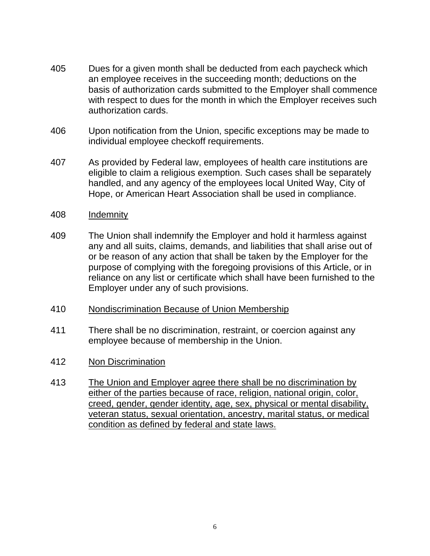- 405 Dues for a given month shall be deducted from each paycheck which an employee receives in the succeeding month; deductions on the basis of authorization cards submitted to the Employer shall commence with respect to dues for the month in which the Employer receives such authorization cards.
- 406 Upon notification from the Union, specific exceptions may be made to individual employee checkoff requirements.
- 407 As provided by Federal law, employees of health care institutions are eligible to claim a religious exemption. Such cases shall be separately handled, and any agency of the employees local United Way, City of Hope, or American Heart Association shall be used in compliance.
- 408 Indemnity
- 409 The Union shall indemnify the Employer and hold it harmless against any and all suits, claims, demands, and liabilities that shall arise out of or be reason of any action that shall be taken by the Employer for the purpose of complying with the foregoing provisions of this Article, or in reliance on any list or certificate which shall have been furnished to the Employer under any of such provisions.
- 410 Nondiscrimination Because of Union Membership
- 411 There shall be no discrimination, restraint, or coercion against any employee because of membership in the Union.
- 412 Non Discrimination
- 413 The Union and Employer agree there shall be no discrimination by either of the parties because of race, religion, national origin, color, creed, gender, gender identity, age, sex, physical or mental disability, veteran status, sexual orientation, ancestry, marital status, or medical condition as defined by federal and state laws.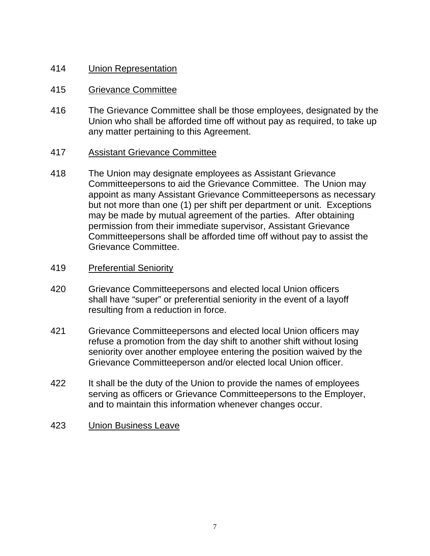# 414 Union Representation

# 415 Grievance Committee

416 The Grievance Committee shall be those employees, designated by the Union who shall be afforded time off without pay as required, to take up any matter pertaining to this Agreement.

# 417 Assistant Grievance Committee

418 The Union may designate employees as Assistant Grievance Committeepersons to aid the Grievance Committee. The Union may appoint as many Assistant Grievance Committeepersons as necessary but not more than one (1) per shift per department or unit. Exceptions may be made by mutual agreement of the parties. After obtaining permission from their immediate supervisor, Assistant Grievance Committeepersons shall be afforded time off without pay to assist the Grievance Committee.

# 419 Preferential Seniority

- 420 Grievance Committeepersons and elected local Union officers shall have "super" or preferential seniority in the event of a layoff resulting from a reduction in force.
- 421 Grievance Committeepersons and elected local Union officers may refuse a promotion from the day shift to another shift without losing seniority over another employee entering the position waived by the Grievance Committeeperson and/or elected local Union officer.
- 422 It shall be the duty of the Union to provide the names of employees serving as officers or Grievance Committeepersons to the Employer, and to maintain this information whenever changes occur.
- 423 Union Business Leave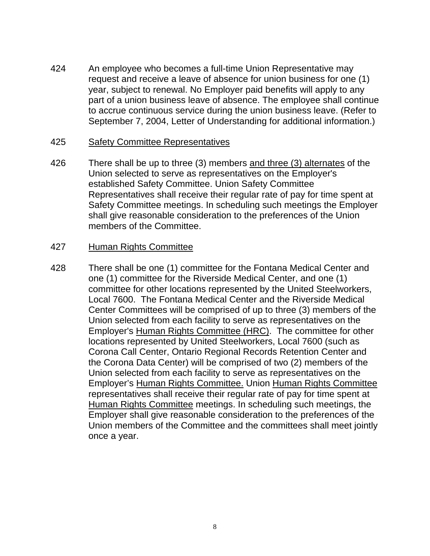424 An employee who becomes a full-time Union Representative may request and receive a leave of absence for union business for one (1) year, subject to renewal. No Employer paid benefits will apply to any part of a union business leave of absence. The employee shall continue to accrue continuous service during the union business leave. (Refer to September 7, 2004, Letter of Understanding for additional information.)

#### 425 Safety Committee Representatives

426 There shall be up to three (3) members and three (3) alternates of the Union selected to serve as representatives on the Employer's established Safety Committee. Union Safety Committee Representatives shall receive their regular rate of pay for time spent at Safety Committee meetings. In scheduling such meetings the Employer shall give reasonable consideration to the preferences of the Union members of the Committee.

# 427 Human Rights Committee

428 There shall be one (1) committee for the Fontana Medical Center and one (1) committee for the Riverside Medical Center, and one (1) committee for other locations represented by the United Steelworkers, Local 7600. The Fontana Medical Center and the Riverside Medical Center Committees will be comprised of up to three (3) members of the Union selected from each facility to serve as representatives on the Employer's Human Rights Committee (HRC). The committee for other locations represented by United Steelworkers, Local 7600 (such as Corona Call Center, Ontario Regional Records Retention Center and the Corona Data Center) will be comprised of two (2) members of the Union selected from each facility to serve as representatives on the Employer's Human Rights Committee. Union Human Rights Committee representatives shall receive their regular rate of pay for time spent at Human Rights Committee meetings. In scheduling such meetings, the Employer shall give reasonable consideration to the preferences of the Union members of the Committee and the committees shall meet jointly once a year.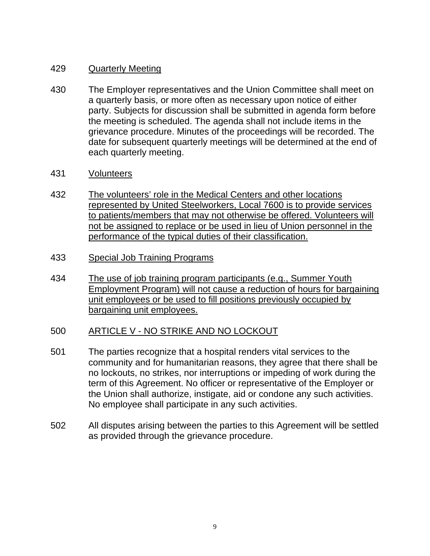# 429 Quarterly Meeting

- 430 The Employer representatives and the Union Committee shall meet on a quarterly basis, or more often as necessary upon notice of either party. Subjects for discussion shall be submitted in agenda form before the meeting is scheduled. The agenda shall not include items in the grievance procedure. Minutes of the proceedings will be recorded. The date for subsequent quarterly meetings will be determined at the end of each quarterly meeting.
- 431 Volunteers
- 432 The volunteers' role in the Medical Centers and other locations represented by United Steelworkers, Local 7600 is to provide services to patients/members that may not otherwise be offered. Volunteers will not be assigned to replace or be used in lieu of Union personnel in the performance of the typical duties of their classification.
- 433 Special Job Training Programs
- 434 The use of job training program participants (e.g., Summer Youth Employment Program) will not cause a reduction of hours for bargaining unit employees or be used to fill positions previously occupied by bargaining unit employees.

# 500 ARTICLE V - NO STRIKE AND NO LOCKOUT

- 501 The parties recognize that a hospital renders vital services to the community and for humanitarian reasons, they agree that there shall be no lockouts, no strikes, nor interruptions or impeding of work during the term of this Agreement. No officer or representative of the Employer or the Union shall authorize, instigate, aid or condone any such activities. No employee shall participate in any such activities.
- 502 All disputes arising between the parties to this Agreement will be settled as provided through the grievance procedure.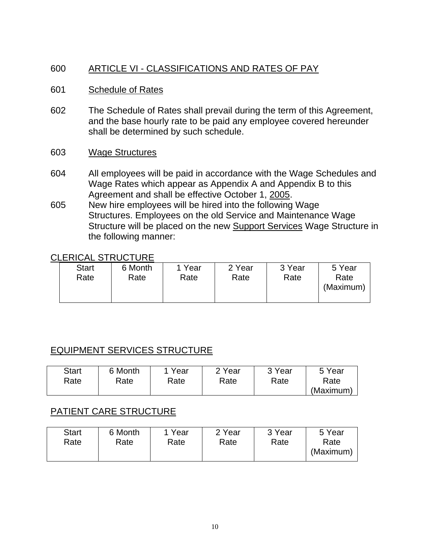# 600 ARTICLE VI - CLASSIFICATIONS AND RATES OF PAY

# 601 Schedule of Rates

602 The Schedule of Rates shall prevail during the term of this Agreement, and the base hourly rate to be paid any employee covered hereunder shall be determined by such schedule.

#### 603 Wage Structures

- 604 All employees will be paid in accordance with the Wage Schedules and Wage Rates which appear as Appendix A and Appendix B to this Agreement and shall be effective October 1, 2005.
- 605 New hire employees will be hired into the following Wage Structures. Employees on the old Service and Maintenance Wage Structure will be placed on the new Support Services Wage Structure in the following manner:

# CLERICAL STRUCTURE

| <b>Start</b><br>Rate | 6 Month<br>Rate | 1 Year<br>Rate | 2 Year<br>Rate | 3 Year<br>Rate | 5 Year<br>Rate<br>(Maximum) |
|----------------------|-----------------|----------------|----------------|----------------|-----------------------------|
|----------------------|-----------------|----------------|----------------|----------------|-----------------------------|

# EQUIPMENT SERVICES STRUCTURE

| <b>Start</b> | 6 Month | Year | 2 Year | 3 Year | 5 Year    |
|--------------|---------|------|--------|--------|-----------|
| Rate         | Rate    | Rate | Rate   | Rate   | Rate      |
|              |         |      |        |        | (Maximum) |

# PATIENT CARE STRUCTURE

| <b>Start</b> | 6 Month | 1 Year | 2 Year | 3 Year | 5 Year            |
|--------------|---------|--------|--------|--------|-------------------|
| Rate         | Rate    | Rate   | Rate   | Rate   | Rate<br>(Maximum) |
|              |         |        |        |        |                   |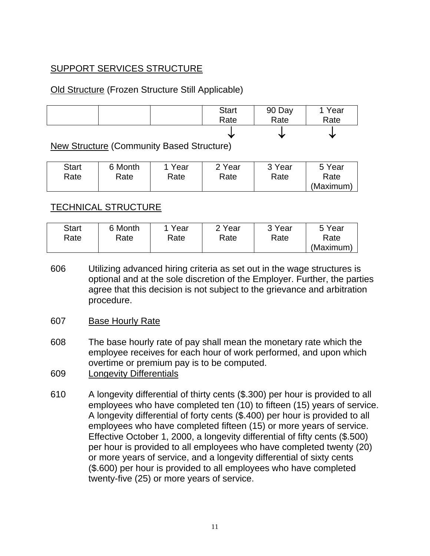# SUPPORT SERVICES STRUCTURE

# Old Structure (Frozen Structure Still Applicable)



New Structure (Community Based Structure)

| <b>Start</b> | 6 Month | Year | 2 Year | 3 Year | 5 Year    |
|--------------|---------|------|--------|--------|-----------|
| Rate         | Rate    | Rate | Rate   | Rate   | Rate      |
|              |         |      |        |        | (Maximum) |

# TECHNICAL STRUCTURE

| <b>Start</b> | 6 Month | Year | 2 Year | 3 Year | 5 Year    |
|--------------|---------|------|--------|--------|-----------|
| Rate         | Rate    | Rate | Rate   | Rate   | Rate      |
|              |         |      |        |        | (Maximum) |

- 606 Utilizing advanced hiring criteria as set out in the wage structures is optional and at the sole discretion of the Employer. Further, the parties agree that this decision is not subject to the grievance and arbitration procedure.
- 607 Base Hourly Rate
- 608 The base hourly rate of pay shall mean the monetary rate which the employee receives for each hour of work performed, and upon which overtime or premium pay is to be computed.
- 609 Longevity Differentials
- 610 A longevity differential of thirty cents (\$.300) per hour is provided to all employees who have completed ten (10) to fifteen (15) years of service. A longevity differential of forty cents (\$.400) per hour is provided to all employees who have completed fifteen (15) or more years of service. Effective October 1, 2000, a longevity differential of fifty cents (\$.500) per hour is provided to all employees who have completed twenty (20) or more years of service, and a longevity differential of sixty cents (\$.600) per hour is provided to all employees who have completed twenty-five (25) or more years of service.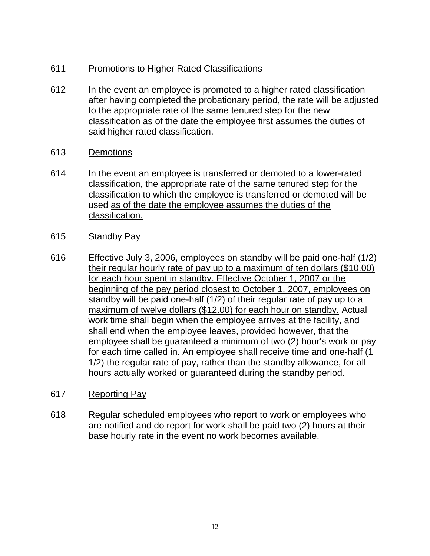# 611 Promotions to Higher Rated Classifications

- 612 In the event an employee is promoted to a higher rated classification after having completed the probationary period, the rate will be adjusted to the appropriate rate of the same tenured step for the new classification as of the date the employee first assumes the duties of said higher rated classification.
- 613 Demotions
- 614 In the event an employee is transferred or demoted to a lower-rated classification, the appropriate rate of the same tenured step for the classification to which the employee is transferred or demoted will be used as of the date the employee assumes the duties of the classification.
- 615 Standby Pay
- 616 Effective July 3, 2006, employees on standby will be paid one-half (1/2) their regular hourly rate of pay up to a maximum of ten dollars (\$10.00) for each hour spent in standby. Effective October 1, 2007 or the beginning of the pay period closest to October 1, 2007, employees on standby will be paid one-half (1/2) of their regular rate of pay up to a maximum of twelve dollars (\$12.00) for each hour on standby. Actual work time shall begin when the employee arrives at the facility, and shall end when the employee leaves, provided however, that the employee shall be guaranteed a minimum of two (2) hour's work or pay for each time called in. An employee shall receive time and one-half (1 1/2) the regular rate of pay, rather than the standby allowance, for all hours actually worked or guaranteed during the standby period.
- 617 Reporting Pay
- 618 Regular scheduled employees who report to work or employees who are notified and do report for work shall be paid two (2) hours at their base hourly rate in the event no work becomes available.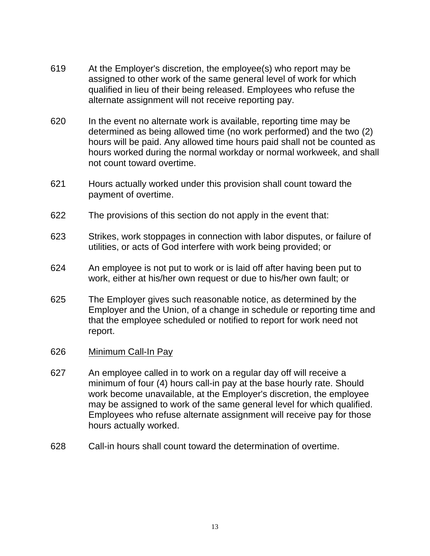- 619 At the Employer's discretion, the employee(s) who report may be assigned to other work of the same general level of work for which qualified in lieu of their being released. Employees who refuse the alternate assignment will not receive reporting pay.
- 620 In the event no alternate work is available, reporting time may be determined as being allowed time (no work performed) and the two (2) hours will be paid. Any allowed time hours paid shall not be counted as hours worked during the normal workday or normal workweek, and shall not count toward overtime.
- 621 Hours actually worked under this provision shall count toward the payment of overtime.
- 622 The provisions of this section do not apply in the event that:
- 623 Strikes, work stoppages in connection with labor disputes, or failure of utilities, or acts of God interfere with work being provided; or
- 624 An employee is not put to work or is laid off after having been put to work, either at his/her own request or due to his/her own fault; or
- 625 The Employer gives such reasonable notice, as determined by the Employer and the Union, of a change in schedule or reporting time and that the employee scheduled or notified to report for work need not report.
- 626 Minimum Call-In Pay
- 627 An employee called in to work on a regular day off will receive a minimum of four (4) hours call-in pay at the base hourly rate. Should work become unavailable, at the Employer's discretion, the employee may be assigned to work of the same general level for which qualified. Employees who refuse alternate assignment will receive pay for those hours actually worked.
- 628 Call-in hours shall count toward the determination of overtime.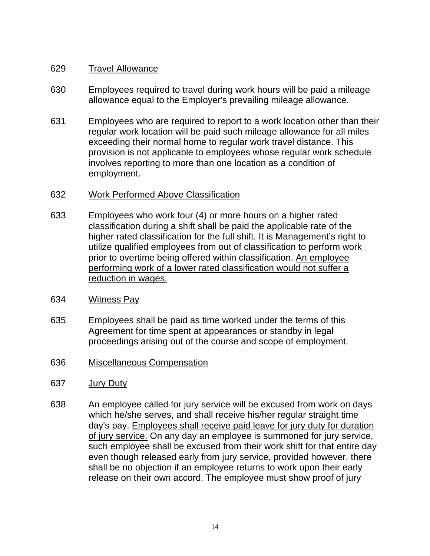# 629 Travel Allowance

- 630 Employees required to travel during work hours will be paid a mileage allowance equal to the Employer's prevailing mileage allowance.
- 631 Employees who are required to report to a work location other than their regular work location will be paid such mileage allowance for all miles exceeding their normal home to regular work travel distance. This provision is not applicable to employees whose regular work schedule involves reporting to more than one location as a condition of employment.
- 632 Work Performed Above Classification
- 633 Employees who work four (4) or more hours on a higher rated classification during a shift shall be paid the applicable rate of the higher rated classification for the full shift. It is Management's right to utilize qualified employees from out of classification to perform work prior to overtime being offered within classification. An employee performing work of a lower rated classification would not suffer a reduction in wages.
- 634 Witness Pay
- 635 Employees shall be paid as time worked under the terms of this Agreement for time spent at appearances or standby in legal proceedings arising out of the course and scope of employment.
- 636 Miscellaneous Compensation
- 637 Jury Duty
- 638 An employee called for jury service will be excused from work on days which he/she serves, and shall receive his/her regular straight time day's pay. Employees shall receive paid leave for jury duty for duration of jury service. On any day an employee is summoned for jury service, such employee shall be excused from their work shift for that entire day even though released early from jury service, provided however, there shall be no objection if an employee returns to work upon their early release on their own accord. The employee must show proof of jury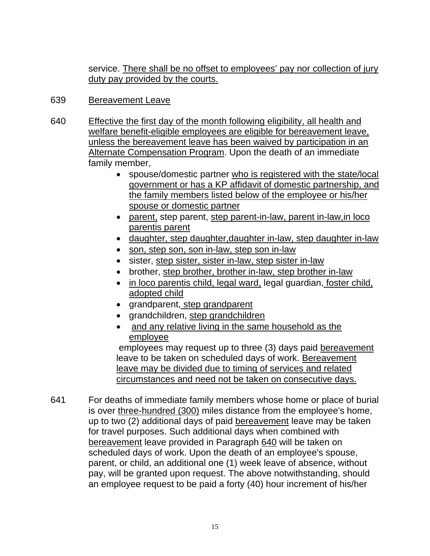service. There shall be no offset to employees' pay nor collection of jury duty pay provided by the courts.

# 639 Bereavement Leave

- 640 Effective the first day of the month following eligibility, all health and welfare benefit-eligible employees are eligible for bereavement leave, unless the bereavement leave has been waived by participation in an Alternate Compensation Program. Upon the death of an immediate family member,
	- spouse/domestic partner who is registered with the state/local government or has a KP affidavit of domestic partnership, and the family members listed below of the employee or his/her spouse or domestic partner
	- parent, step parent, step parent-in-law, parent in-law,in loco parentis parent
	- daughter, step daughter, daughter in-law, step daughter in-law
	- son, step son, son in-law, step son in-law
	- sister, step sister, sister in-law, step sister in-law
	- brother, step brother, brother in-law, step brother in-law
	- in loco parentis child, legal ward, legal guardian, foster child, adopted child
	- grandparent, step grandparent
	- grandchildren, step grandchildren
	- and any relative living in the same household as the employee

 employees may request up to three (3) days paid bereavement leave to be taken on scheduled days of work. Bereavement leave may be divided due to timing of services and related circumstances and need not be taken on consecutive days.

641 For deaths of immediate family members whose home or place of burial is over three-hundred (300) miles distance from the employee's home, up to two (2) additional days of paid bereavement leave may be taken for travel purposes. Such additional days when combined with bereavement leave provided in Paragraph 640 will be taken on scheduled days of work. Upon the death of an employee's spouse, parent, or child, an additional one (1) week leave of absence, without pay, will be granted upon request. The above notwithstanding, should an employee request to be paid a forty (40) hour increment of his/her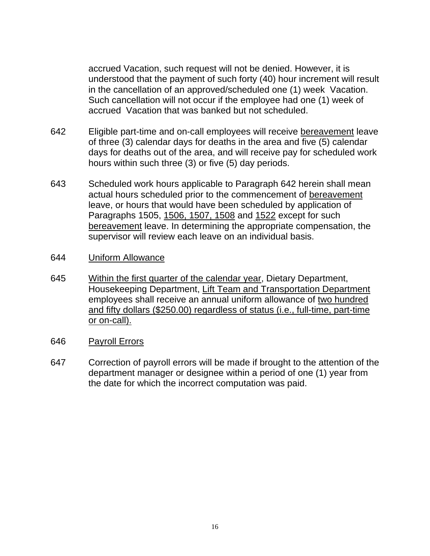accrued Vacation, such request will not be denied. However, it is understood that the payment of such forty (40) hour increment will result in the cancellation of an approved/scheduled one (1) week Vacation. Such cancellation will not occur if the employee had one (1) week of accrued Vacation that was banked but not scheduled.

- 642 Eligible part-time and on-call employees will receive bereavement leave of three (3) calendar days for deaths in the area and five (5) calendar days for deaths out of the area, and will receive pay for scheduled work hours within such three (3) or five (5) day periods.
- 643 Scheduled work hours applicable to Paragraph 642 herein shall mean actual hours scheduled prior to the commencement of bereavement leave, or hours that would have been scheduled by application of Paragraphs 1505, 1506, 1507, 1508 and 1522 except for such bereavement leave. In determining the appropriate compensation, the supervisor will review each leave on an individual basis.

#### 644 Uniform Allowance

645 Within the first quarter of the calendar year, Dietary Department, Housekeeping Department, Lift Team and Transportation Department employees shall receive an annual uniform allowance of two hundred and fifty dollars (\$250.00) regardless of status (i.e., full-time, part-time or on-call).

# 646 Payroll Errors

647 Correction of payroll errors will be made if brought to the attention of the department manager or designee within a period of one (1) year from the date for which the incorrect computation was paid.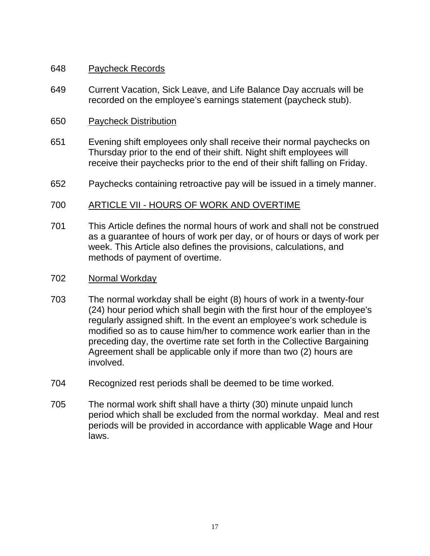### 648 Paycheck Records

649 Current Vacation, Sick Leave, and Life Balance Day accruals will be recorded on the employee's earnings statement (paycheck stub).

# 650 Paycheck Distribution

- 651 Evening shift employees only shall receive their normal paychecks on Thursday prior to the end of their shift. Night shift employees will receive their paychecks prior to the end of their shift falling on Friday.
- 652 Paychecks containing retroactive pay will be issued in a timely manner.

# 700 ARTICLE VII - HOURS OF WORK AND OVERTIME

701 This Article defines the normal hours of work and shall not be construed as a guarantee of hours of work per day, or of hours or days of work per week. This Article also defines the provisions, calculations, and methods of payment of overtime.

#### 702 Normal Workday

- 703 The normal workday shall be eight (8) hours of work in a twenty-four (24) hour period which shall begin with the first hour of the employee's regularly assigned shift. In the event an employee's work schedule is modified so as to cause him/her to commence work earlier than in the preceding day, the overtime rate set forth in the Collective Bargaining Agreement shall be applicable only if more than two (2) hours are involved.
- 704 Recognized rest periods shall be deemed to be time worked.
- 705 The normal work shift shall have a thirty (30) minute unpaid lunch period which shall be excluded from the normal workday. Meal and rest periods will be provided in accordance with applicable Wage and Hour laws.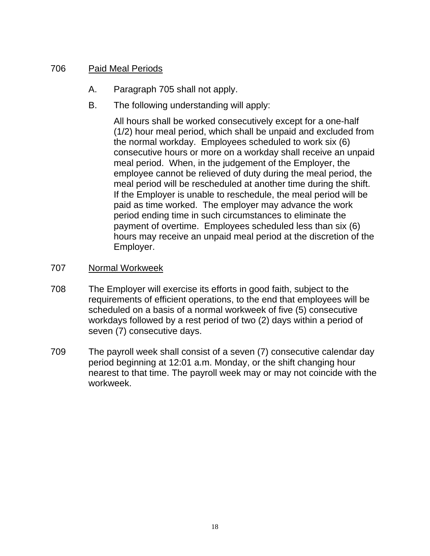# 706 Paid Meal Periods

- A. Paragraph 705 shall not apply.
- B. The following understanding will apply:

All hours shall be worked consecutively except for a one-half (1/2) hour meal period, which shall be unpaid and excluded from the normal workday. Employees scheduled to work six (6) consecutive hours or more on a workday shall receive an unpaid meal period. When, in the judgement of the Employer, the employee cannot be relieved of duty during the meal period, the meal period will be rescheduled at another time during the shift. If the Employer is unable to reschedule, the meal period will be paid as time worked. The employer may advance the work period ending time in such circumstances to eliminate the payment of overtime. Employees scheduled less than six (6) hours may receive an unpaid meal period at the discretion of the Employer.

- 707 Normal Workweek
- 708 The Employer will exercise its efforts in good faith, subject to the requirements of efficient operations, to the end that employees will be scheduled on a basis of a normal workweek of five (5) consecutive workdays followed by a rest period of two (2) days within a period of seven (7) consecutive days.
- 709 The payroll week shall consist of a seven (7) consecutive calendar day period beginning at 12:01 a.m. Monday, or the shift changing hour nearest to that time. The payroll week may or may not coincide with the workweek.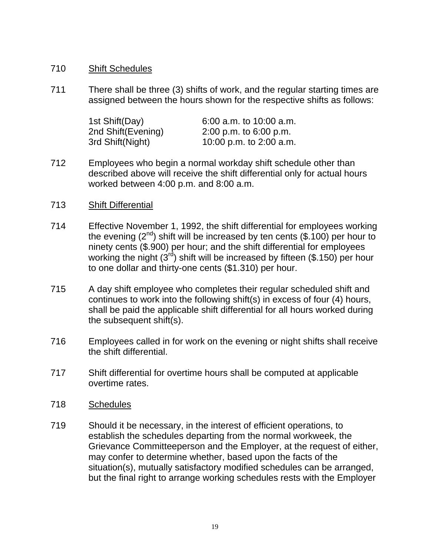### 710 Shift Schedules

711 There shall be three (3) shifts of work, and the regular starting times are assigned between the hours shown for the respective shifts as follows:

| 1st Shift(Day)     | $6:00$ a.m. to 10:00 a.m. |
|--------------------|---------------------------|
| 2nd Shift(Evening) | $2:00$ p.m. to 6:00 p.m.  |
| 3rd Shift(Night)   | 10:00 p.m. to 2:00 a.m.   |

712 Employees who begin a normal workday shift schedule other than described above will receive the shift differential only for actual hours worked between 4:00 p.m. and 8:00 a.m.

#### 713 Shift Differential

- 714 Effective November 1, 1992, the shift differential for employees working the evening  $(2^{nd})$  shift will be increased by ten cents  $(\$.100)$  per hour to ninety cents (\$.900) per hour; and the shift differential for employees working the night  $(3^{rd})$  shift will be increased by fifteen  $(\$.150)$  per hour to one dollar and thirty-one cents (\$1.310) per hour.
- 715 A day shift employee who completes their regular scheduled shift and continues to work into the following shift(s) in excess of four (4) hours, shall be paid the applicable shift differential for all hours worked during the subsequent shift(s).
- 716 Employees called in for work on the evening or night shifts shall receive the shift differential.
- 717 Shift differential for overtime hours shall be computed at applicable overtime rates.

#### 718 Schedules

719 Should it be necessary, in the interest of efficient operations, to establish the schedules departing from the normal workweek, the Grievance Committeeperson and the Employer, at the request of either, may confer to determine whether, based upon the facts of the situation(s), mutually satisfactory modified schedules can be arranged, but the final right to arrange working schedules rests with the Employer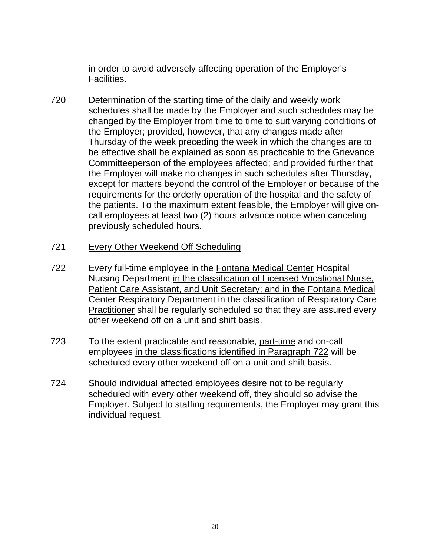in order to avoid adversely affecting operation of the Employer's Facilities.

- 720 Determination of the starting time of the daily and weekly work schedules shall be made by the Employer and such schedules may be changed by the Employer from time to time to suit varying conditions of the Employer; provided, however, that any changes made after Thursday of the week preceding the week in which the changes are to be effective shall be explained as soon as practicable to the Grievance Committeeperson of the employees affected; and provided further that the Employer will make no changes in such schedules after Thursday, except for matters beyond the control of the Employer or because of the requirements for the orderly operation of the hospital and the safety of the patients. To the maximum extent feasible, the Employer will give oncall employees at least two (2) hours advance notice when canceling previously scheduled hours.
- 721 Every Other Weekend Off Scheduling
- 722 Every full-time employee in the Fontana Medical Center Hospital Nursing Department in the classification of Licensed Vocational Nurse, Patient Care Assistant, and Unit Secretary; and in the Fontana Medical Center Respiratory Department in the classification of Respiratory Care Practitioner shall be regularly scheduled so that they are assured every other weekend off on a unit and shift basis.
- 723 To the extent practicable and reasonable, part-time and on-call employees in the classifications identified in Paragraph 722 will be scheduled every other weekend off on a unit and shift basis.
- 724 Should individual affected employees desire not to be regularly scheduled with every other weekend off, they should so advise the Employer. Subject to staffing requirements, the Employer may grant this individual request.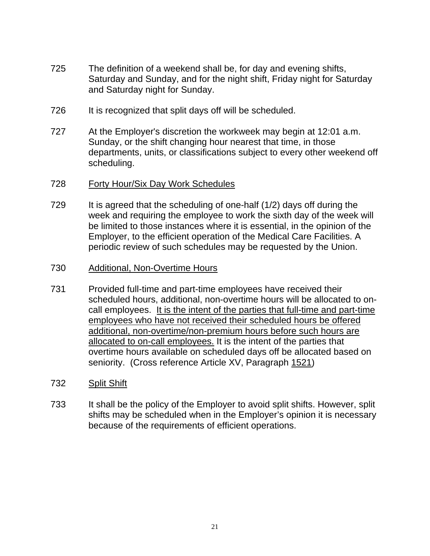- 725 The definition of a weekend shall be, for day and evening shifts, Saturday and Sunday, and for the night shift, Friday night for Saturday and Saturday night for Sunday.
- 726 It is recognized that split days off will be scheduled.
- 727 At the Employer's discretion the workweek may begin at 12:01 a.m. Sunday, or the shift changing hour nearest that time, in those departments, units, or classifications subject to every other weekend off scheduling.
- 728 Forty Hour/Six Day Work Schedules
- 729 It is agreed that the scheduling of one-half (1/2) days off during the week and requiring the employee to work the sixth day of the week will be limited to those instances where it is essential, in the opinion of the Employer, to the efficient operation of the Medical Care Facilities. A periodic review of such schedules may be requested by the Union.
- 730 Additional, Non-Overtime Hours
- 731 Provided full-time and part-time employees have received their scheduled hours, additional, non-overtime hours will be allocated to oncall employees. It is the intent of the parties that full-time and part-time employees who have not received their scheduled hours be offered additional, non-overtime/non-premium hours before such hours are allocated to on-call employees. It is the intent of the parties that overtime hours available on scheduled days off be allocated based on seniority. (Cross reference Article XV, Paragraph 1521)
- 732 Split Shift
- 733 It shall be the policy of the Employer to avoid split shifts. However, split shifts may be scheduled when in the Employer's opinion it is necessary because of the requirements of efficient operations.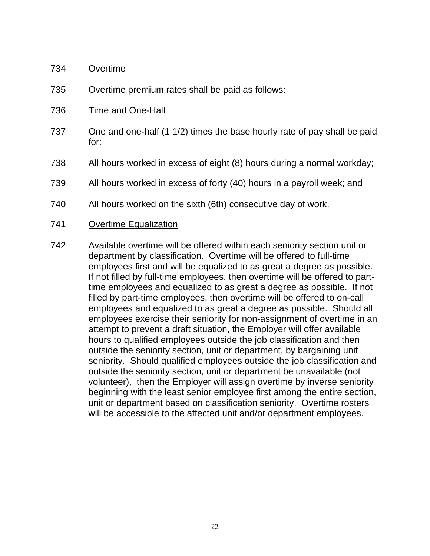#### 734 Overtime

- 735 Overtime premium rates shall be paid as follows:
- 736 Time and One-Half
- 737 One and one-half (1 1/2) times the base hourly rate of pay shall be paid for:
- 738 All hours worked in excess of eight (8) hours during a normal workday;
- 739 All hours worked in excess of forty (40) hours in a payroll week; and
- 740 All hours worked on the sixth (6th) consecutive day of work.
- 741 Overtime Equalization
- 742 Available overtime will be offered within each seniority section unit or department by classification. Overtime will be offered to full-time employees first and will be equalized to as great a degree as possible. If not filled by full-time employees, then overtime will be offered to parttime employees and equalized to as great a degree as possible. If not filled by part-time employees, then overtime will be offered to on-call employees and equalized to as great a degree as possible. Should all employees exercise their seniority for non-assignment of overtime in an attempt to prevent a draft situation, the Employer will offer available hours to qualified employees outside the job classification and then outside the seniority section, unit or department, by bargaining unit seniority. Should qualified employees outside the job classification and outside the seniority section, unit or department be unavailable (not volunteer), then the Employer will assign overtime by inverse seniority beginning with the least senior employee first among the entire section, unit or department based on classification seniority. Overtime rosters will be accessible to the affected unit and/or department employees.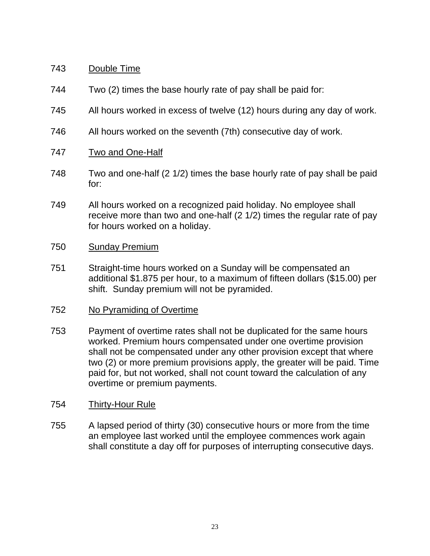# 743 Double Time

- 744 Two (2) times the base hourly rate of pay shall be paid for:
- 745 All hours worked in excess of twelve (12) hours during any day of work.
- 746 All hours worked on the seventh (7th) consecutive day of work.
- 747 Two and One-Half
- 748 Two and one-half (2 1/2) times the base hourly rate of pay shall be paid for:
- 749 All hours worked on a recognized paid holiday. No employee shall receive more than two and one-half (2 1/2) times the regular rate of pay for hours worked on a holiday.

#### 750 Sunday Premium

751 Straight-time hours worked on a Sunday will be compensated an additional \$1.875 per hour, to a maximum of fifteen dollars (\$15.00) per shift. Sunday premium will not be pyramided.

# 752 No Pyramiding of Overtime

753 Payment of overtime rates shall not be duplicated for the same hours worked. Premium hours compensated under one overtime provision shall not be compensated under any other provision except that where two (2) or more premium provisions apply, the greater will be paid. Time paid for, but not worked, shall not count toward the calculation of any overtime or premium payments.

# 754 Thirty-Hour Rule

755 A lapsed period of thirty (30) consecutive hours or more from the time an employee last worked until the employee commences work again shall constitute a day off for purposes of interrupting consecutive days.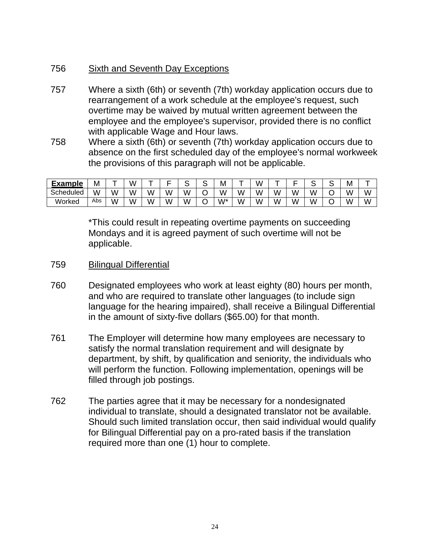# 756 Sixth and Seventh Day Exceptions

- 757 Where a sixth (6th) or seventh (7th) workday application occurs due to rearrangement of a work schedule at the employee's request, such overtime may be waived by mutual written agreement between the employee and the employee's supervisor, provided there is no conflict with applicable Wage and Hour laws.
- 758 Where a sixth (6th) or seventh (7th) workday application occurs due to absence on the first scheduled day of the employee's normal workweek the provisions of this paragraph will not be applicable.

| <b>Example</b> | Μ   |   | W |   |   | - | . . | М  | _ | ι٨ |   | _ | w | ∼ | Μ |   |
|----------------|-----|---|---|---|---|---|-----|----|---|----|---|---|---|---|---|---|
| Scheduled      | W   | W | W | w | W | W |     | W  | W | w  | W | W | W | ◡ | W | W |
| Worked         | Abs | W | Ŵ | w | W | W |     | w* | Ŵ | ۸I | W | W | W | ◡ | W | W |

\*This could result in repeating overtime payments on succeeding Mondays and it is agreed payment of such overtime will not be applicable.

- 759 Bilingual Differential
- 760 Designated employees who work at least eighty (80) hours per month, and who are required to translate other languages (to include sign language for the hearing impaired), shall receive a Bilingual Differential in the amount of sixty-five dollars (\$65.00) for that month.
- 761 The Employer will determine how many employees are necessary to satisfy the normal translation requirement and will designate by department, by shift, by qualification and seniority, the individuals who will perform the function. Following implementation, openings will be filled through job postings.
- 762 The parties agree that it may be necessary for a nondesignated individual to translate, should a designated translator not be available. Should such limited translation occur, then said individual would qualify for Bilingual Differential pay on a pro-rated basis if the translation required more than one (1) hour to complete.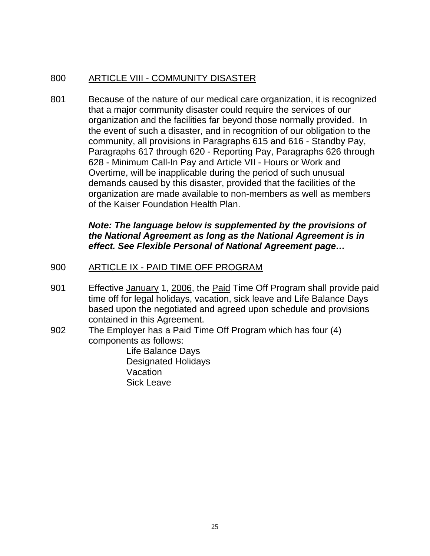# 800 ARTICLE VIII - COMMUNITY DISASTER

801 Because of the nature of our medical care organization, it is recognized that a major community disaster could require the services of our organization and the facilities far beyond those normally provided. In the event of such a disaster, and in recognition of our obligation to the community, all provisions in Paragraphs 615 and 616 - Standby Pay, Paragraphs 617 through 620 - Reporting Pay, Paragraphs 626 through 628 - Minimum Call-In Pay and Article VII - Hours or Work and Overtime, will be inapplicable during the period of such unusual demands caused by this disaster, provided that the facilities of the organization are made available to non-members as well as members of the Kaiser Foundation Health Plan.

# *Note: The language below is supplemented by the provisions of the National Agreement as long as the National Agreement is in effect. See Flexible Personal of National Agreement page…*

# 900 ARTICLE IX - PAID TIME OFF PROGRAM

- 901 Effective January 1, 2006, the Paid Time Off Program shall provide paid time off for legal holidays, vacation, sick leave and Life Balance Days based upon the negotiated and agreed upon schedule and provisions contained in this Agreement.
- 902 The Employer has a Paid Time Off Program which has four (4) components as follows:

Life Balance Days Designated Holidays Vacation Sick Leave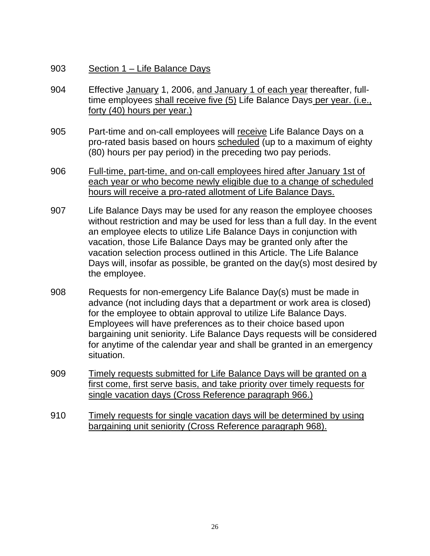- 903 Section 1 Life Balance Days
- 904 Effective January 1, 2006, and January 1 of each year thereafter, fulltime employees shall receive five (5) Life Balance Days per year. (i.e., forty (40) hours per year.)
- 905 Part-time and on-call employees will receive Life Balance Days on a pro-rated basis based on hours scheduled (up to a maximum of eighty (80) hours per pay period) in the preceding two pay periods.
- 906 Full-time, part-time, and on-call employees hired after January 1st of each year or who become newly eligible due to a change of scheduled hours will receive a pro-rated allotment of Life Balance Days.
- 907 Life Balance Days may be used for any reason the employee chooses without restriction and may be used for less than a full day. In the event an employee elects to utilize Life Balance Days in conjunction with vacation, those Life Balance Days may be granted only after the vacation selection process outlined in this Article. The Life Balance Days will, insofar as possible, be granted on the day(s) most desired by the employee.
- 908 Requests for non-emergency Life Balance Day(s) must be made in advance (not including days that a department or work area is closed) for the employee to obtain approval to utilize Life Balance Days. Employees will have preferences as to their choice based upon bargaining unit seniority. Life Balance Days requests will be considered for anytime of the calendar year and shall be granted in an emergency situation.
- 909 Timely requests submitted for Life Balance Days will be granted on a first come, first serve basis, and take priority over timely requests for single vacation days (Cross Reference paragraph 966.)
- 910 Timely requests for single vacation days will be determined by using bargaining unit seniority (Cross Reference paragraph 968).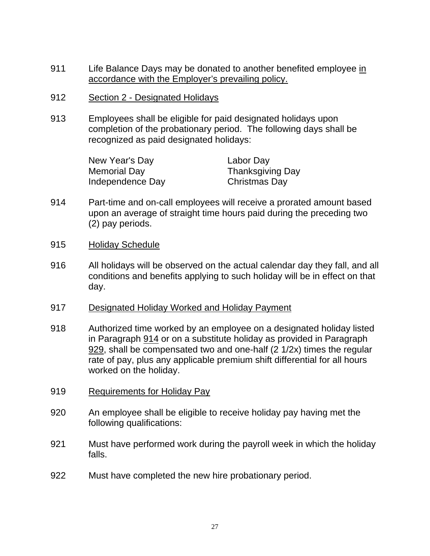- 911 Life Balance Days may be donated to another benefited employee in accordance with the Employer's prevailing policy.
- 912 Section 2 Designated Holidays
- 913 Employees shall be eligible for paid designated holidays upon completion of the probationary period. The following days shall be recognized as paid designated holidays:

| New Year's Day   | Labor Day               |
|------------------|-------------------------|
| Memorial Day     | <b>Thanksgiving Day</b> |
| Independence Day | Christmas Day           |

- 914 Part-time and on-call employees will receive a prorated amount based upon an average of straight time hours paid during the preceding two (2) pay periods.
- 915 Holiday Schedule
- 916 All holidays will be observed on the actual calendar day they fall, and all conditions and benefits applying to such holiday will be in effect on that day.
- 917 Designated Holiday Worked and Holiday Payment
- 918 Authorized time worked by an employee on a designated holiday listed in Paragraph 914 or on a substitute holiday as provided in Paragraph 929, shall be compensated two and one-half (2 1/2x) times the regular rate of pay, plus any applicable premium shift differential for all hours worked on the holiday.
- 919 Requirements for Holiday Pay
- 920 An employee shall be eligible to receive holiday pay having met the following qualifications:
- 921 Must have performed work during the payroll week in which the holiday falls.
- 922 Must have completed the new hire probationary period.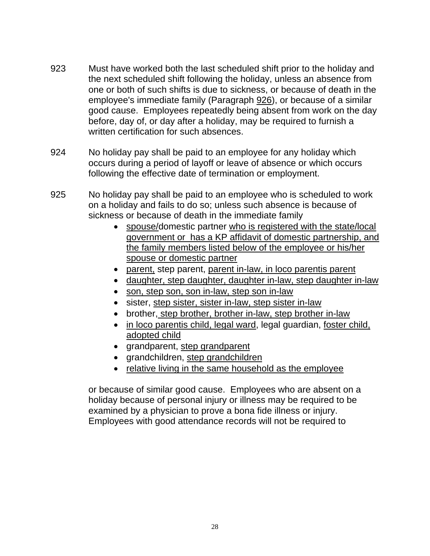- 923 Must have worked both the last scheduled shift prior to the holiday and the next scheduled shift following the holiday, unless an absence from one or both of such shifts is due to sickness, or because of death in the employee's immediate family (Paragraph 926), or because of a similar good cause. Employees repeatedly being absent from work on the day before, day of, or day after a holiday, may be required to furnish a written certification for such absences.
- 924 No holiday pay shall be paid to an employee for any holiday which occurs during a period of layoff or leave of absence or which occurs following the effective date of termination or employment.
- 925 No holiday pay shall be paid to an employee who is scheduled to work on a holiday and fails to do so; unless such absence is because of sickness or because of death in the immediate family
	- spouse/domestic partner who is registered with the state/local government or has a KP affidavit of domestic partnership, and the family members listed below of the employee or his/her spouse or domestic partner
	- parent, step parent, parent in-law, in loco parentis parent
	- daughter, step daughter, daughter in-law, step daughter in-law
	- son, step son, son in-law, step son in-law
	- sister, step sister, sister in-law, step sister in-law
	- brother, step brother, brother in-law, step brother in-law
	- in loco parentis child, legal ward, legal guardian, foster child, adopted child
	- grandparent, step grandparent
	- grandchildren, step grandchildren
	- relative living in the same household as the employee

or because of similar good cause. Employees who are absent on a holiday because of personal injury or illness may be required to be examined by a physician to prove a bona fide illness or injury. Employees with good attendance records will not be required to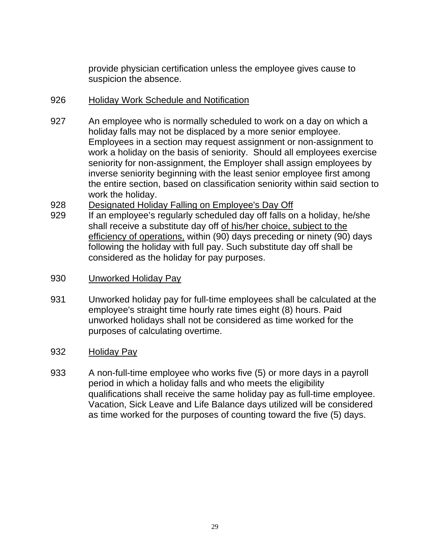provide physician certification unless the employee gives cause to suspicion the absence.

## 926 Holiday Work Schedule and Notification

- 927 An employee who is normally scheduled to work on a day on which a holiday falls may not be displaced by a more senior employee. Employees in a section may request assignment or non-assignment to work a holiday on the basis of seniority. Should all employees exercise seniority for non-assignment, the Employer shall assign employees by inverse seniority beginning with the least senior employee first among the entire section, based on classification seniority within said section to work the holiday.
- 928 Designated Holiday Falling on Employee's Day Off
- 929 If an employee's regularly scheduled day off falls on a holiday, he/she shall receive a substitute day off of his/her choice, subject to the efficiency of operations, within (90) days preceding or ninety (90) days following the holiday with full pay. Such substitute day off shall be considered as the holiday for pay purposes.
- 930 Unworked Holiday Pay
- 931 Unworked holiday pay for full-time employees shall be calculated at the employee's straight time hourly rate times eight (8) hours. Paid unworked holidays shall not be considered as time worked for the purposes of calculating overtime.
- 932 Holiday Pay
- 933 A non-full-time employee who works five (5) or more days in a payroll period in which a holiday falls and who meets the eligibility qualifications shall receive the same holiday pay as full-time employee. Vacation, Sick Leave and Life Balance days utilized will be considered as time worked for the purposes of counting toward the five (5) days.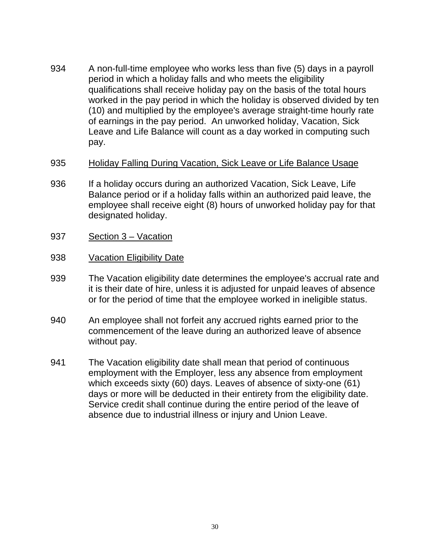- 934 A non-full-time employee who works less than five (5) days in a payroll period in which a holiday falls and who meets the eligibility qualifications shall receive holiday pay on the basis of the total hours worked in the pay period in which the holiday is observed divided by ten (10) and multiplied by the employee's average straight-time hourly rate of earnings in the pay period. An unworked holiday, Vacation, Sick Leave and Life Balance will count as a day worked in computing such pay.
- 935 Holiday Falling During Vacation, Sick Leave or Life Balance Usage
- 936 If a holiday occurs during an authorized Vacation, Sick Leave, Life Balance period or if a holiday falls within an authorized paid leave, the employee shall receive eight (8) hours of unworked holiday pay for that designated holiday.
- 937 Section 3 Vacation
- 938 Vacation Eligibility Date
- 939 The Vacation eligibility date determines the employee's accrual rate and it is their date of hire, unless it is adjusted for unpaid leaves of absence or for the period of time that the employee worked in ineligible status.
- 940 An employee shall not forfeit any accrued rights earned prior to the commencement of the leave during an authorized leave of absence without pay.
- 941 The Vacation eligibility date shall mean that period of continuous employment with the Employer, less any absence from employment which exceeds sixty (60) days. Leaves of absence of sixty-one (61) days or more will be deducted in their entirety from the eligibility date. Service credit shall continue during the entire period of the leave of absence due to industrial illness or injury and Union Leave.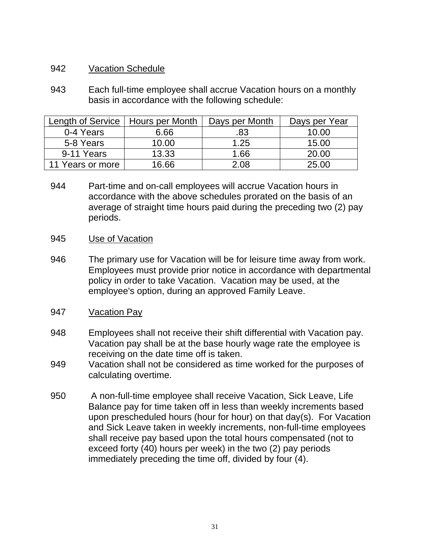### 942 Vacation Schedule

943 Each full-time employee shall accrue Vacation hours on a monthly basis in accordance with the following schedule:

| Length of Service | Hours per Month | Days per Month | Days per Year |
|-------------------|-----------------|----------------|---------------|
| 0-4 Years         | 6.66            | .83            | 10.00         |
| 5-8 Years         | 10.00           | 1.25           | 15.00         |
| 9-11 Years        | 13.33           | 1.66           | 20.00         |
| 11 Years or more  | 16.66           | 2.08           | 25.00         |

944 Part-time and on-call employees will accrue Vacation hours in accordance with the above schedules prorated on the basis of an average of straight time hours paid during the preceding two (2) pay periods.

#### 945 Use of Vacation

946 The primary use for Vacation will be for leisure time away from work. Employees must provide prior notice in accordance with departmental policy in order to take Vacation. Vacation may be used, at the employee's option, during an approved Family Leave.

### 947 Vacation Pay

- 948 Employees shall not receive their shift differential with Vacation pay. Vacation pay shall be at the base hourly wage rate the employee is receiving on the date time off is taken.
- 949 Vacation shall not be considered as time worked for the purposes of calculating overtime.
- 950 A non-full-time employee shall receive Vacation, Sick Leave, Life Balance pay for time taken off in less than weekly increments based upon prescheduled hours (hour for hour) on that day(s). For Vacation and Sick Leave taken in weekly increments, non-full-time employees shall receive pay based upon the total hours compensated (not to exceed forty (40) hours per week) in the two (2) pay periods immediately preceding the time off, divided by four (4).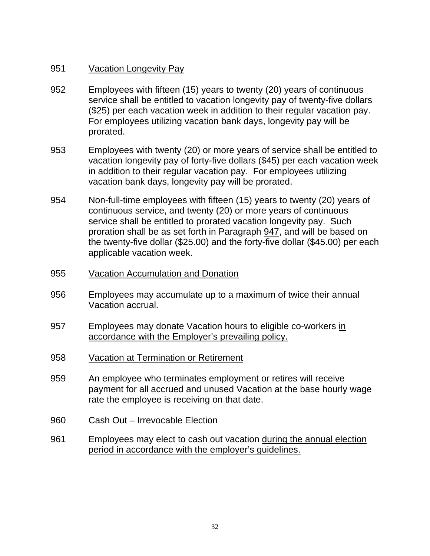### 951 Vacation Longevity Pay

- 952 Employees with fifteen (15) years to twenty (20) years of continuous service shall be entitled to vacation longevity pay of twenty-five dollars (\$25) per each vacation week in addition to their regular vacation pay. For employees utilizing vacation bank days, longevity pay will be prorated.
- 953 Employees with twenty (20) or more years of service shall be entitled to vacation longevity pay of forty-five dollars (\$45) per each vacation week in addition to their regular vacation pay. For employees utilizing vacation bank days, longevity pay will be prorated.
- 954 Non-full-time employees with fifteen (15) years to twenty (20) years of continuous service, and twenty (20) or more years of continuous service shall be entitled to prorated vacation longevity pay. Such proration shall be as set forth in Paragraph 947, and will be based on the twenty-five dollar (\$25.00) and the forty-five dollar (\$45.00) per each applicable vacation week.
- 955 Vacation Accumulation and Donation
- 956 Employees may accumulate up to a maximum of twice their annual Vacation accrual.
- 957 Employees may donate Vacation hours to eligible co-workers in accordance with the Employer's prevailing policy.
- 958 Vacation at Termination or Retirement
- 959 An employee who terminates employment or retires will receive payment for all accrued and unused Vacation at the base hourly wage rate the employee is receiving on that date.
- 960 Cash Out Irrevocable Election
- 961 Employees may elect to cash out vacation during the annual election period in accordance with the employer's guidelines.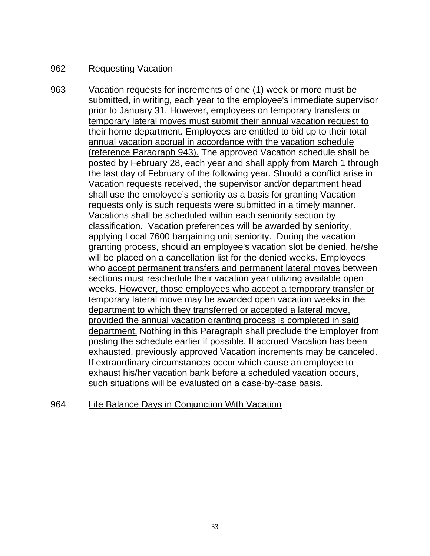## 962 Requesting Vacation

963 Vacation requests for increments of one (1) week or more must be submitted, in writing, each year to the employee's immediate supervisor prior to January 31. However, employees on temporary transfers or temporary lateral moves must submit their annual vacation request to their home department. Employees are entitled to bid up to their total annual vacation accrual in accordance with the vacation schedule (reference Paragraph 943). The approved Vacation schedule shall be posted by February 28, each year and shall apply from March 1 through the last day of February of the following year. Should a conflict arise in Vacation requests received, the supervisor and/or department head shall use the employee's seniority as a basis for granting Vacation requests only is such requests were submitted in a timely manner. Vacations shall be scheduled within each seniority section by classification. Vacation preferences will be awarded by seniority, applying Local 7600 bargaining unit seniority. During the vacation granting process, should an employee's vacation slot be denied, he/she will be placed on a cancellation list for the denied weeks. Employees who accept permanent transfers and permanent lateral moves between sections must reschedule their vacation year utilizing available open weeks. However, those employees who accept a temporary transfer or temporary lateral move may be awarded open vacation weeks in the department to which they transferred or accepted a lateral move, provided the annual vacation granting process is completed in said department. Nothing in this Paragraph shall preclude the Employer from posting the schedule earlier if possible. If accrued Vacation has been exhausted, previously approved Vacation increments may be canceled. If extraordinary circumstances occur which cause an employee to exhaust his/her vacation bank before a scheduled vacation occurs, such situations will be evaluated on a case-by-case basis.

964 Life Balance Days in Conjunction With Vacation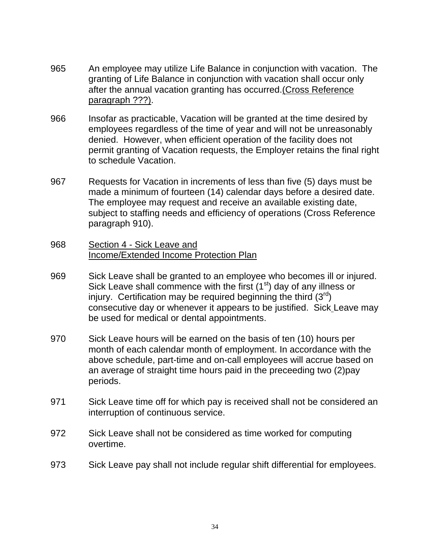- 965 An employee may utilize Life Balance in conjunction with vacation. The granting of Life Balance in conjunction with vacation shall occur only after the annual vacation granting has occurred.(Cross Reference paragraph ???).
- 966 Insofar as practicable, Vacation will be granted at the time desired by employees regardless of the time of year and will not be unreasonably denied. However, when efficient operation of the facility does not permit granting of Vacation requests, the Employer retains the final right to schedule Vacation.
- 967 Requests for Vacation in increments of less than five (5) days must be made a minimum of fourteen (14) calendar days before a desired date. The employee may request and receive an available existing date, subject to staffing needs and efficiency of operations (Cross Reference paragraph 910).
- 968 Section 4 Sick Leave and Income/Extended Income Protection Plan
- 969 Sick Leave shall be granted to an employee who becomes ill or injured. Sick Leave shall commence with the first  $(1<sup>st</sup>)$  day of any illness or injury. Certification may be required beginning the third  $(3^{rd})$ consecutive day or whenever it appears to be justified. Sick Leave may be used for medical or dental appointments.
- 970 Sick Leave hours will be earned on the basis of ten (10) hours per month of each calendar month of employment. In accordance with the above schedule, part-time and on-call employees will accrue based on an average of straight time hours paid in the preceeding two (2)pay periods.
- 971 Sick Leave time off for which pay is received shall not be considered an interruption of continuous service.
- 972 Sick Leave shall not be considered as time worked for computing overtime.
- 973 Sick Leave pay shall not include regular shift differential for employees.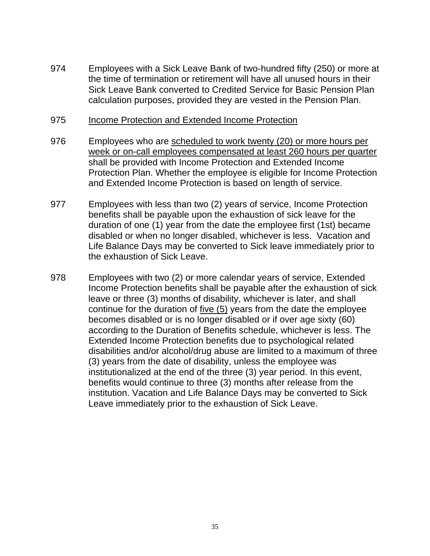974 Employees with a Sick Leave Bank of two-hundred fifty (250) or more at the time of termination or retirement will have all unused hours in their Sick Leave Bank converted to Credited Service for Basic Pension Plan calculation purposes, provided they are vested in the Pension Plan.

#### 975 Income Protection and Extended Income Protection

- 976 Employees who are scheduled to work twenty (20) or more hours per week or on-call employees compensated at least 260 hours per quarter shall be provided with Income Protection and Extended Income Protection Plan. Whether the employee is eligible for Income Protection and Extended Income Protection is based on length of service.
- 977 Employees with less than two (2) years of service, Income Protection benefits shall be payable upon the exhaustion of sick leave for the duration of one (1) year from the date the employee first (1st) became disabled or when no longer disabled, whichever is less. Vacation and Life Balance Days may be converted to Sick leave immediately prior to the exhaustion of Sick Leave.
- 978 Employees with two (2) or more calendar years of service, Extended Income Protection benefits shall be payable after the exhaustion of sick leave or three (3) months of disability, whichever is later, and shall continue for the duration of five (5) years from the date the employee becomes disabled or is no longer disabled or if over age sixty (60) according to the Duration of Benefits schedule, whichever is less. The Extended Income Protection benefits due to psychological related disabilities and/or alcohol/drug abuse are limited to a maximum of three (3) years from the date of disability, unless the employee was institutionalized at the end of the three (3) year period. In this event, benefits would continue to three (3) months after release from the institution. Vacation and Life Balance Days may be converted to Sick Leave immediately prior to the exhaustion of Sick Leave.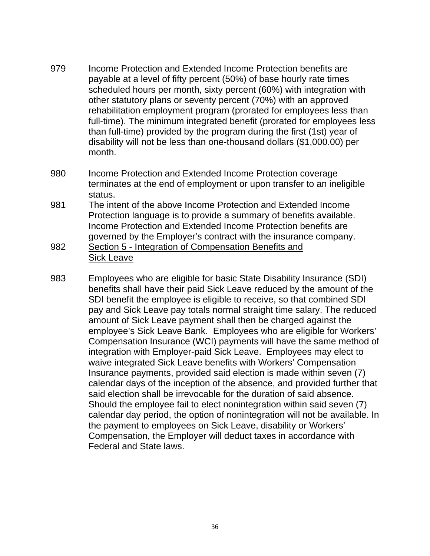- 979 Income Protection and Extended Income Protection benefits are payable at a level of fifty percent (50%) of base hourly rate times scheduled hours per month, sixty percent (60%) with integration with other statutory plans or seventy percent (70%) with an approved rehabilitation employment program (prorated for employees less than full-time). The minimum integrated benefit (prorated for employees less than full-time) provided by the program during the first (1st) year of disability will not be less than one-thousand dollars (\$1,000.00) per month.
- 980 Income Protection and Extended Income Protection coverage terminates at the end of employment or upon transfer to an ineligible status.
- 981 The intent of the above Income Protection and Extended Income Protection language is to provide a summary of benefits available. Income Protection and Extended Income Protection benefits are governed by the Employer's contract with the insurance company.
- 982 Section 5 Integration of Compensation Benefits and Sick Leave
- 983 Employees who are eligible for basic State Disability Insurance (SDI) benefits shall have their paid Sick Leave reduced by the amount of the SDI benefit the employee is eligible to receive, so that combined SDI pay and Sick Leave pay totals normal straight time salary. The reduced amount of Sick Leave payment shall then be charged against the employee's Sick Leave Bank. Employees who are eligible for Workers' Compensation Insurance (WCI) payments will have the same method of integration with Employer-paid Sick Leave. Employees may elect to waive integrated Sick Leave benefits with Workers' Compensation Insurance payments, provided said election is made within seven (7) calendar days of the inception of the absence, and provided further that said election shall be irrevocable for the duration of said absence. Should the employee fail to elect nonintegration within said seven (7) calendar day period, the option of nonintegration will not be available. In the payment to employees on Sick Leave, disability or Workers' Compensation, the Employer will deduct taxes in accordance with Federal and State laws.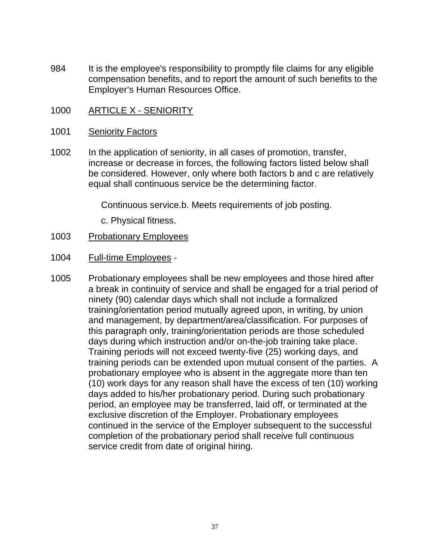- 984 It is the employee's responsibility to promptly file claims for any eligible compensation benefits, and to report the amount of such benefits to the Employer's Human Resources Office.
- 1000 ARTICLE X SENIORITY

#### 1001 Seniority Factors

1002 In the application of seniority, in all cases of promotion, transfer, increase or decrease in forces, the following factors listed below shall be considered. However, only where both factors b and c are relatively equal shall continuous service be the determining factor.

Continuous service.b. Meets requirements of job posting.

c. Physical fitness.

#### 1003 Probationary Employees

- 1004 Full-time Employees -
- 1005 Probationary employees shall be new employees and those hired after a break in continuity of service and shall be engaged for a trial period of ninety (90) calendar days which shall not include a formalized training/orientation period mutually agreed upon, in writing, by union and management, by department/area/classification. For purposes of this paragraph only, training/orientation periods are those scheduled days during which instruction and/or on-the-job training take place. Training periods will not exceed twenty-five (25) working days, and training periods can be extended upon mutual consent of the parties. A probationary employee who is absent in the aggregate more than ten (10) work days for any reason shall have the excess of ten (10) working days added to his/her probationary period. During such probationary period, an employee may be transferred, laid off, or terminated at the exclusive discretion of the Employer. Probationary employees continued in the service of the Employer subsequent to the successful completion of the probationary period shall receive full continuous service credit from date of original hiring.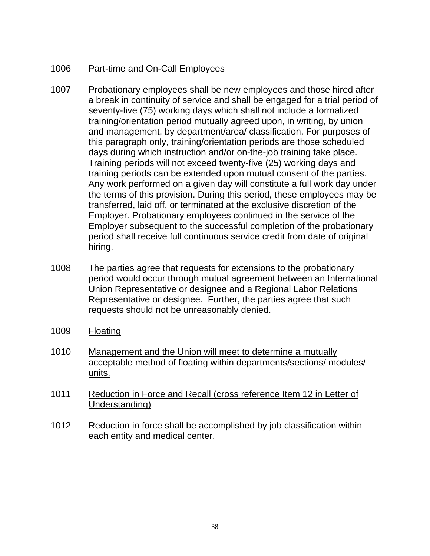# 1006 Part-time and On-Call Employees

- 1007 Probationary employees shall be new employees and those hired after a break in continuity of service and shall be engaged for a trial period of seventy-five (75) working days which shall not include a formalized training/orientation period mutually agreed upon, in writing, by union and management, by department/area/ classification. For purposes of this paragraph only, training/orientation periods are those scheduled days during which instruction and/or on-the-job training take place. Training periods will not exceed twenty-five (25) working days and training periods can be extended upon mutual consent of the parties. Any work performed on a given day will constitute a full work day under the terms of this provision. During this period, these employees may be transferred, laid off, or terminated at the exclusive discretion of the Employer. Probationary employees continued in the service of the Employer subsequent to the successful completion of the probationary period shall receive full continuous service credit from date of original hiring.
- 1008 The parties agree that requests for extensions to the probationary period would occur through mutual agreement between an International Union Representative or designee and a Regional Labor Relations Representative or designee. Further, the parties agree that such requests should not be unreasonably denied.
- 1009 Floating
- 1010 Management and the Union will meet to determine a mutually acceptable method of floating within departments/sections/ modules/ units.
- 1011 Reduction in Force and Recall (cross reference Item 12 in Letter of Understanding)
- 1012 Reduction in force shall be accomplished by job classification within each entity and medical center.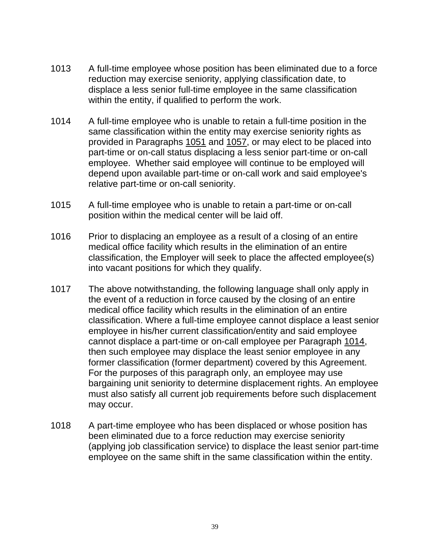- 1013 A full-time employee whose position has been eliminated due to a force reduction may exercise seniority, applying classification date, to displace a less senior full-time employee in the same classification within the entity, if qualified to perform the work.
- 1014 A full-time employee who is unable to retain a full-time position in the same classification within the entity may exercise seniority rights as provided in Paragraphs 1051 and 1057, or may elect to be placed into part-time or on-call status displacing a less senior part-time or on-call employee. Whether said employee will continue to be employed will depend upon available part-time or on-call work and said employee's relative part-time or on-call seniority.
- 1015 A full-time employee who is unable to retain a part-time or on-call position within the medical center will be laid off.
- 1016 Prior to displacing an employee as a result of a closing of an entire medical office facility which results in the elimination of an entire classification, the Employer will seek to place the affected employee(s) into vacant positions for which they qualify.
- 1017 The above notwithstanding, the following language shall only apply in the event of a reduction in force caused by the closing of an entire medical office facility which results in the elimination of an entire classification. Where a full-time employee cannot displace a least senior employee in his/her current classification/entity and said employee cannot displace a part-time or on-call employee per Paragraph 1014, then such employee may displace the least senior employee in any former classification (former department) covered by this Agreement. For the purposes of this paragraph only, an employee may use bargaining unit seniority to determine displacement rights. An employee must also satisfy all current job requirements before such displacement may occur.
- 1018 A part-time employee who has been displaced or whose position has been eliminated due to a force reduction may exercise seniority (applying job classification service) to displace the least senior part-time employee on the same shift in the same classification within the entity.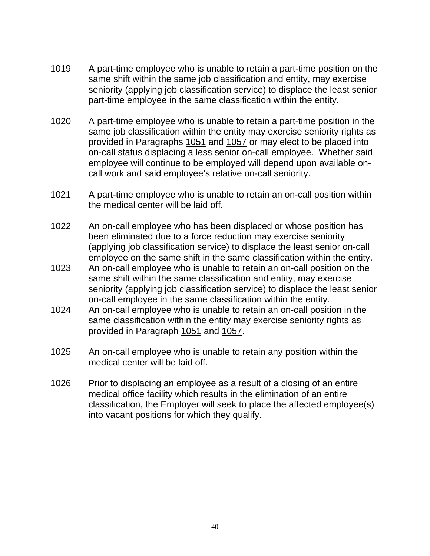- 1019 A part-time employee who is unable to retain a part-time position on the same shift within the same job classification and entity, may exercise seniority (applying job classification service) to displace the least senior part-time employee in the same classification within the entity.
- 1020 A part-time employee who is unable to retain a part-time position in the same job classification within the entity may exercise seniority rights as provided in Paragraphs 1051 and 1057 or may elect to be placed into on-call status displacing a less senior on-call employee. Whether said employee will continue to be employed will depend upon available oncall work and said employee's relative on-call seniority.
- 1021 A part-time employee who is unable to retain an on-call position within the medical center will be laid off.
- 1022 An on-call employee who has been displaced or whose position has been eliminated due to a force reduction may exercise seniority (applying job classification service) to displace the least senior on-call employee on the same shift in the same classification within the entity.
- 1023 An on-call employee who is unable to retain an on-call position on the same shift within the same classification and entity, may exercise seniority (applying job classification service) to displace the least senior on-call employee in the same classification within the entity.
- 1024 An on-call employee who is unable to retain an on-call position in the same classification within the entity may exercise seniority rights as provided in Paragraph 1051 and 1057.
- 1025 An on-call employee who is unable to retain any position within the medical center will be laid off.
- 1026 Prior to displacing an employee as a result of a closing of an entire medical office facility which results in the elimination of an entire classification, the Employer will seek to place the affected employee(s) into vacant positions for which they qualify.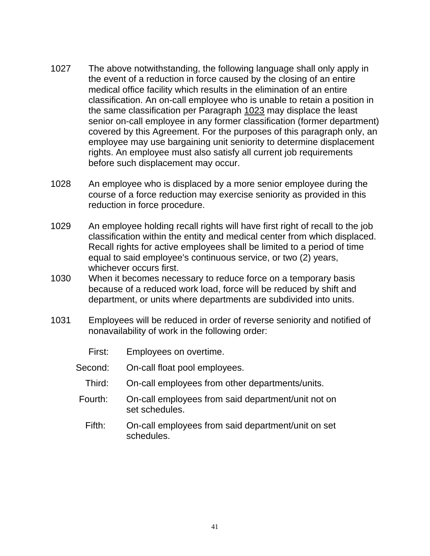- 1027 The above notwithstanding, the following language shall only apply in the event of a reduction in force caused by the closing of an entire medical office facility which results in the elimination of an entire classification. An on-call employee who is unable to retain a position in the same classification per Paragraph 1023 may displace the least senior on-call employee in any former classification (former department) covered by this Agreement. For the purposes of this paragraph only, an employee may use bargaining unit seniority to determine displacement rights. An employee must also satisfy all current job requirements before such displacement may occur.
- 1028 An employee who is displaced by a more senior employee during the course of a force reduction may exercise seniority as provided in this reduction in force procedure.
- 1029 An employee holding recall rights will have first right of recall to the job classification within the entity and medical center from which displaced. Recall rights for active employees shall be limited to a period of time equal to said employee's continuous service, or two (2) years, whichever occurs first.
- 1030 When it becomes necessary to reduce force on a temporary basis because of a reduced work load, force will be reduced by shift and department, or units where departments are subdivided into units.
- 1031 Employees will be reduced in order of reverse seniority and notified of nonavailability of work in the following order:
	- First: Employees on overtime.
	- Second: On-call float pool employees.
		- Third: On-call employees from other departments/units.
	- Fourth: On-call employees from said department/unit not on set schedules.
		- Fifth: On-call employees from said department/unit on set schedules.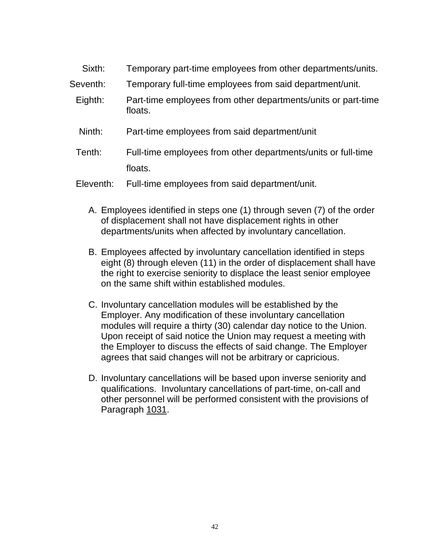| Sixth:    | Temporary part-time employees from other departments/units.              |
|-----------|--------------------------------------------------------------------------|
| Seventh:  | Temporary full-time employees from said department/unit.                 |
| Eighth:   | Part-time employees from other departments/units or part-time<br>floats. |
| Ninth:    | Part-time employees from said department/unit                            |
| Tenth:    | Full-time employees from other departments/units or full-time            |
|           | floats.                                                                  |
| Eleventh: | Full-time employees from said department/unit.                           |

- A. Employees identified in steps one (1) through seven (7) of the order of displacement shall not have displacement rights in other departments/units when affected by involuntary cancellation.
- B. Employees affected by involuntary cancellation identified in steps eight (8) through eleven (11) in the order of displacement shall have the right to exercise seniority to displace the least senior employee on the same shift within established modules.
- C. Involuntary cancellation modules will be established by the Employer. Any modification of these involuntary cancellation modules will require a thirty (30) calendar day notice to the Union. Upon receipt of said notice the Union may request a meeting with the Employer to discuss the effects of said change. The Employer agrees that said changes will not be arbitrary or capricious.
- D. Involuntary cancellations will be based upon inverse seniority and qualifications. Involuntary cancellations of part-time, on-call and other personnel will be performed consistent with the provisions of Paragraph 1031.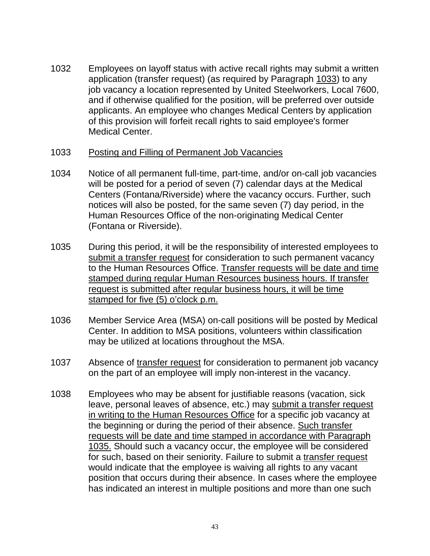1032 Employees on layoff status with active recall rights may submit a written application (transfer request) (as required by Paragraph 1033) to any job vacancy a location represented by United Steelworkers, Local 7600, and if otherwise qualified for the position, will be preferred over outside applicants. An employee who changes Medical Centers by application of this provision will forfeit recall rights to said employee's former Medical Center.

#### 1033 Posting and Filling of Permanent Job Vacancies

- 1034 Notice of all permanent full-time, part-time, and/or on-call job vacancies will be posted for a period of seven (7) calendar days at the Medical Centers (Fontana/Riverside) where the vacancy occurs. Further, such notices will also be posted, for the same seven (7) day period, in the Human Resources Office of the non-originating Medical Center (Fontana or Riverside).
- 1035 During this period, it will be the responsibility of interested employees to submit a transfer request for consideration to such permanent vacancy to the Human Resources Office. Transfer requests will be date and time stamped during regular Human Resources business hours. If transfer request is submitted after regular business hours, it will be time stamped for five (5) o'clock p.m.
- 1036 Member Service Area (MSA) on-call positions will be posted by Medical Center. In addition to MSA positions, volunteers within classification may be utilized at locations throughout the MSA.
- 1037 Absence of transfer request for consideration to permanent job vacancy on the part of an employee will imply non-interest in the vacancy.
- 1038 Employees who may be absent for justifiable reasons (vacation, sick leave, personal leaves of absence, etc.) may submit a transfer request in writing to the Human Resources Office for a specific job vacancy at the beginning or during the period of their absence. Such transfer requests will be date and time stamped in accordance with Paragraph 1035. Should such a vacancy occur, the employee will be considered for such, based on their seniority. Failure to submit a transfer request would indicate that the employee is waiving all rights to any vacant position that occurs during their absence. In cases where the employee has indicated an interest in multiple positions and more than one such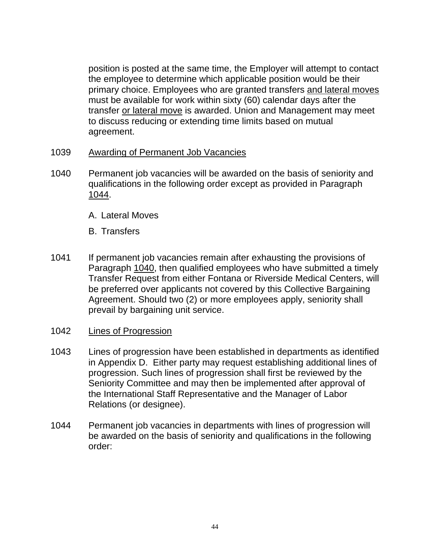position is posted at the same time, the Employer will attempt to contact the employee to determine which applicable position would be their primary choice. Employees who are granted transfers and lateral moves must be available for work within sixty (60) calendar days after the transfer or lateral move is awarded. Union and Management may meet to discuss reducing or extending time limits based on mutual agreement.

- 1039 Awarding of Permanent Job Vacancies
- 1040 Permanent job vacancies will be awarded on the basis of seniority and qualifications in the following order except as provided in Paragraph 1044.
	- A. Lateral Moves
	- B. Transfers
- 1041 If permanent job vacancies remain after exhausting the provisions of Paragraph 1040, then qualified employees who have submitted a timely Transfer Request from either Fontana or Riverside Medical Centers, will be preferred over applicants not covered by this Collective Bargaining Agreement. Should two (2) or more employees apply, seniority shall prevail by bargaining unit service.
- 1042 Lines of Progression
- 1043 Lines of progression have been established in departments as identified in Appendix D. Either party may request establishing additional lines of progression. Such lines of progression shall first be reviewed by the Seniority Committee and may then be implemented after approval of the International Staff Representative and the Manager of Labor Relations (or designee).
- 1044 Permanent job vacancies in departments with lines of progression will be awarded on the basis of seniority and qualifications in the following order: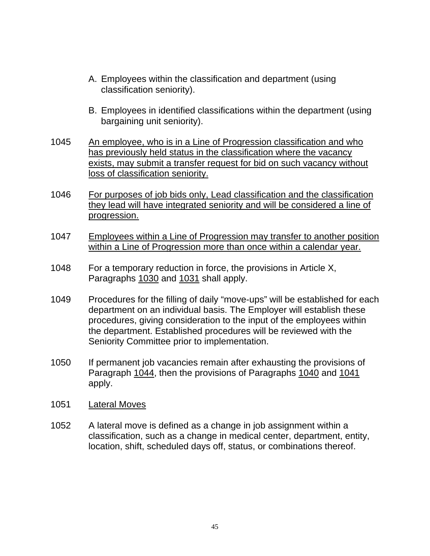- A. Employees within the classification and department (using classification seniority).
- B. Employees in identified classifications within the department (using bargaining unit seniority).
- 1045 An employee, who is in a Line of Progression classification and who has previously held status in the classification where the vacancy exists, may submit a transfer request for bid on such vacancy without loss of classification seniority.
- 1046 For purposes of job bids only, Lead classification and the classification they lead will have integrated seniority and will be considered a line of progression.
- 1047 Employees within a Line of Progression may transfer to another position within a Line of Progression more than once within a calendar year.
- 1048 For a temporary reduction in force, the provisions in Article X, Paragraphs 1030 and 1031 shall apply.
- 1049 Procedures for the filling of daily "move-ups" will be established for each department on an individual basis. The Employer will establish these procedures, giving consideration to the input of the employees within the department. Established procedures will be reviewed with the Seniority Committee prior to implementation.
- 1050 If permanent job vacancies remain after exhausting the provisions of Paragraph 1044, then the provisions of Paragraphs 1040 and 1041 apply.
- 1051 Lateral Moves
- 1052 A lateral move is defined as a change in job assignment within a classification, such as a change in medical center, department, entity, location, shift, scheduled days off, status, or combinations thereof.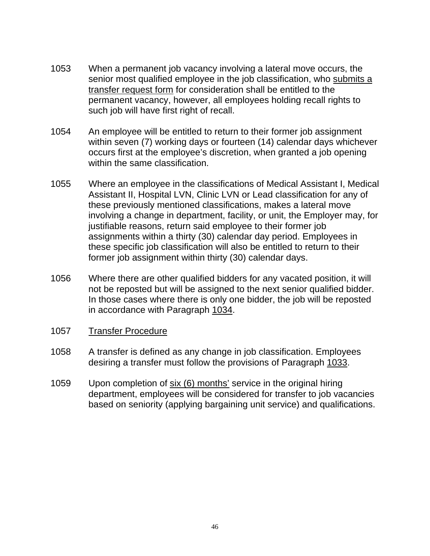- 1053 When a permanent job vacancy involving a lateral move occurs, the senior most qualified employee in the job classification, who submits a transfer request form for consideration shall be entitled to the permanent vacancy, however, all employees holding recall rights to such job will have first right of recall.
- 1054 An employee will be entitled to return to their former job assignment within seven (7) working days or fourteen (14) calendar days whichever occurs first at the employee's discretion, when granted a job opening within the same classification.
- 1055 Where an employee in the classifications of Medical Assistant I, Medical Assistant II, Hospital LVN, Clinic LVN or Lead classification for any of these previously mentioned classifications, makes a lateral move involving a change in department, facility, or unit, the Employer may, for justifiable reasons, return said employee to their former job assignments within a thirty (30) calendar day period. Employees in these specific job classification will also be entitled to return to their former job assignment within thirty (30) calendar days.
- 1056 Where there are other qualified bidders for any vacated position, it will not be reposted but will be assigned to the next senior qualified bidder. In those cases where there is only one bidder, the job will be reposted in accordance with Paragraph 1034.
- 1057 Transfer Procedure
- 1058 A transfer is defined as any change in job classification. Employees desiring a transfer must follow the provisions of Paragraph 1033.
- 1059 Upon completion of six (6) months' service in the original hiring department, employees will be considered for transfer to job vacancies based on seniority (applying bargaining unit service) and qualifications.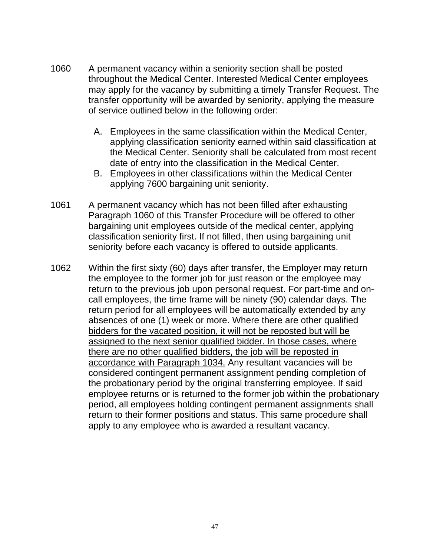- 1060 A permanent vacancy within a seniority section shall be posted throughout the Medical Center. Interested Medical Center employees may apply for the vacancy by submitting a timely Transfer Request. The transfer opportunity will be awarded by seniority, applying the measure of service outlined below in the following order:
	- A. Employees in the same classification within the Medical Center, applying classification seniority earned within said classification at the Medical Center. Seniority shall be calculated from most recent date of entry into the classification in the Medical Center.
	- B. Employees in other classifications within the Medical Center applying 7600 bargaining unit seniority.
- 1061 A permanent vacancy which has not been filled after exhausting Paragraph 1060 of this Transfer Procedure will be offered to other bargaining unit employees outside of the medical center, applying classification seniority first. If not filled, then using bargaining unit seniority before each vacancy is offered to outside applicants.
- 1062 Within the first sixty (60) days after transfer, the Employer may return the employee to the former job for just reason or the employee may return to the previous job upon personal request. For part-time and oncall employees, the time frame will be ninety (90) calendar days. The return period for all employees will be automatically extended by any absences of one (1) week or more. Where there are other qualified bidders for the vacated position, it will not be reposted but will be assigned to the next senior qualified bidder. In those cases, where there are no other qualified bidders, the job will be reposted in accordance with Paragraph 1034. Any resultant vacancies will be considered contingent permanent assignment pending completion of the probationary period by the original transferring employee. If said employee returns or is returned to the former job within the probationary period, all employees holding contingent permanent assignments shall return to their former positions and status. This same procedure shall apply to any employee who is awarded a resultant vacancy.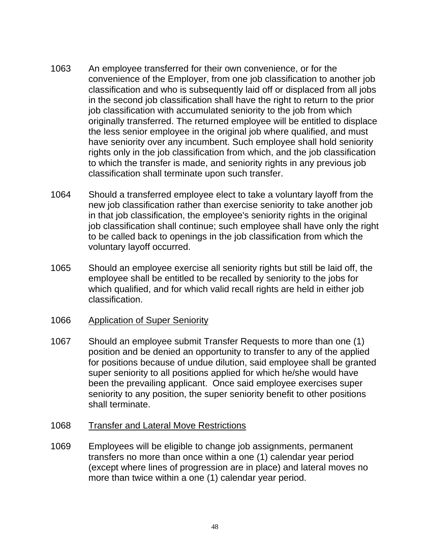- 1063 An employee transferred for their own convenience, or for the convenience of the Employer, from one job classification to another job classification and who is subsequently laid off or displaced from all jobs in the second job classification shall have the right to return to the prior job classification with accumulated seniority to the job from which originally transferred. The returned employee will be entitled to displace the less senior employee in the original job where qualified, and must have seniority over any incumbent. Such employee shall hold seniority rights only in the job classification from which, and the job classification to which the transfer is made, and seniority rights in any previous job classification shall terminate upon such transfer.
- 1064 Should a transferred employee elect to take a voluntary layoff from the new job classification rather than exercise seniority to take another job in that job classification, the employee's seniority rights in the original job classification shall continue; such employee shall have only the right to be called back to openings in the job classification from which the voluntary layoff occurred.
- 1065 Should an employee exercise all seniority rights but still be laid off, the employee shall be entitled to be recalled by seniority to the jobs for which qualified, and for which valid recall rights are held in either job classification.

#### 1066 Application of Super Seniority

- 1067 Should an employee submit Transfer Requests to more than one (1) position and be denied an opportunity to transfer to any of the applied for positions because of undue dilution, said employee shall be granted super seniority to all positions applied for which he/she would have been the prevailing applicant. Once said employee exercises super seniority to any position, the super seniority benefit to other positions shall terminate.
- 1068 Transfer and Lateral Move Restrictions
- 1069 Employees will be eligible to change job assignments, permanent transfers no more than once within a one (1) calendar year period (except where lines of progression are in place) and lateral moves no more than twice within a one (1) calendar year period.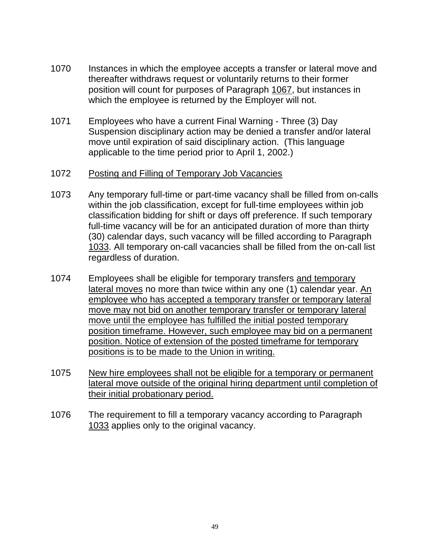- 1070 Instances in which the employee accepts a transfer or lateral move and thereafter withdraws request or voluntarily returns to their former position will count for purposes of Paragraph 1067, but instances in which the employee is returned by the Employer will not.
- 1071 Employees who have a current Final Warning Three (3) Day Suspension disciplinary action may be denied a transfer and/or lateral move until expiration of said disciplinary action. (This language applicable to the time period prior to April 1, 2002.)

### 1072 Posting and Filling of Temporary Job Vacancies

- 1073 Any temporary full-time or part-time vacancy shall be filled from on-calls within the job classification, except for full-time employees within job classification bidding for shift or days off preference. If such temporary full-time vacancy will be for an anticipated duration of more than thirty (30) calendar days, such vacancy will be filled according to Paragraph 1033. All temporary on-call vacancies shall be filled from the on-call list regardless of duration.
- 1074 Employees shall be eligible for temporary transfers and temporary lateral moves no more than twice within any one (1) calendar year. An employee who has accepted a temporary transfer or temporary lateral move may not bid on another temporary transfer or temporary lateral move until the employee has fulfilled the initial posted temporary position timeframe. However, such employee may bid on a permanent position. Notice of extension of the posted timeframe for temporary positions is to be made to the Union in writing.
- 1075 New hire employees shall not be eligible for a temporary or permanent lateral move outside of the original hiring department until completion of their initial probationary period.
- 1076 The requirement to fill a temporary vacancy according to Paragraph 1033 applies only to the original vacancy.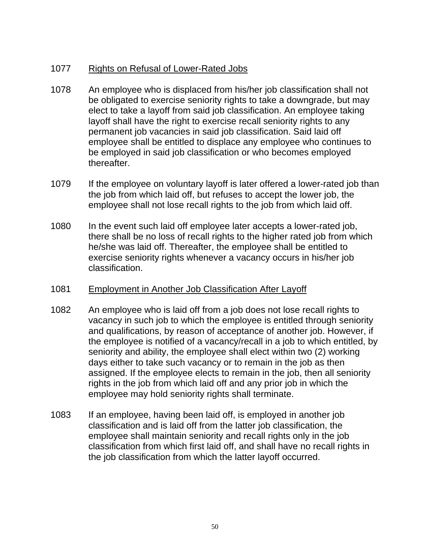# 1077 Rights on Refusal of Lower-Rated Jobs

- 1078 An employee who is displaced from his/her job classification shall not be obligated to exercise seniority rights to take a downgrade, but may elect to take a layoff from said job classification. An employee taking layoff shall have the right to exercise recall seniority rights to any permanent job vacancies in said job classification. Said laid off employee shall be entitled to displace any employee who continues to be employed in said job classification or who becomes employed thereafter.
- 1079 If the employee on voluntary layoff is later offered a lower-rated job than the job from which laid off, but refuses to accept the lower job, the employee shall not lose recall rights to the job from which laid off.
- 1080 In the event such laid off employee later accepts a lower-rated job, there shall be no loss of recall rights to the higher rated job from which he/she was laid off. Thereafter, the employee shall be entitled to exercise seniority rights whenever a vacancy occurs in his/her job classification.

### 1081 Employment in Another Job Classification After Layoff

- 1082 An employee who is laid off from a job does not lose recall rights to vacancy in such job to which the employee is entitled through seniority and qualifications, by reason of acceptance of another job. However, if the employee is notified of a vacancy/recall in a job to which entitled, by seniority and ability, the employee shall elect within two (2) working days either to take such vacancy or to remain in the job as then assigned. If the employee elects to remain in the job, then all seniority rights in the job from which laid off and any prior job in which the employee may hold seniority rights shall terminate.
- 1083 If an employee, having been laid off, is employed in another job classification and is laid off from the latter job classification, the employee shall maintain seniority and recall rights only in the job classification from which first laid off, and shall have no recall rights in the job classification from which the latter layoff occurred.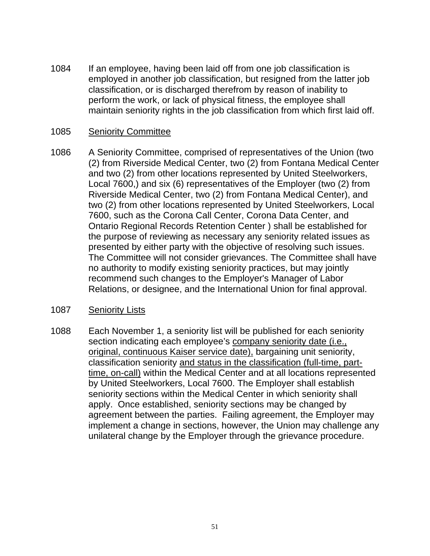1084 If an employee, having been laid off from one job classification is employed in another job classification, but resigned from the latter job classification, or is discharged therefrom by reason of inability to perform the work, or lack of physical fitness, the employee shall maintain seniority rights in the job classification from which first laid off.

### 1085 Seniority Committee

1086 A Seniority Committee, comprised of representatives of the Union (two (2) from Riverside Medical Center, two (2) from Fontana Medical Center and two (2) from other locations represented by United Steelworkers, Local 7600,) and six (6) representatives of the Employer (two (2) from Riverside Medical Center, two (2) from Fontana Medical Center), and two (2) from other locations represented by United Steelworkers, Local 7600, such as the Corona Call Center, Corona Data Center, and Ontario Regional Records Retention Center ) shall be established for the purpose of reviewing as necessary any seniority related issues as presented by either party with the objective of resolving such issues. The Committee will not consider grievances. The Committee shall have no authority to modify existing seniority practices, but may jointly recommend such changes to the Employer's Manager of Labor Relations, or designee, and the International Union for final approval.

### 1087 Seniority Lists

1088 Each November 1, a seniority list will be published for each seniority section indicating each employee's company seniority date (i.e., original, continuous Kaiser service date), bargaining unit seniority, classification seniority and status in the classification (full-time, parttime, on-call) within the Medical Center and at all locations represented by United Steelworkers, Local 7600. The Employer shall establish seniority sections within the Medical Center in which seniority shall apply. Once established, seniority sections may be changed by agreement between the parties. Failing agreement, the Employer may implement a change in sections, however, the Union may challenge any unilateral change by the Employer through the grievance procedure.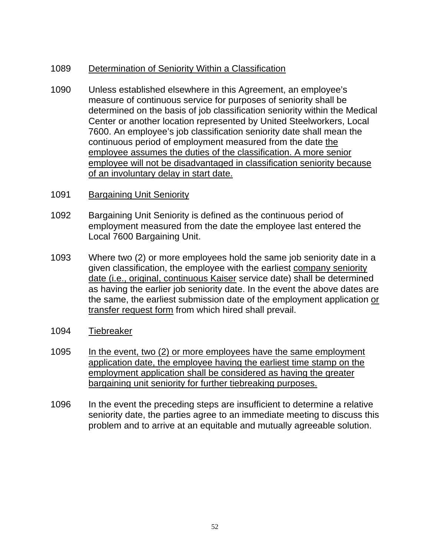# 1089 Determination of Seniority Within a Classification

- 1090 Unless established elsewhere in this Agreement, an employee's measure of continuous service for purposes of seniority shall be determined on the basis of job classification seniority within the Medical Center or another location represented by United Steelworkers, Local 7600. An employee's job classification seniority date shall mean the continuous period of employment measured from the date the employee assumes the duties of the classification. A more senior employee will not be disadvantaged in classification seniority because of an involuntary delay in start date.
- 1091 Bargaining Unit Seniority
- 1092 Bargaining Unit Seniority is defined as the continuous period of employment measured from the date the employee last entered the Local 7600 Bargaining Unit.
- 1093 Where two (2) or more employees hold the same job seniority date in a given classification, the employee with the earliest company seniority date (i.e., original, continuous Kaiser service date) shall be determined as having the earlier job seniority date. In the event the above dates are the same, the earliest submission date of the employment application or transfer request form from which hired shall prevail.
- 1094 Tiebreaker
- 1095 In the event, two (2) or more employees have the same employment application date, the employee having the earliest time stamp on the employment application shall be considered as having the greater bargaining unit seniority for further tiebreaking purposes.
- 1096 In the event the preceding steps are insufficient to determine a relative seniority date, the parties agree to an immediate meeting to discuss this problem and to arrive at an equitable and mutually agreeable solution.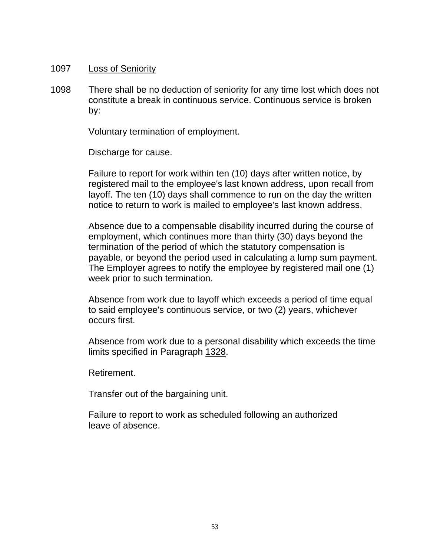#### 1097 Loss of Seniority

1098 There shall be no deduction of seniority for any time lost which does not constitute a break in continuous service. Continuous service is broken by:

Voluntary termination of employment.

Discharge for cause.

Failure to report for work within ten (10) days after written notice, by registered mail to the employee's last known address, upon recall from layoff. The ten (10) days shall commence to run on the day the written notice to return to work is mailed to employee's last known address.

Absence due to a compensable disability incurred during the course of employment, which continues more than thirty (30) days beyond the termination of the period of which the statutory compensation is payable, or beyond the period used in calculating a lump sum payment. The Employer agrees to notify the employee by registered mail one (1) week prior to such termination.

Absence from work due to layoff which exceeds a period of time equal to said employee's continuous service, or two (2) years, whichever occurs first.

Absence from work due to a personal disability which exceeds the time limits specified in Paragraph 1328.

Retirement.

Transfer out of the bargaining unit.

Failure to report to work as scheduled following an authorized leave of absence.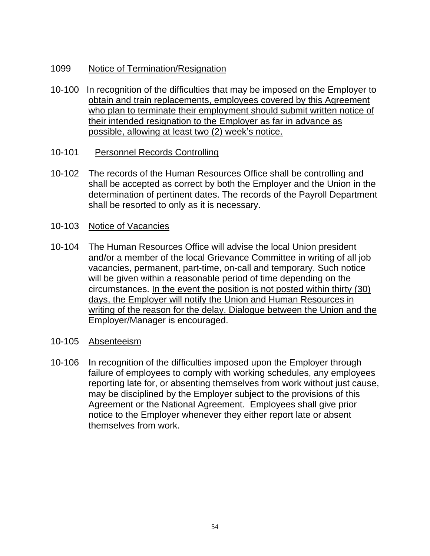# 1099 Notice of Termination/Resignation

- 10-100 In recognition of the difficulties that may be imposed on the Employer to obtain and train replacements, employees covered by this Agreement who plan to terminate their employment should submit written notice of their intended resignation to the Employer as far in advance as possible, allowing at least two (2) week's notice.
- 10-101 Personnel Records Controlling
- 10-102 The records of the Human Resources Office shall be controlling and shall be accepted as correct by both the Employer and the Union in the determination of pertinent dates. The records of the Payroll Department shall be resorted to only as it is necessary.
- 10-103 Notice of Vacancies
- 10-104 The Human Resources Office will advise the local Union president and/or a member of the local Grievance Committee in writing of all job vacancies, permanent, part-time, on-call and temporary. Such notice will be given within a reasonable period of time depending on the circumstances. In the event the position is not posted within thirty (30) days, the Employer will notify the Union and Human Resources in writing of the reason for the delay. Dialogue between the Union and the Employer/Manager is encouraged.
- 10-105 Absenteeism
- 10-106 In recognition of the difficulties imposed upon the Employer through failure of employees to comply with working schedules, any employees reporting late for, or absenting themselves from work without just cause, may be disciplined by the Employer subject to the provisions of this Agreement or the National Agreement. Employees shall give prior notice to the Employer whenever they either report late or absent themselves from work.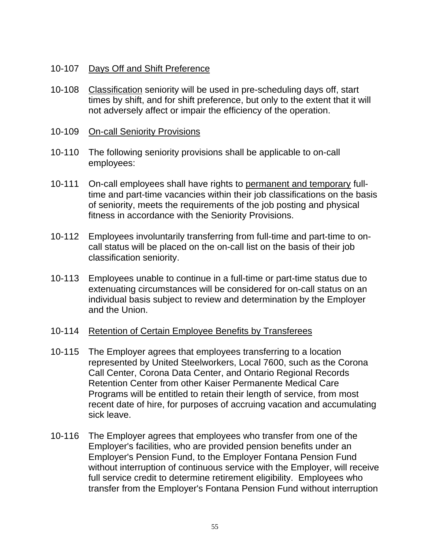### 10-107 Days Off and Shift Preference

- 10-108 Classification seniority will be used in pre-scheduling days off, start times by shift, and for shift preference, but only to the extent that it will not adversely affect or impair the efficiency of the operation.
- 10-109 On-call Seniority Provisions
- 10-110 The following seniority provisions shall be applicable to on-call employees:
- 10-111 On-call employees shall have rights to permanent and temporary fulltime and part-time vacancies within their job classifications on the basis of seniority, meets the requirements of the job posting and physical fitness in accordance with the Seniority Provisions.
- 10-112 Employees involuntarily transferring from full-time and part-time to oncall status will be placed on the on-call list on the basis of their job classification seniority.
- 10-113 Employees unable to continue in a full-time or part-time status due to extenuating circumstances will be considered for on-call status on an individual basis subject to review and determination by the Employer and the Union.

### 10-114 Retention of Certain Employee Benefits by Transferees

- 10-115 The Employer agrees that employees transferring to a location represented by United Steelworkers, Local 7600, such as the Corona Call Center, Corona Data Center, and Ontario Regional Records Retention Center from other Kaiser Permanente Medical Care Programs will be entitled to retain their length of service, from most recent date of hire, for purposes of accruing vacation and accumulating sick leave.
- 10-116 The Employer agrees that employees who transfer from one of the Employer's facilities, who are provided pension benefits under an Employer's Pension Fund, to the Employer Fontana Pension Fund without interruption of continuous service with the Employer, will receive full service credit to determine retirement eligibility. Employees who transfer from the Employer's Fontana Pension Fund without interruption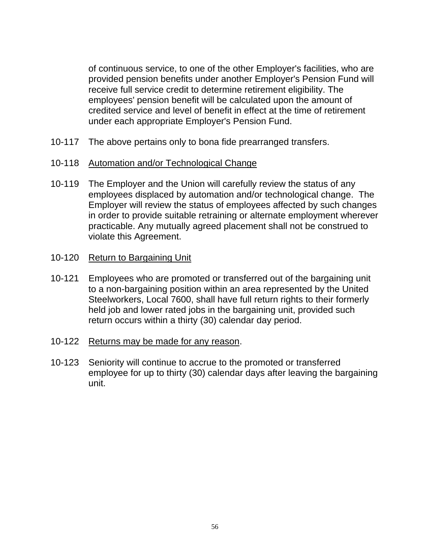of continuous service, to one of the other Employer's facilities, who are provided pension benefits under another Employer's Pension Fund will receive full service credit to determine retirement eligibility. The employees' pension benefit will be calculated upon the amount of credited service and level of benefit in effect at the time of retirement under each appropriate Employer's Pension Fund.

- 10-117 The above pertains only to bona fide prearranged transfers.
- 10-118 Automation and/or Technological Change
- 10-119 The Employer and the Union will carefully review the status of any employees displaced by automation and/or technological change. The Employer will review the status of employees affected by such changes in order to provide suitable retraining or alternate employment wherever practicable. Any mutually agreed placement shall not be construed to violate this Agreement.
- 10-120 Return to Bargaining Unit
- 10-121 Employees who are promoted or transferred out of the bargaining unit to a non-bargaining position within an area represented by the United Steelworkers, Local 7600, shall have full return rights to their formerly held job and lower rated jobs in the bargaining unit, provided such return occurs within a thirty (30) calendar day period.
- 10-122 Returns may be made for any reason.
- 10-123 Seniority will continue to accrue to the promoted or transferred employee for up to thirty (30) calendar days after leaving the bargaining unit.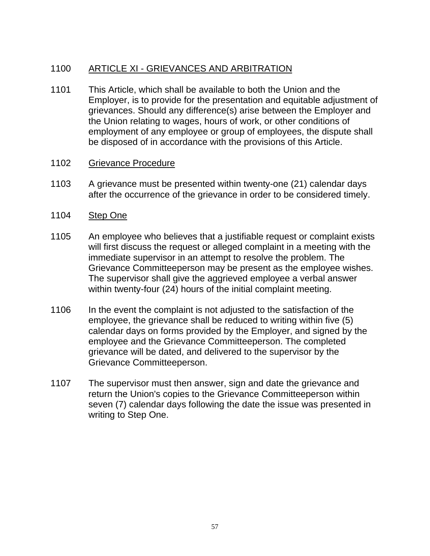# 1100 ARTICLE XI - GRIEVANCES AND ARBITRATION

1101 This Article, which shall be available to both the Union and the Employer, is to provide for the presentation and equitable adjustment of grievances. Should any difference(s) arise between the Employer and the Union relating to wages, hours of work, or other conditions of employment of any employee or group of employees, the dispute shall be disposed of in accordance with the provisions of this Article.

#### 1102 Grievance Procedure

- 1103 A grievance must be presented within twenty-one (21) calendar days after the occurrence of the grievance in order to be considered timely.
- 1104 Step One
- 1105 An employee who believes that a justifiable request or complaint exists will first discuss the request or alleged complaint in a meeting with the immediate supervisor in an attempt to resolve the problem. The Grievance Committeeperson may be present as the employee wishes. The supervisor shall give the aggrieved employee a verbal answer within twenty-four (24) hours of the initial complaint meeting.
- 1106 In the event the complaint is not adjusted to the satisfaction of the employee, the grievance shall be reduced to writing within five (5) calendar days on forms provided by the Employer, and signed by the employee and the Grievance Committeeperson. The completed grievance will be dated, and delivered to the supervisor by the Grievance Committeeperson.
- 1107 The supervisor must then answer, sign and date the grievance and return the Union's copies to the Grievance Committeeperson within seven (7) calendar days following the date the issue was presented in writing to Step One.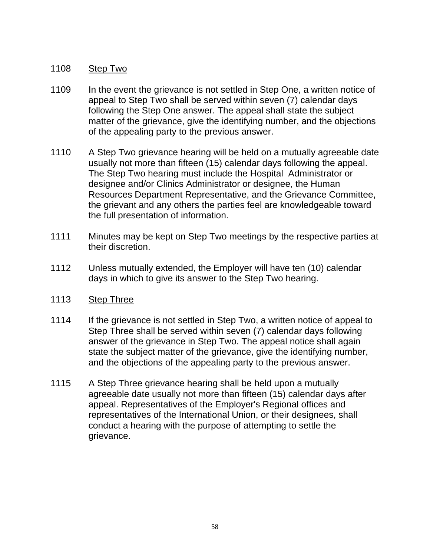## 1108 Step Two

- 1109 In the event the grievance is not settled in Step One, a written notice of appeal to Step Two shall be served within seven (7) calendar days following the Step One answer. The appeal shall state the subject matter of the grievance, give the identifying number, and the objections of the appealing party to the previous answer.
- 1110 A Step Two grievance hearing will be held on a mutually agreeable date usually not more than fifteen (15) calendar days following the appeal. The Step Two hearing must include the Hospital Administrator or designee and/or Clinics Administrator or designee, the Human Resources Department Representative, and the Grievance Committee, the grievant and any others the parties feel are knowledgeable toward the full presentation of information.
- 1111 Minutes may be kept on Step Two meetings by the respective parties at their discretion.
- 1112 Unless mutually extended, the Employer will have ten (10) calendar days in which to give its answer to the Step Two hearing.
- 1113 Step Three
- 1114 If the grievance is not settled in Step Two, a written notice of appeal to Step Three shall be served within seven (7) calendar days following answer of the grievance in Step Two. The appeal notice shall again state the subject matter of the grievance, give the identifying number, and the objections of the appealing party to the previous answer.
- 1115 A Step Three grievance hearing shall be held upon a mutually agreeable date usually not more than fifteen (15) calendar days after appeal. Representatives of the Employer's Regional offices and representatives of the International Union, or their designees, shall conduct a hearing with the purpose of attempting to settle the grievance.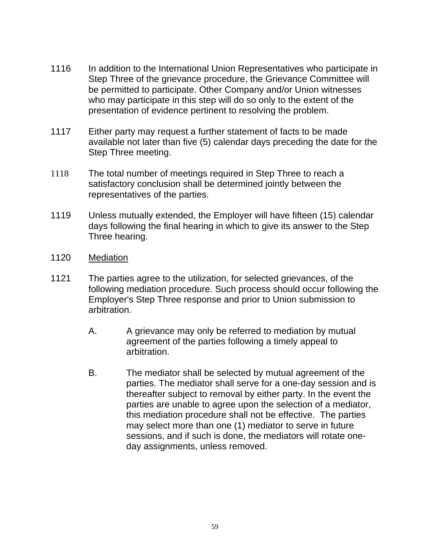- 1116 In addition to the International Union Representatives who participate in Step Three of the grievance procedure, the Grievance Committee will be permitted to participate. Other Company and/or Union witnesses who may participate in this step will do so only to the extent of the presentation of evidence pertinent to resolving the problem.
- 1117 Either party may request a further statement of facts to be made available not later than five (5) calendar days preceding the date for the Step Three meeting.
- 1118 The total number of meetings required in Step Three to reach a satisfactory conclusion shall be determined jointly between the representatives of the parties.
- 1119 Unless mutually extended, the Employer will have fifteen (15) calendar days following the final hearing in which to give its answer to the Step Three hearing.
- 1120 Mediation
- 1121 The parties agree to the utilization, for selected grievances, of the following mediation procedure. Such process should occur following the Employer's Step Three response and prior to Union submission to arbitration.
	- A. A grievance may only be referred to mediation by mutual agreement of the parties following a timely appeal to arbitration.
	- B. The mediator shall be selected by mutual agreement of the parties. The mediator shall serve for a one-day session and is thereafter subject to removal by either party. In the event the parties are unable to agree upon the selection of a mediator, this mediation procedure shall not be effective. The parties may select more than one (1) mediator to serve in future sessions, and if such is done, the mediators will rotate oneday assignments, unless removed.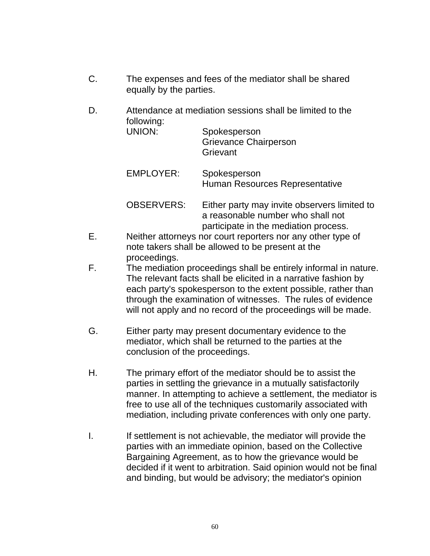- C. The expenses and fees of the mediator shall be shared equally by the parties.
- D. Attendance at mediation sessions shall be limited to the following:

| UNION:            | Spokesperson<br><b>Grievance Chairperson</b><br>Grievant                          |
|-------------------|-----------------------------------------------------------------------------------|
| <b>EMPLOYER:</b>  | Spokesperson<br>Human Resources Representative                                    |
| <b>OBSERVERS:</b> | Either party may invite observers limited to<br>a reasonable number who shall not |

- participate in the mediation process. E. Neither attorneys nor court reporters nor any other type of note takers shall be allowed to be present at the proceedings.
- F. The mediation proceedings shall be entirely informal in nature. The relevant facts shall be elicited in a narrative fashion by each party's spokesperson to the extent possible, rather than through the examination of witnesses. The rules of evidence will not apply and no record of the proceedings will be made.
- G. Either party may present documentary evidence to the mediator, which shall be returned to the parties at the conclusion of the proceedings.
- H. The primary effort of the mediator should be to assist the parties in settling the grievance in a mutually satisfactorily manner. In attempting to achieve a settlement, the mediator is free to use all of the techniques customarily associated with mediation, including private conferences with only one party.
- I. If settlement is not achievable, the mediator will provide the parties with an immediate opinion, based on the Collective Bargaining Agreement, as to how the grievance would be decided if it went to arbitration. Said opinion would not be final and binding, but would be advisory; the mediator's opinion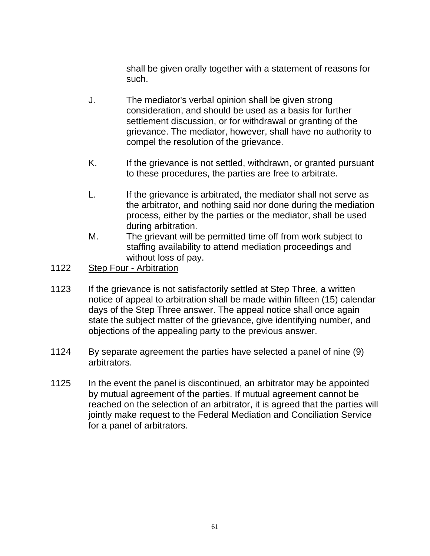shall be given orally together with a statement of reasons for such.

- J. The mediator's verbal opinion shall be given strong consideration, and should be used as a basis for further settlement discussion, or for withdrawal or granting of the grievance. The mediator, however, shall have no authority to compel the resolution of the grievance.
- K. If the grievance is not settled, withdrawn, or granted pursuant to these procedures, the parties are free to arbitrate.
- L. If the grievance is arbitrated, the mediator shall not serve as the arbitrator, and nothing said nor done during the mediation process, either by the parties or the mediator, shall be used during arbitration.
- M. The grievant will be permitted time off from work subject to staffing availability to attend mediation proceedings and without loss of pay.
- 1122 Step Four Arbitration
- 1123 If the grievance is not satisfactorily settled at Step Three, a written notice of appeal to arbitration shall be made within fifteen (15) calendar days of the Step Three answer. The appeal notice shall once again state the subject matter of the grievance, give identifying number, and objections of the appealing party to the previous answer.
- 1124 By separate agreement the parties have selected a panel of nine (9) arbitrators.
- 1125 In the event the panel is discontinued, an arbitrator may be appointed by mutual agreement of the parties. If mutual agreement cannot be reached on the selection of an arbitrator, it is agreed that the parties will jointly make request to the Federal Mediation and Conciliation Service for a panel of arbitrators.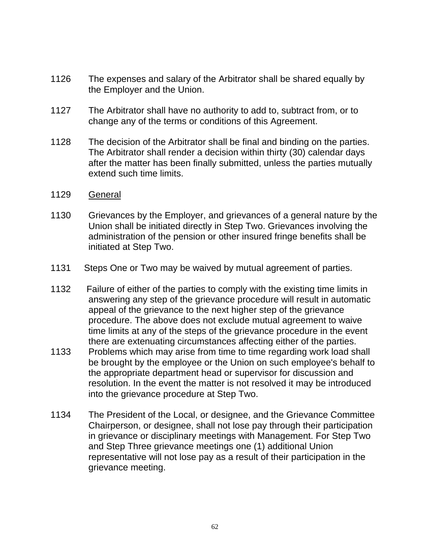- 1126 The expenses and salary of the Arbitrator shall be shared equally by the Employer and the Union.
- 1127 The Arbitrator shall have no authority to add to, subtract from, or to change any of the terms or conditions of this Agreement.
- 1128 The decision of the Arbitrator shall be final and binding on the parties. The Arbitrator shall render a decision within thirty (30) calendar days after the matter has been finally submitted, unless the parties mutually extend such time limits.
- 1129 General
- 1130 Grievances by the Employer, and grievances of a general nature by the Union shall be initiated directly in Step Two. Grievances involving the administration of the pension or other insured fringe benefits shall be initiated at Step Two.
- 1131 Steps One or Two may be waived by mutual agreement of parties.
- 1132 Failure of either of the parties to comply with the existing time limits in answering any step of the grievance procedure will result in automatic appeal of the grievance to the next higher step of the grievance procedure. The above does not exclude mutual agreement to waive time limits at any of the steps of the grievance procedure in the event there are extenuating circumstances affecting either of the parties.
- 1133 Problems which may arise from time to time regarding work load shall be brought by the employee or the Union on such employee's behalf to the appropriate department head or supervisor for discussion and resolution. In the event the matter is not resolved it may be introduced into the grievance procedure at Step Two.
- 1134 The President of the Local, or designee, and the Grievance Committee Chairperson, or designee, shall not lose pay through their participation in grievance or disciplinary meetings with Management. For Step Two and Step Three grievance meetings one (1) additional Union representative will not lose pay as a result of their participation in the grievance meeting.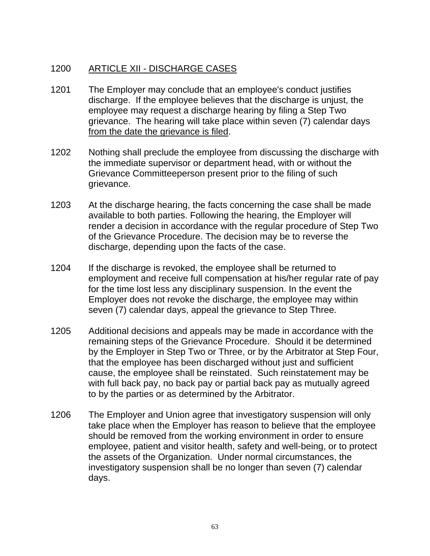# 1200 ARTICLE XII - DISCHARGE CASES

- 1201 The Employer may conclude that an employee's conduct justifies discharge. If the employee believes that the discharge is unjust, the employee may request a discharge hearing by filing a Step Two grievance. The hearing will take place within seven (7) calendar days from the date the grievance is filed.
- 1202 Nothing shall preclude the employee from discussing the discharge with the immediate supervisor or department head, with or without the Grievance Committeeperson present prior to the filing of such grievance.
- 1203 At the discharge hearing, the facts concerning the case shall be made available to both parties. Following the hearing, the Employer will render a decision in accordance with the regular procedure of Step Two of the Grievance Procedure. The decision may be to reverse the discharge, depending upon the facts of the case.
- 1204 If the discharge is revoked, the employee shall be returned to employment and receive full compensation at his/her regular rate of pay for the time lost less any disciplinary suspension. In the event the Employer does not revoke the discharge, the employee may within seven (7) calendar days, appeal the grievance to Step Three.
- 1205 Additional decisions and appeals may be made in accordance with the remaining steps of the Grievance Procedure. Should it be determined by the Employer in Step Two or Three, or by the Arbitrator at Step Four, that the employee has been discharged without just and sufficient cause, the employee shall be reinstated. Such reinstatement may be with full back pay, no back pay or partial back pay as mutually agreed to by the parties or as determined by the Arbitrator.
- 1206 The Employer and Union agree that investigatory suspension will only take place when the Employer has reason to believe that the employee should be removed from the working environment in order to ensure employee, patient and visitor health, safety and well-being, or to protect the assets of the Organization. Under normal circumstances, the investigatory suspension shall be no longer than seven (7) calendar days.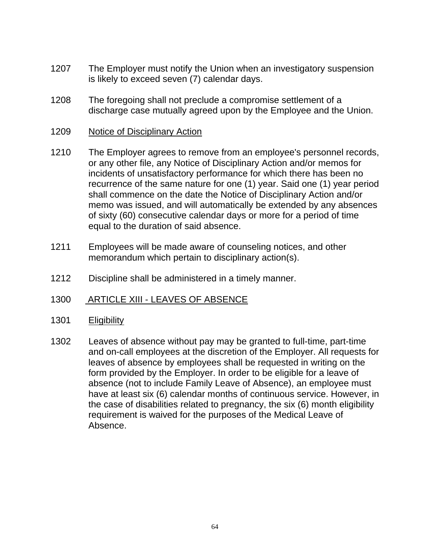- 1207 The Employer must notify the Union when an investigatory suspension is likely to exceed seven (7) calendar days.
- 1208 The foregoing shall not preclude a compromise settlement of a discharge case mutually agreed upon by the Employee and the Union.
- 1209 Notice of Disciplinary Action
- 1210 The Employer agrees to remove from an employee's personnel records, or any other file, any Notice of Disciplinary Action and/or memos for incidents of unsatisfactory performance for which there has been no recurrence of the same nature for one (1) year. Said one (1) year period shall commence on the date the Notice of Disciplinary Action and/or memo was issued, and will automatically be extended by any absences of sixty (60) consecutive calendar days or more for a period of time equal to the duration of said absence.
- 1211 Employees will be made aware of counseling notices, and other memorandum which pertain to disciplinary action(s).
- 1212 Discipline shall be administered in a timely manner.
- 1300 ARTICLE XIII LEAVES OF ABSENCE
- 1301 Eligibility
- 1302 Leaves of absence without pay may be granted to full-time, part-time and on-call employees at the discretion of the Employer. All requests for leaves of absence by employees shall be requested in writing on the form provided by the Employer. In order to be eligible for a leave of absence (not to include Family Leave of Absence), an employee must have at least six (6) calendar months of continuous service. However, in the case of disabilities related to pregnancy, the six (6) month eligibility requirement is waived for the purposes of the Medical Leave of Absence.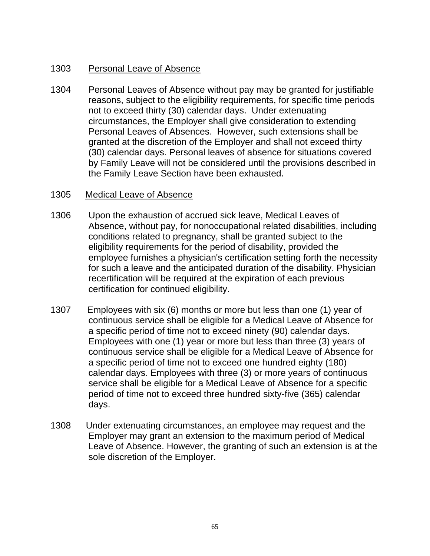# 1303 Personal Leave of Absence

1304 Personal Leaves of Absence without pay may be granted for justifiable reasons, subject to the eligibility requirements, for specific time periods not to exceed thirty (30) calendar days. Under extenuating circumstances, the Employer shall give consideration to extending Personal Leaves of Absences. However, such extensions shall be granted at the discretion of the Employer and shall not exceed thirty (30) calendar days. Personal leaves of absence for situations covered by Family Leave will not be considered until the provisions described in the Family Leave Section have been exhausted.

# 1305 Medical Leave of Absence

- 1306 Upon the exhaustion of accrued sick leave, Medical Leaves of Absence, without pay, for nonoccupational related disabilities, including conditions related to pregnancy, shall be granted subject to the eligibility requirements for the period of disability, provided the employee furnishes a physician's certification setting forth the necessity for such a leave and the anticipated duration of the disability. Physician recertification will be required at the expiration of each previous certification for continued eligibility.
- 1307 Employees with six (6) months or more but less than one (1) year of continuous service shall be eligible for a Medical Leave of Absence for a specific period of time not to exceed ninety (90) calendar days. Employees with one (1) year or more but less than three (3) years of continuous service shall be eligible for a Medical Leave of Absence for a specific period of time not to exceed one hundred eighty (180) calendar days. Employees with three (3) or more years of continuous service shall be eligible for a Medical Leave of Absence for a specific period of time not to exceed three hundred sixty-five (365) calendar days.
- 1308 Under extenuating circumstances, an employee may request and the Employer may grant an extension to the maximum period of Medical Leave of Absence. However, the granting of such an extension is at the sole discretion of the Employer.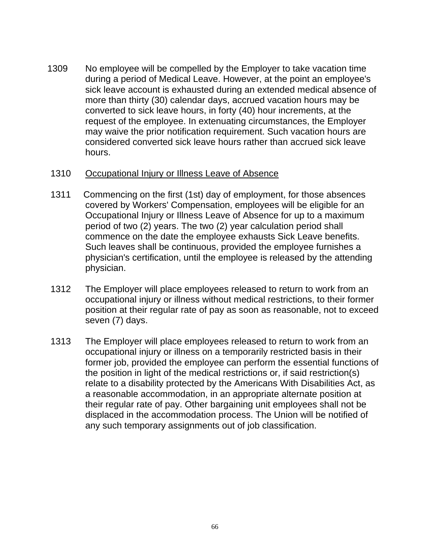1309 No employee will be compelled by the Employer to take vacation time during a period of Medical Leave. However, at the point an employee's sick leave account is exhausted during an extended medical absence of more than thirty (30) calendar days, accrued vacation hours may be converted to sick leave hours, in forty (40) hour increments, at the request of the employee. In extenuating circumstances, the Employer may waive the prior notification requirement. Such vacation hours are considered converted sick leave hours rather than accrued sick leave hours.

#### 1310 Occupational Injury or Illness Leave of Absence

- 1311 Commencing on the first (1st) day of employment, for those absences covered by Workers' Compensation, employees will be eligible for an Occupational Injury or Illness Leave of Absence for up to a maximum period of two (2) years. The two (2) year calculation period shall commence on the date the employee exhausts Sick Leave benefits. Such leaves shall be continuous, provided the employee furnishes a physician's certification, until the employee is released by the attending physician.
- 1312 The Employer will place employees released to return to work from an occupational injury or illness without medical restrictions, to their former position at their regular rate of pay as soon as reasonable, not to exceed seven (7) days.
- 1313 The Employer will place employees released to return to work from an occupational injury or illness on a temporarily restricted basis in their former job, provided the employee can perform the essential functions of the position in light of the medical restrictions or, if said restriction(s) relate to a disability protected by the Americans With Disabilities Act, as a reasonable accommodation, in an appropriate alternate position at their regular rate of pay. Other bargaining unit employees shall not be displaced in the accommodation process. The Union will be notified of any such temporary assignments out of job classification.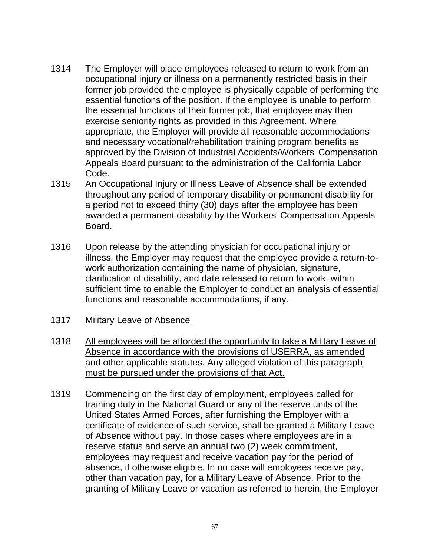- 1314 The Employer will place employees released to return to work from an occupational injury or illness on a permanently restricted basis in their former job provided the employee is physically capable of performing the essential functions of the position. If the employee is unable to perform the essential functions of their former job, that employee may then exercise seniority rights as provided in this Agreement. Where appropriate, the Employer will provide all reasonable accommodations and necessary vocational/rehabilitation training program benefits as approved by the Division of Industrial Accidents/Workers' Compensation Appeals Board pursuant to the administration of the California Labor Code.
- 1315 An Occupational Injury or Illness Leave of Absence shall be extended throughout any period of temporary disability or permanent disability for a period not to exceed thirty (30) days after the employee has been awarded a permanent disability by the Workers' Compensation Appeals Board.
- 1316 Upon release by the attending physician for occupational injury or illness, the Employer may request that the employee provide a return-towork authorization containing the name of physician, signature, clarification of disability, and date released to return to work, within sufficient time to enable the Employer to conduct an analysis of essential functions and reasonable accommodations, if any.
- 1317 Military Leave of Absence
- 1318 All employees will be afforded the opportunity to take a Military Leave of Absence in accordance with the provisions of USERRA, as amended and other applicable statutes. Any alleged violation of this paragraph must be pursued under the provisions of that Act.
- 1319 Commencing on the first day of employment, employees called for training duty in the National Guard or any of the reserve units of the United States Armed Forces, after furnishing the Employer with a certificate of evidence of such service, shall be granted a Military Leave of Absence without pay. In those cases where employees are in a reserve status and serve an annual two (2) week commitment, employees may request and receive vacation pay for the period of absence, if otherwise eligible. In no case will employees receive pay, other than vacation pay, for a Military Leave of Absence. Prior to the granting of Military Leave or vacation as referred to herein, the Employer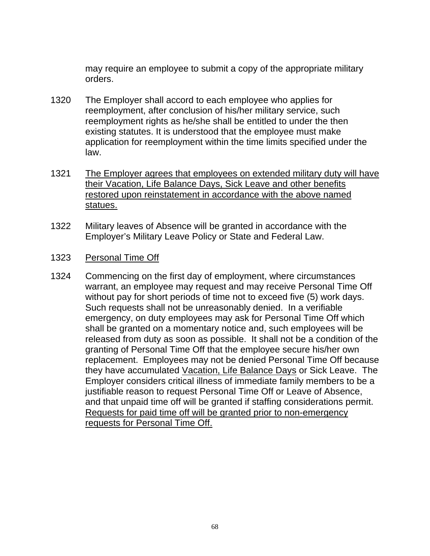may require an employee to submit a copy of the appropriate military orders.

- 1320 The Employer shall accord to each employee who applies for reemployment, after conclusion of his/her military service, such reemployment rights as he/she shall be entitled to under the then existing statutes. It is understood that the employee must make application for reemployment within the time limits specified under the law.
- 1321 The Employer agrees that employees on extended military duty will have their Vacation, Life Balance Days, Sick Leave and other benefits restored upon reinstatement in accordance with the above named statues.
- 1322 Military leaves of Absence will be granted in accordance with the Employer's Military Leave Policy or State and Federal Law.
- 1323 Personal Time Off
- 1324 Commencing on the first day of employment, where circumstances warrant, an employee may request and may receive Personal Time Off without pay for short periods of time not to exceed five (5) work days. Such requests shall not be unreasonably denied. In a verifiable emergency, on duty employees may ask for Personal Time Off which shall be granted on a momentary notice and, such employees will be released from duty as soon as possible. It shall not be a condition of the granting of Personal Time Off that the employee secure his/her own replacement. Employees may not be denied Personal Time Off because they have accumulated Vacation, Life Balance Days or Sick Leave. The Employer considers critical illness of immediate family members to be a justifiable reason to request Personal Time Off or Leave of Absence, and that unpaid time off will be granted if staffing considerations permit. Requests for paid time off will be granted prior to non-emergency requests for Personal Time Off.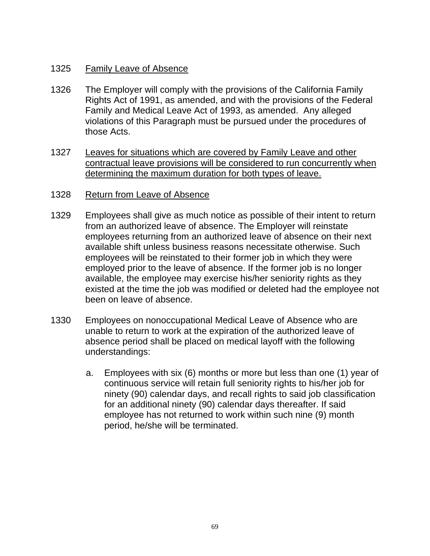# 1325 Family Leave of Absence

- 1326 The Employer will comply with the provisions of the California Family Rights Act of 1991, as amended, and with the provisions of the Federal Family and Medical Leave Act of 1993, as amended. Any alleged violations of this Paragraph must be pursued under the procedures of those Acts.
- 1327 Leaves for situations which are covered by Family Leave and other contractual leave provisions will be considered to run concurrently when determining the maximum duration for both types of leave.
- 1328 Return from Leave of Absence
- 1329 Employees shall give as much notice as possible of their intent to return from an authorized leave of absence. The Employer will reinstate employees returning from an authorized leave of absence on their next available shift unless business reasons necessitate otherwise. Such employees will be reinstated to their former job in which they were employed prior to the leave of absence. If the former job is no longer available, the employee may exercise his/her seniority rights as they existed at the time the job was modified or deleted had the employee not been on leave of absence.
- 1330 Employees on nonoccupational Medical Leave of Absence who are unable to return to work at the expiration of the authorized leave of absence period shall be placed on medical layoff with the following understandings:
	- a. Employees with six (6) months or more but less than one (1) year of continuous service will retain full seniority rights to his/her job for ninety (90) calendar days, and recall rights to said job classification for an additional ninety (90) calendar days thereafter. If said employee has not returned to work within such nine (9) month period, he/she will be terminated.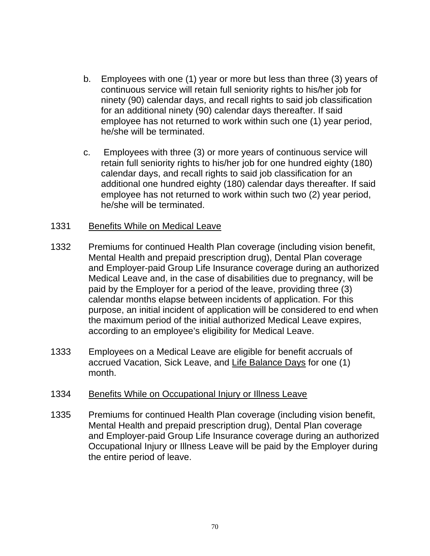- b. Employees with one (1) year or more but less than three (3) years of continuous service will retain full seniority rights to his/her job for ninety (90) calendar days, and recall rights to said job classification for an additional ninety (90) calendar days thereafter. If said employee has not returned to work within such one (1) year period, he/she will be terminated.
- c. Employees with three (3) or more years of continuous service will retain full seniority rights to his/her job for one hundred eighty (180) calendar days, and recall rights to said job classification for an additional one hundred eighty (180) calendar days thereafter. If said employee has not returned to work within such two (2) year period, he/she will be terminated.

#### 1331 Benefits While on Medical Leave

- 1332 Premiums for continued Health Plan coverage (including vision benefit, Mental Health and prepaid prescription drug), Dental Plan coverage and Employer-paid Group Life Insurance coverage during an authorized Medical Leave and, in the case of disabilities due to pregnancy, will be paid by the Employer for a period of the leave, providing three (3) calendar months elapse between incidents of application. For this purpose, an initial incident of application will be considered to end when the maximum period of the initial authorized Medical Leave expires, according to an employee's eligibility for Medical Leave.
- 1333 Employees on a Medical Leave are eligible for benefit accruals of accrued Vacation, Sick Leave, and Life Balance Days for one (1) month.

# 1334 Benefits While on Occupational Injury or Illness Leave

1335 Premiums for continued Health Plan coverage (including vision benefit, Mental Health and prepaid prescription drug), Dental Plan coverage and Employer-paid Group Life Insurance coverage during an authorized Occupational Injury or Illness Leave will be paid by the Employer during the entire period of leave.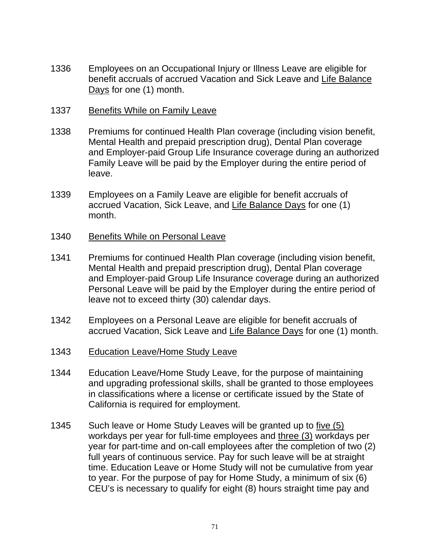- 1336 Employees on an Occupational Injury or Illness Leave are eligible for benefit accruals of accrued Vacation and Sick Leave and Life Balance Days for one (1) month.
- 1337 Benefits While on Family Leave
- 1338 Premiums for continued Health Plan coverage (including vision benefit, Mental Health and prepaid prescription drug), Dental Plan coverage and Employer-paid Group Life Insurance coverage during an authorized Family Leave will be paid by the Employer during the entire period of leave.
- 1339 Employees on a Family Leave are eligible for benefit accruals of accrued Vacation, Sick Leave, and Life Balance Days for one (1) month.
- 1340 Benefits While on Personal Leave
- 1341 Premiums for continued Health Plan coverage (including vision benefit, Mental Health and prepaid prescription drug), Dental Plan coverage and Employer-paid Group Life Insurance coverage during an authorized Personal Leave will be paid by the Employer during the entire period of leave not to exceed thirty (30) calendar days.
- 1342 Employees on a Personal Leave are eligible for benefit accruals of accrued Vacation, Sick Leave and Life Balance Days for one (1) month.
- 1343 Education Leave/Home Study Leave
- 1344 Education Leave/Home Study Leave, for the purpose of maintaining and upgrading professional skills, shall be granted to those employees in classifications where a license or certificate issued by the State of California is required for employment.
- 1345 Such leave or Home Study Leaves will be granted up to five (5) workdays per year for full-time employees and three (3) workdays per year for part-time and on-call employees after the completion of two (2) full years of continuous service. Pay for such leave will be at straight time. Education Leave or Home Study will not be cumulative from year to year. For the purpose of pay for Home Study, a minimum of six (6) CEU's is necessary to qualify for eight (8) hours straight time pay and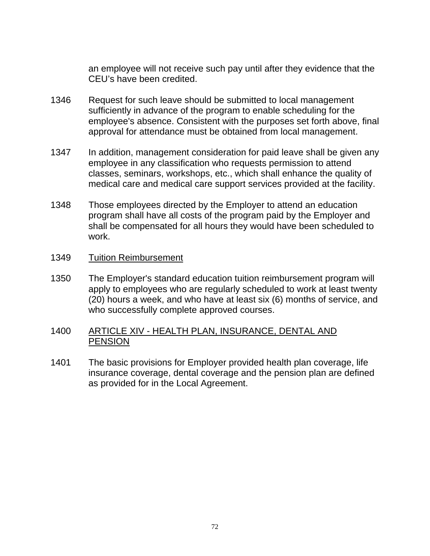an employee will not receive such pay until after they evidence that the CEU's have been credited.

- 1346 Request for such leave should be submitted to local management sufficiently in advance of the program to enable scheduling for the employee's absence. Consistent with the purposes set forth above, final approval for attendance must be obtained from local management.
- 1347 In addition, management consideration for paid leave shall be given any employee in any classification who requests permission to attend classes, seminars, workshops, etc., which shall enhance the quality of medical care and medical care support services provided at the facility.
- 1348 Those employees directed by the Employer to attend an education program shall have all costs of the program paid by the Employer and shall be compensated for all hours they would have been scheduled to work.

#### 1349 Tuition Reimbursement

1350 The Employer's standard education tuition reimbursement program will apply to employees who are regularly scheduled to work at least twenty (20) hours a week, and who have at least six (6) months of service, and who successfully complete approved courses.

# 1400 ARTICLE XIV - HEALTH PLAN, INSURANCE, DENTAL AND **PENSION**

1401 The basic provisions for Employer provided health plan coverage, life insurance coverage, dental coverage and the pension plan are defined as provided for in the Local Agreement.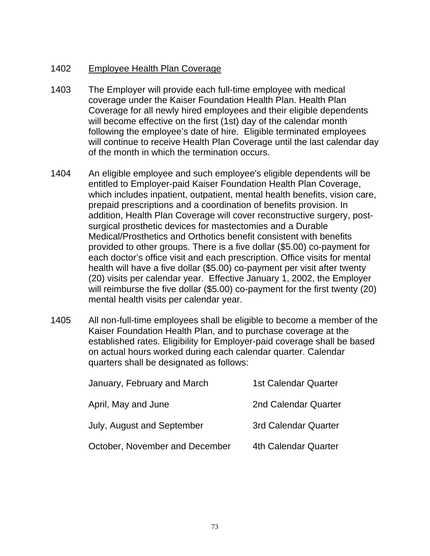# 1402 Employee Health Plan Coverage

- 1403 The Employer will provide each full-time employee with medical coverage under the Kaiser Foundation Health Plan. Health Plan Coverage for all newly hired employees and their eligible dependents will become effective on the first (1st) day of the calendar month following the employee's date of hire. Eligible terminated employees will continue to receive Health Plan Coverage until the last calendar day of the month in which the termination occurs.
- 1404 An eligible employee and such employee's eligible dependents will be entitled to Employer-paid Kaiser Foundation Health Plan Coverage, which includes inpatient, outpatient, mental health benefits, vision care, prepaid prescriptions and a coordination of benefits provision. In addition, Health Plan Coverage will cover reconstructive surgery, postsurgical prosthetic devices for mastectomies and a Durable Medical/Prosthetics and Orthotics benefit consistent with benefits provided to other groups. There is a five dollar (\$5.00) co-payment for each doctor's office visit and each prescription. Office visits for mental health will have a five dollar (\$5.00) co-payment per visit after twenty (20) visits per calendar year. Effective January 1, 2002, the Employer will reimburse the five dollar (\$5.00) co-payment for the first twenty (20) mental health visits per calendar year.
- 1405 All non-full-time employees shall be eligible to become a member of the Kaiser Foundation Health Plan, and to purchase coverage at the established rates. Eligibility for Employer-paid coverage shall be based on actual hours worked during each calendar quarter. Calendar quarters shall be designated as follows:

| January, February and March    | <b>1st Calendar Quarter</b> |
|--------------------------------|-----------------------------|
| April, May and June            | 2nd Calendar Quarter        |
| July, August and September     | <b>3rd Calendar Quarter</b> |
| October, November and December | 4th Calendar Quarter        |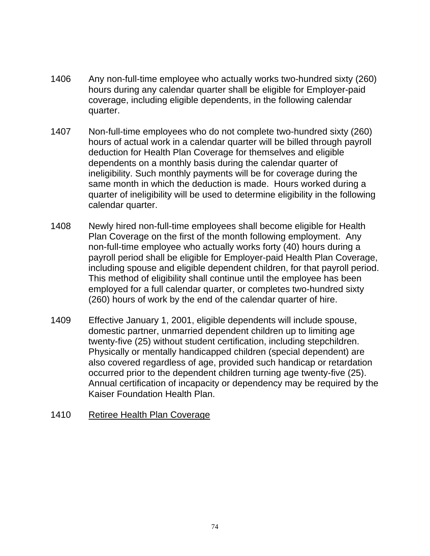- 1406 Any non-full-time employee who actually works two-hundred sixty (260) hours during any calendar quarter shall be eligible for Employer-paid coverage, including eligible dependents, in the following calendar quarter.
- 1407 Non-full-time employees who do not complete two-hundred sixty (260) hours of actual work in a calendar quarter will be billed through payroll deduction for Health Plan Coverage for themselves and eligible dependents on a monthly basis during the calendar quarter of ineligibility. Such monthly payments will be for coverage during the same month in which the deduction is made. Hours worked during a quarter of ineligibility will be used to determine eligibility in the following calendar quarter.
- 1408 Newly hired non-full-time employees shall become eligible for Health Plan Coverage on the first of the month following employment. Any non-full-time employee who actually works forty (40) hours during a payroll period shall be eligible for Employer-paid Health Plan Coverage, including spouse and eligible dependent children, for that payroll period. This method of eligibility shall continue until the employee has been employed for a full calendar quarter, or completes two-hundred sixty (260) hours of work by the end of the calendar quarter of hire.
- 1409 Effective January 1, 2001, eligible dependents will include spouse, domestic partner, unmarried dependent children up to limiting age twenty-five (25) without student certification, including stepchildren. Physically or mentally handicapped children (special dependent) are also covered regardless of age, provided such handicap or retardation occurred prior to the dependent children turning age twenty-five (25). Annual certification of incapacity or dependency may be required by the Kaiser Foundation Health Plan.

#### 1410 Retiree Health Plan Coverage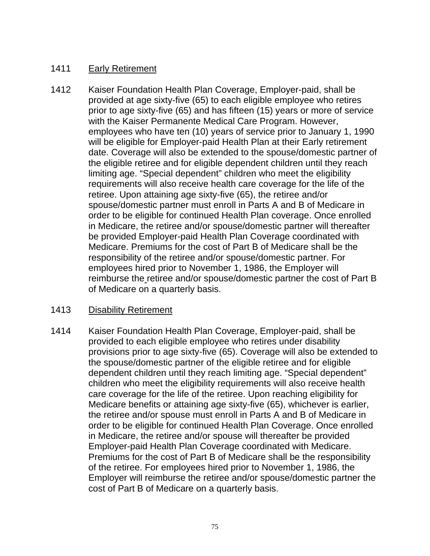# 1411 Early Retirement

1412 Kaiser Foundation Health Plan Coverage, Employer-paid, shall be provided at age sixty-five (65) to each eligible employee who retires prior to age sixty-five (65) and has fifteen (15) years or more of service with the Kaiser Permanente Medical Care Program. However, employees who have ten (10) years of service prior to January 1, 1990 will be eligible for Employer-paid Health Plan at their Early retirement date. Coverage will also be extended to the spouse/domestic partner of the eligible retiree and for eligible dependent children until they reach limiting age. "Special dependent" children who meet the eligibility requirements will also receive health care coverage for the life of the retiree. Upon attaining age sixty-five (65), the retiree and/or spouse/domestic partner must enroll in Parts A and B of Medicare in order to be eligible for continued Health Plan coverage. Once enrolled in Medicare, the retiree and/or spouse/domestic partner will thereafter be provided Employer-paid Health Plan Coverage coordinated with Medicare. Premiums for the cost of Part B of Medicare shall be the responsibility of the retiree and/or spouse/domestic partner. For employees hired prior to November 1, 1986, the Employer will reimburse the retiree and/or spouse/domestic partner the cost of Part B of Medicare on a quarterly basis.

# 1413 Disability Retirement

1414 Kaiser Foundation Health Plan Coverage, Employer-paid, shall be provided to each eligible employee who retires under disability provisions prior to age sixty-five (65). Coverage will also be extended to the spouse/domestic partner of the eligible retiree and for eligible dependent children until they reach limiting age. "Special dependent" children who meet the eligibility requirements will also receive health care coverage for the life of the retiree. Upon reaching eligibility for Medicare benefits or attaining age sixty-five (65), whichever is earlier, the retiree and/or spouse must enroll in Parts A and B of Medicare in order to be eligible for continued Health Plan Coverage. Once enrolled in Medicare, the retiree and/or spouse will thereafter be provided Employer-paid Health Plan Coverage coordinated with Medicare. Premiums for the cost of Part B of Medicare shall be the responsibility of the retiree. For employees hired prior to November 1, 1986, the Employer will reimburse the retiree and/or spouse/domestic partner the cost of Part B of Medicare on a quarterly basis.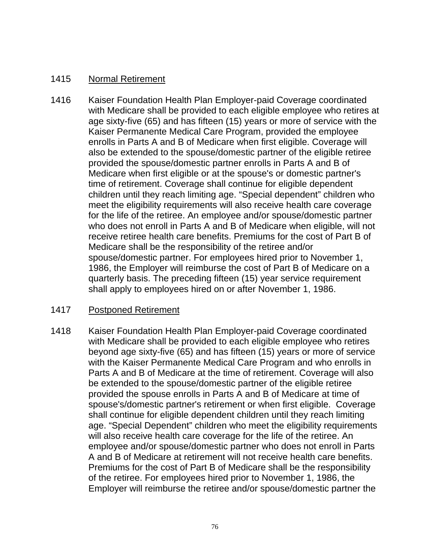# 1415 Normal Retirement

1416 Kaiser Foundation Health Plan Employer-paid Coverage coordinated with Medicare shall be provided to each eligible employee who retires at age sixty-five (65) and has fifteen (15) years or more of service with the Kaiser Permanente Medical Care Program, provided the employee enrolls in Parts A and B of Medicare when first eligible. Coverage will also be extended to the spouse/domestic partner of the eligible retiree provided the spouse/domestic partner enrolls in Parts A and B of Medicare when first eligible or at the spouse's or domestic partner's time of retirement. Coverage shall continue for eligible dependent children until they reach limiting age. "Special dependent" children who meet the eligibility requirements will also receive health care coverage for the life of the retiree. An employee and/or spouse/domestic partner who does not enroll in Parts A and B of Medicare when eligible, will not receive retiree health care benefits. Premiums for the cost of Part B of Medicare shall be the responsibility of the retiree and/or spouse/domestic partner. For employees hired prior to November 1, 1986, the Employer will reimburse the cost of Part B of Medicare on a quarterly basis. The preceding fifteen (15) year service requirement shall apply to employees hired on or after November 1, 1986.

# 1417 Postponed Retirement

1418 Kaiser Foundation Health Plan Employer-paid Coverage coordinated with Medicare shall be provided to each eligible employee who retires beyond age sixty-five (65) and has fifteen (15) years or more of service with the Kaiser Permanente Medical Care Program and who enrolls in Parts A and B of Medicare at the time of retirement. Coverage will also be extended to the spouse/domestic partner of the eligible retiree provided the spouse enrolls in Parts A and B of Medicare at time of spouse's/domestic partner's retirement or when first eligible. Coverage shall continue for eligible dependent children until they reach limiting age. "Special Dependent" children who meet the eligibility requirements will also receive health care coverage for the life of the retiree. An employee and/or spouse/domestic partner who does not enroll in Parts A and B of Medicare at retirement will not receive health care benefits. Premiums for the cost of Part B of Medicare shall be the responsibility of the retiree. For employees hired prior to November 1, 1986, the Employer will reimburse the retiree and/or spouse/domestic partner the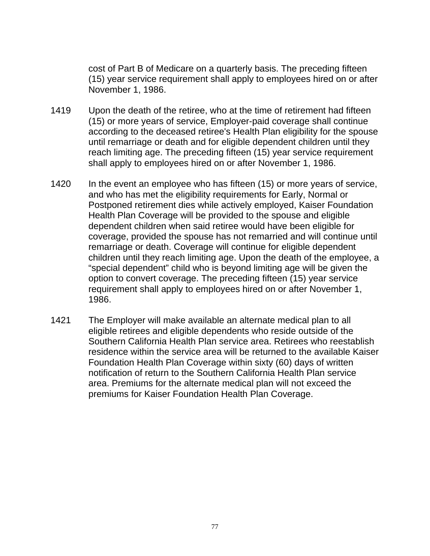cost of Part B of Medicare on a quarterly basis. The preceding fifteen (15) year service requirement shall apply to employees hired on or after November 1, 1986.

- 1419 Upon the death of the retiree, who at the time of retirement had fifteen (15) or more years of service, Employer-paid coverage shall continue according to the deceased retiree's Health Plan eligibility for the spouse until remarriage or death and for eligible dependent children until they reach limiting age. The preceding fifteen (15) year service requirement shall apply to employees hired on or after November 1, 1986.
- 1420 In the event an employee who has fifteen (15) or more years of service, and who has met the eligibility requirements for Early, Normal or Postponed retirement dies while actively employed, Kaiser Foundation Health Plan Coverage will be provided to the spouse and eligible dependent children when said retiree would have been eligible for coverage, provided the spouse has not remarried and will continue until remarriage or death. Coverage will continue for eligible dependent children until they reach limiting age. Upon the death of the employee, a "special dependent" child who is beyond limiting age will be given the option to convert coverage. The preceding fifteen (15) year service requirement shall apply to employees hired on or after November 1, 1986.
- 1421 The Employer will make available an alternate medical plan to all eligible retirees and eligible dependents who reside outside of the Southern California Health Plan service area. Retirees who reestablish residence within the service area will be returned to the available Kaiser Foundation Health Plan Coverage within sixty (60) days of written notification of return to the Southern California Health Plan service area. Premiums for the alternate medical plan will not exceed the premiums for Kaiser Foundation Health Plan Coverage.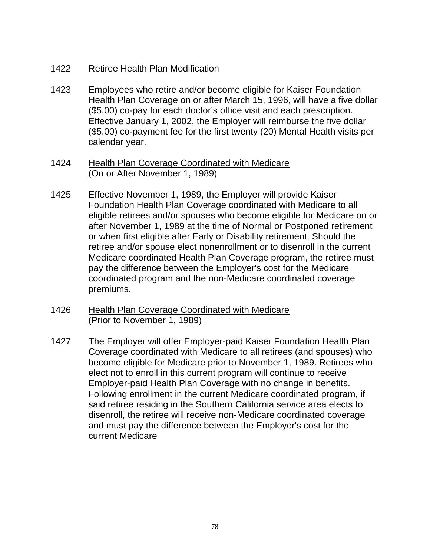# 1422 Retiree Health Plan Modification

1423 Employees who retire and/or become eligible for Kaiser Foundation Health Plan Coverage on or after March 15, 1996, will have a five dollar (\$5.00) co-pay for each doctor's office visit and each prescription. Effective January 1, 2002, the Employer will reimburse the five dollar (\$5.00) co-payment fee for the first twenty (20) Mental Health visits per calendar year.

#### 1424 Health Plan Coverage Coordinated with Medicare (On or After November 1, 1989)

- 1425 Effective November 1, 1989, the Employer will provide Kaiser Foundation Health Plan Coverage coordinated with Medicare to all eligible retirees and/or spouses who become eligible for Medicare on or after November 1, 1989 at the time of Normal or Postponed retirement or when first eligible after Early or Disability retirement. Should the retiree and/or spouse elect nonenrollment or to disenroll in the current Medicare coordinated Health Plan Coverage program, the retiree must pay the difference between the Employer's cost for the Medicare coordinated program and the non-Medicare coordinated coverage premiums.
- 1426 Health Plan Coverage Coordinated with Medicare (Prior to November 1, 1989)
- 1427 The Employer will offer Employer-paid Kaiser Foundation Health Plan Coverage coordinated with Medicare to all retirees (and spouses) who become eligible for Medicare prior to November 1, 1989. Retirees who elect not to enroll in this current program will continue to receive Employer-paid Health Plan Coverage with no change in benefits. Following enrollment in the current Medicare coordinated program, if said retiree residing in the Southern California service area elects to disenroll, the retiree will receive non-Medicare coordinated coverage and must pay the difference between the Employer's cost for the current Medicare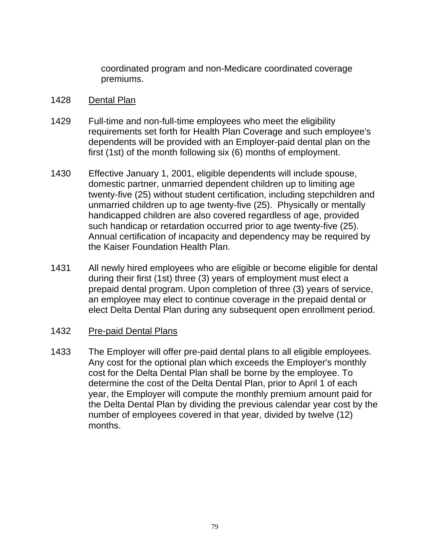coordinated program and non-Medicare coordinated coverage premiums.

#### 1428 Dental Plan

- 1429 Full-time and non-full-time employees who meet the eligibility requirements set forth for Health Plan Coverage and such employee's dependents will be provided with an Employer-paid dental plan on the first (1st) of the month following six (6) months of employment.
- 1430 Effective January 1, 2001, eligible dependents will include spouse, domestic partner, unmarried dependent children up to limiting age twenty-five (25) without student certification, including stepchildren and unmarried children up to age twenty-five (25). Physically or mentally handicapped children are also covered regardless of age, provided such handicap or retardation occurred prior to age twenty-five (25). Annual certification of incapacity and dependency may be required by the Kaiser Foundation Health Plan.
- 1431 All newly hired employees who are eligible or become eligible for dental during their first (1st) three (3) years of employment must elect a prepaid dental program. Upon completion of three (3) years of service, an employee may elect to continue coverage in the prepaid dental or elect Delta Dental Plan during any subsequent open enrollment period.

# 1432 Pre-paid Dental Plans

1433 The Employer will offer pre-paid dental plans to all eligible employees. Any cost for the optional plan which exceeds the Employer's monthly cost for the Delta Dental Plan shall be borne by the employee. To determine the cost of the Delta Dental Plan, prior to April 1 of each year, the Employer will compute the monthly premium amount paid for the Delta Dental Plan by dividing the previous calendar year cost by the number of employees covered in that year, divided by twelve (12) months.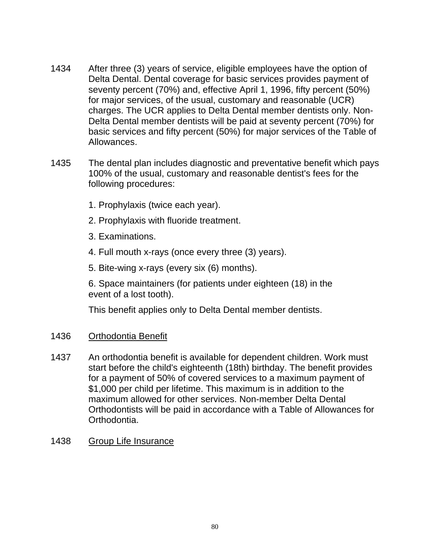- 1434 After three (3) years of service, eligible employees have the option of Delta Dental. Dental coverage for basic services provides payment of seventy percent (70%) and, effective April 1, 1996, fifty percent (50%) for major services, of the usual, customary and reasonable (UCR) charges. The UCR applies to Delta Dental member dentists only. Non-Delta Dental member dentists will be paid at seventy percent (70%) for basic services and fifty percent (50%) for major services of the Table of Allowances.
- 1435 The dental plan includes diagnostic and preventative benefit which pays 100% of the usual, customary and reasonable dentist's fees for the following procedures:
	- 1. Prophylaxis (twice each year).
	- 2. Prophylaxis with fluoride treatment.
	- 3. Examinations.
	- 4. Full mouth x-rays (once every three (3) years).
	- 5. Bite-wing x-rays (every six (6) months).

6. Space maintainers (for patients under eighteen (18) in the event of a lost tooth).

This benefit applies only to Delta Dental member dentists.

# 1436 Orthodontia Benefit

- 1437 An orthodontia benefit is available for dependent children. Work must start before the child's eighteenth (18th) birthday. The benefit provides for a payment of 50% of covered services to a maximum payment of \$1,000 per child per lifetime. This maximum is in addition to the maximum allowed for other services. Non-member Delta Dental Orthodontists will be paid in accordance with a Table of Allowances for Orthodontia.
- 1438 Group Life Insurance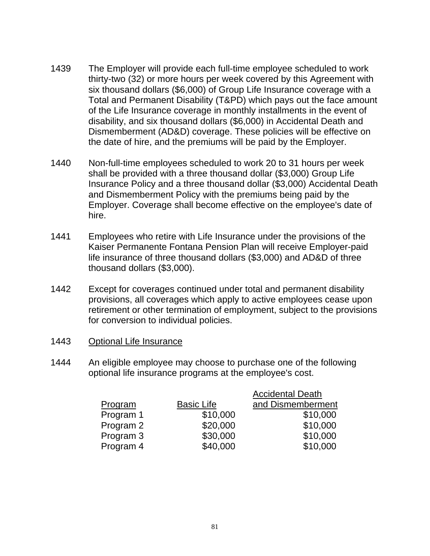- 1439 The Employer will provide each full-time employee scheduled to work thirty-two (32) or more hours per week covered by this Agreement with six thousand dollars (\$6,000) of Group Life Insurance coverage with a Total and Permanent Disability (T&PD) which pays out the face amount of the Life Insurance coverage in monthly installments in the event of disability, and six thousand dollars (\$6,000) in Accidental Death and Dismemberment (AD&D) coverage. These policies will be effective on the date of hire, and the premiums will be paid by the Employer.
- 1440 Non-full-time employees scheduled to work 20 to 31 hours per week shall be provided with a three thousand dollar (\$3,000) Group Life Insurance Policy and a three thousand dollar (\$3,000) Accidental Death and Dismemberment Policy with the premiums being paid by the Employer. Coverage shall become effective on the employee's date of hire.
- 1441 Employees who retire with Life Insurance under the provisions of the Kaiser Permanente Fontana Pension Plan will receive Employer-paid life insurance of three thousand dollars (\$3,000) and AD&D of three thousand dollars (\$3,000).
- 1442 Except for coverages continued under total and permanent disability provisions, all coverages which apply to active employees cease upon retirement or other termination of employment, subject to the provisions for conversion to individual policies.
- 1443 Optional Life Insurance
- 1444 An eligible employee may choose to purchase one of the following optional life insurance programs at the employee's cost.

|           |                   | <b>Accidental Death</b> |
|-----------|-------------------|-------------------------|
| Program   | <b>Basic Life</b> | and Dismemberment       |
| Program 1 | \$10,000          | \$10,000                |
| Program 2 | \$20,000          | \$10,000                |
| Program 3 | \$30,000          | \$10,000                |
| Program 4 | \$40,000          | \$10,000                |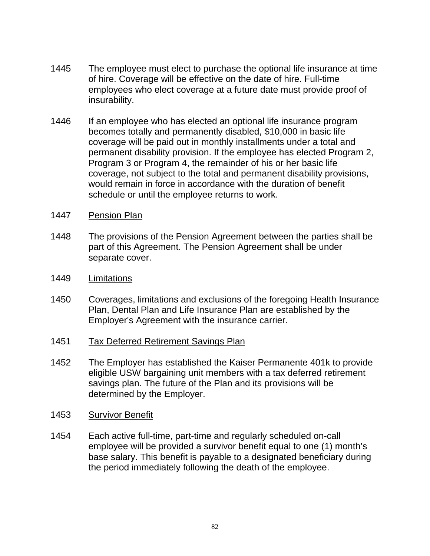- 1445 The employee must elect to purchase the optional life insurance at time of hire. Coverage will be effective on the date of hire. Full-time employees who elect coverage at a future date must provide proof of insurability.
- 1446 If an employee who has elected an optional life insurance program becomes totally and permanently disabled, \$10,000 in basic life coverage will be paid out in monthly installments under a total and permanent disability provision. If the employee has elected Program 2, Program 3 or Program 4, the remainder of his or her basic life coverage, not subject to the total and permanent disability provisions, would remain in force in accordance with the duration of benefit schedule or until the employee returns to work.
- 1447 Pension Plan
- 1448 The provisions of the Pension Agreement between the parties shall be part of this Agreement. The Pension Agreement shall be under separate cover.
- 1449 Limitations
- 1450 Coverages, limitations and exclusions of the foregoing Health Insurance Plan, Dental Plan and Life Insurance Plan are established by the Employer's Agreement with the insurance carrier.
- 1451 Tax Deferred Retirement Savings Plan
- 1452 The Employer has established the Kaiser Permanente 401k to provide eligible USW bargaining unit members with a tax deferred retirement savings plan. The future of the Plan and its provisions will be determined by the Employer.
- 1453 Survivor Benefit
- 1454 Each active full-time, part-time and regularly scheduled on-call employee will be provided a survivor benefit equal to one (1) month's base salary. This benefit is payable to a designated beneficiary during the period immediately following the death of the employee.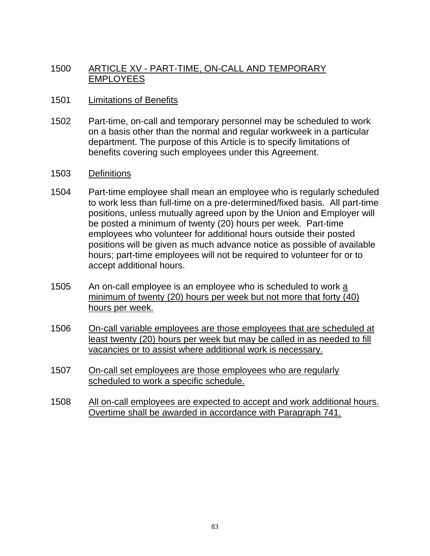# 1500 ARTICLE XV - PART-TIME, ON-CALL AND TEMPORARY EMPLOYEES

#### 1501 **Limitations of Benefits**

- 1502 Part-time, on-call and temporary personnel may be scheduled to work on a basis other than the normal and regular workweek in a particular department. The purpose of this Article is to specify limitations of benefits covering such employees under this Agreement.
- 1503 Definitions
- 1504 Part-time employee shall mean an employee who is regularly scheduled to work less than full-time on a pre-determined/fixed basis. All part-time positions, unless mutually agreed upon by the Union and Employer will be posted a minimum of twenty (20) hours per week. Part-time employees who volunteer for additional hours outside their posted positions will be given as much advance notice as possible of available hours; part-time employees will not be required to volunteer for or to accept additional hours.
- 1505 An on-call employee is an employee who is scheduled to work a minimum of twenty (20) hours per week but not more that forty (40) hours per week.
- 1506 On-call variable employees are those employees that are scheduled at least twenty (20) hours per week but may be called in as needed to fill vacancies or to assist where additional work is necessary.
- 1507 On-call set employees are those employees who are regularly scheduled to work a specific schedule.
- 1508 All on-call employees are expected to accept and work additional hours. Overtime shall be awarded in accordance with Paragraph 741.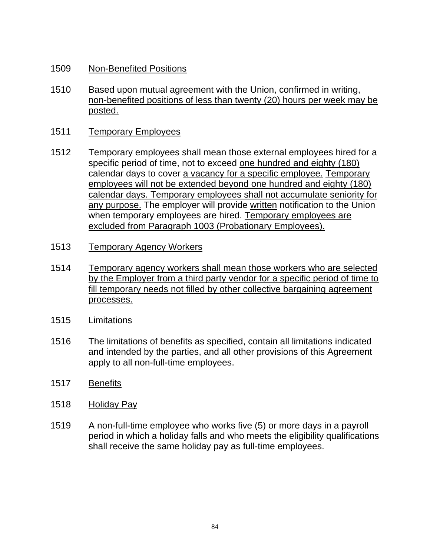- 1509 Non-Benefited Positions
- 1510 Based upon mutual agreement with the Union, confirmed in writing, non-benefited positions of less than twenty (20) hours per week may be posted.
- 1511 Temporary Employees
- 1512 Temporary employees shall mean those external employees hired for a specific period of time, not to exceed one hundred and eighty (180) calendar days to cover a vacancy for a specific employee. Temporary employees will not be extended beyond one hundred and eighty (180) calendar days. Temporary employees shall not accumulate seniority for any purpose. The employer will provide written notification to the Union when temporary employees are hired. Temporary employees are excluded from Paragraph 1003 (Probationary Employees).
- 1513 Temporary Agency Workers
- 1514 Temporary agency workers shall mean those workers who are selected by the Employer from a third party vendor for a specific period of time to fill temporary needs not filled by other collective bargaining agreement processes.
- 1515 Limitations
- 1516 The limitations of benefits as specified, contain all limitations indicated and intended by the parties, and all other provisions of this Agreement apply to all non-full-time employees.
- 1517 Benefits
- 1518 Holiday Pay
- 1519 A non-full-time employee who works five (5) or more days in a payroll period in which a holiday falls and who meets the eligibility qualifications shall receive the same holiday pay as full-time employees.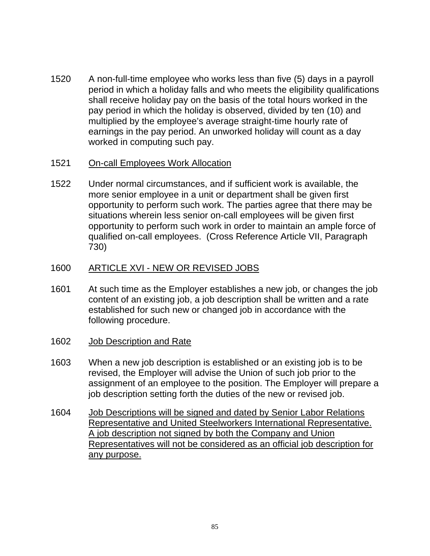- 1520 A non-full-time employee who works less than five (5) days in a payroll period in which a holiday falls and who meets the eligibility qualifications shall receive holiday pay on the basis of the total hours worked in the pay period in which the holiday is observed, divided by ten (10) and multiplied by the employee's average straight-time hourly rate of earnings in the pay period. An unworked holiday will count as a day worked in computing such pay.
- 1521 On-call Employees Work Allocation
- 1522 Under normal circumstances, and if sufficient work is available, the more senior employee in a unit or department shall be given first opportunity to perform such work. The parties agree that there may be situations wherein less senior on-call employees will be given first opportunity to perform such work in order to maintain an ample force of qualified on-call employees. (Cross Reference Article VII, Paragraph 730)

# 1600 ARTICLE XVI - NEW OR REVISED JOBS

- 1601 At such time as the Employer establishes a new job, or changes the job content of an existing job, a job description shall be written and a rate established for such new or changed job in accordance with the following procedure.
- 1602 Job Description and Rate
- 1603 When a new job description is established or an existing job is to be revised, the Employer will advise the Union of such job prior to the assignment of an employee to the position. The Employer will prepare a job description setting forth the duties of the new or revised job.
- 1604 Job Descriptions will be signed and dated by Senior Labor Relations Representative and United Steelworkers International Representative. A job description not signed by both the Company and Union Representatives will not be considered as an official job description for any purpose.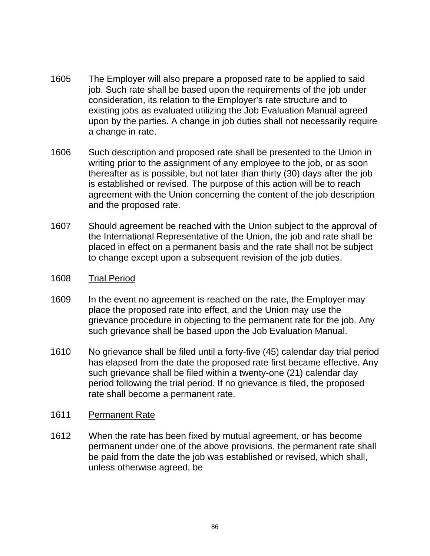- 1605 The Employer will also prepare a proposed rate to be applied to said job. Such rate shall be based upon the requirements of the job under consideration, its relation to the Employer's rate structure and to existing jobs as evaluated utilizing the Job Evaluation Manual agreed upon by the parties. A change in job duties shall not necessarily require a change in rate.
- 1606 Such description and proposed rate shall be presented to the Union in writing prior to the assignment of any employee to the job, or as soon thereafter as is possible, but not later than thirty (30) days after the job is established or revised. The purpose of this action will be to reach agreement with the Union concerning the content of the job description and the proposed rate.
- 1607 Should agreement be reached with the Union subject to the approval of the International Representative of the Union, the job and rate shall be placed in effect on a permanent basis and the rate shall not be subject to change except upon a subsequent revision of the job duties.
- 1608 Trial Period
- 1609 In the event no agreement is reached on the rate, the Employer may place the proposed rate into effect, and the Union may use the grievance procedure in objecting to the permanent rate for the job. Any such grievance shall be based upon the Job Evaluation Manual.
- 1610 No grievance shall be filed until a forty-five (45) calendar day trial period has elapsed from the date the proposed rate first became effective. Any such grievance shall be filed within a twenty-one (21) calendar day period following the trial period. If no grievance is filed, the proposed rate shall become a permanent rate.

#### 1611 Permanent Rate

1612 When the rate has been fixed by mutual agreement, or has become permanent under one of the above provisions, the permanent rate shall be paid from the date the job was established or revised, which shall, unless otherwise agreed, be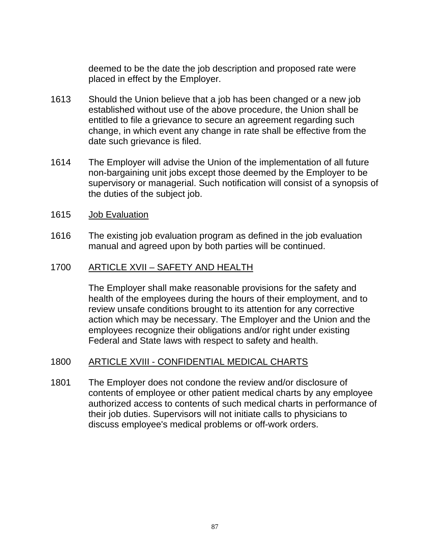deemed to be the date the job description and proposed rate were placed in effect by the Employer.

- 1613 Should the Union believe that a job has been changed or a new job established without use of the above procedure, the Union shall be entitled to file a grievance to secure an agreement regarding such change, in which event any change in rate shall be effective from the date such grievance is filed.
- 1614 The Employer will advise the Union of the implementation of all future non-bargaining unit jobs except those deemed by the Employer to be supervisory or managerial. Such notification will consist of a synopsis of the duties of the subject job.
- 1615 Job Evaluation
- 1616 The existing job evaluation program as defined in the job evaluation manual and agreed upon by both parties will be continued.

# 1700 ARTICLE XVII – SAFETY AND HEALTH

The Employer shall make reasonable provisions for the safety and health of the employees during the hours of their employment, and to review unsafe conditions brought to its attention for any corrective action which may be necessary. The Employer and the Union and the employees recognize their obligations and/or right under existing Federal and State laws with respect to safety and health.

# 1800 ARTICLE XVIII - CONFIDENTIAL MEDICAL CHARTS

1801 The Employer does not condone the review and/or disclosure of contents of employee or other patient medical charts by any employee authorized access to contents of such medical charts in performance of their job duties. Supervisors will not initiate calls to physicians to discuss employee's medical problems or off-work orders.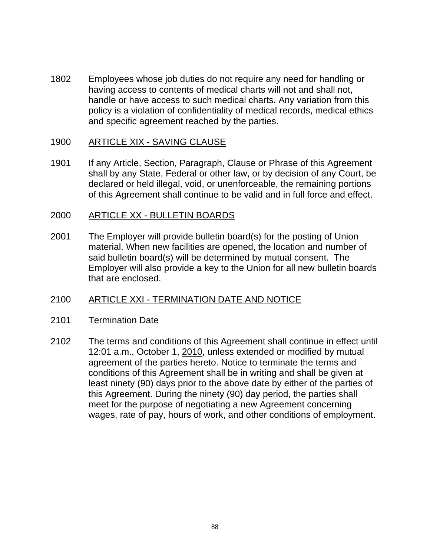1802 Employees whose job duties do not require any need for handling or having access to contents of medical charts will not and shall not, handle or have access to such medical charts. Any variation from this policy is a violation of confidentiality of medical records, medical ethics and specific agreement reached by the parties.

# 1900 ARTICLE XIX - SAVING CLAUSE

1901 If any Article, Section, Paragraph, Clause or Phrase of this Agreement shall by any State, Federal or other law, or by decision of any Court, be declared or held illegal, void, or unenforceable, the remaining portions of this Agreement shall continue to be valid and in full force and effect.

#### 2000 ARTICLE XX - BULLETIN BOARDS

2001 The Employer will provide bulletin board(s) for the posting of Union material. When new facilities are opened, the location and number of said bulletin board(s) will be determined by mutual consent. The Employer will also provide a key to the Union for all new bulletin boards that are enclosed.

# 2100 ARTICLE XXI - TERMINATION DATE AND NOTICE

#### 2101 Termination Date

2102 The terms and conditions of this Agreement shall continue in effect until 12:01 a.m., October 1, 2010, unless extended or modified by mutual agreement of the parties hereto. Notice to terminate the terms and conditions of this Agreement shall be in writing and shall be given at least ninety (90) days prior to the above date by either of the parties of this Agreement. During the ninety (90) day period, the parties shall meet for the purpose of negotiating a new Agreement concerning wages, rate of pay, hours of work, and other conditions of employment.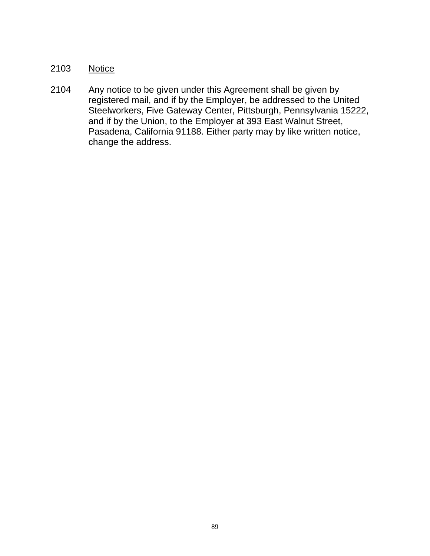# 2103 Notice

2104 Any notice to be given under this Agreement shall be given by registered mail, and if by the Employer, be addressed to the United Steelworkers, Five Gateway Center, Pittsburgh, Pennsylvania 15222, and if by the Union, to the Employer at 393 East Walnut Street, Pasadena, California 91188. Either party may by like written notice, change the address.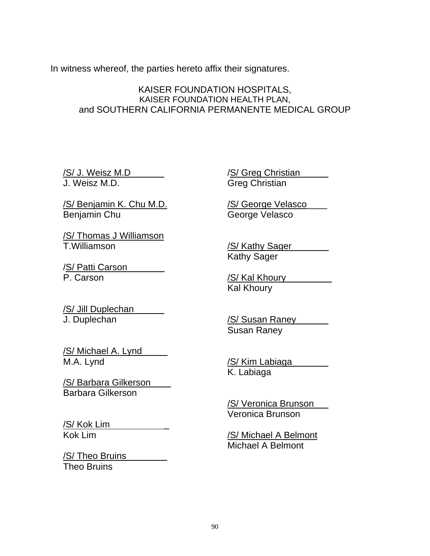In witness whereof, the parties hereto affix their signatures.

# KAISER FOUNDATION HOSPITALS, KAISER FOUNDATION HEALTH PLAN, and SOUTHERN CALIFORNIA PERMANENTE MEDICAL GROUP

/S/ J. Weisz M.D J. Weisz M.D.

/S/ Greg Christian Greg Christian

/S/ Benjamin K. Chu M.D. Benjamin Chu

/S/ Thomas J Williamson T.Williamson

/S/ Patti Carson P. Carson

/S/ George Velasco\_\_\_\_ George Velasco

/S/ Kathy Sager Kathy Sager

/S/ Kal Khoury **Kal Khoury** 

/S/ Jill Duplechan J. Duplechan

/S/ Michael A. Lynd M.A. Lynd

/S/ Barbara Gilkerson\_\_\_\_ Barbara Gilkerson

/S/ Kok Lim \_ Kok Lim

/S/ Theo Bruins\_ Theo Bruins

/S/ Susan Raney Susan Raney

/S/ Kim Labiaga K. Labiaga

/S/ Veronica Brunson Veronica Brunson

/S/ Michael A Belmont Michael A Belmont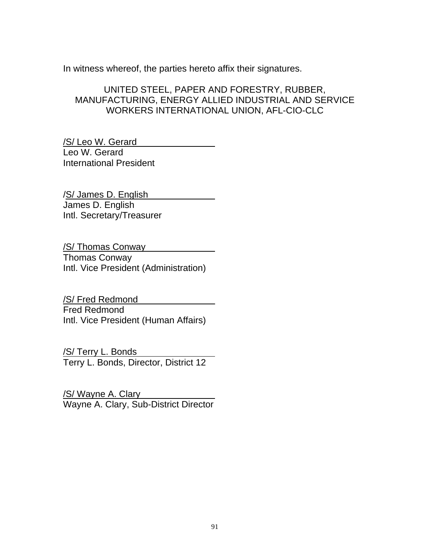In witness whereof, the parties hereto affix their signatures.

# UNITED STEEL, PAPER AND FORESTRY, RUBBER, MANUFACTURING, ENERGY ALLIED INDUSTRIAL AND SERVICE WORKERS INTERNATIONAL UNION, AFL-CIO-CLC

/S/ Leo W. Gerard Leo W. Gerard International President

/S/ James D. English James D. English Intl. Secretary/Treasurer

/S/ Thomas Conway Thomas Conway Intl. Vice President (Administration)

/S/ Fred Redmond Fred Redmond Intl. Vice President (Human Affairs)

/S/ Terry L. Bonds Terry L. Bonds, Director, District 12

/S/ Wayne A. Clary Wayne A. Clary, Sub-District Director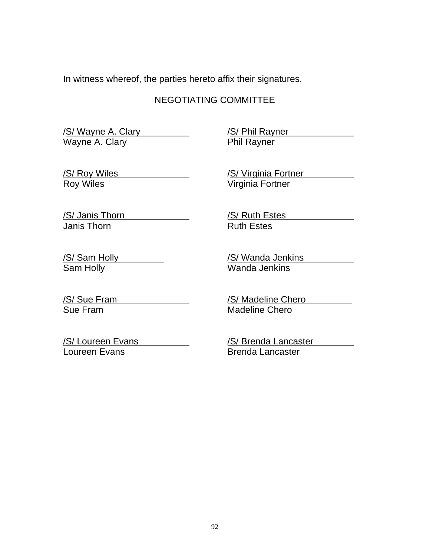In witness whereof, the parties hereto affix their signatures.

# NEGOTIATING COMMITTEE

S/ Wayne A. Clary Wayne A. Clary

/S/ Phil Rayner Phil Rayner

/S/ Roy Wiles Roy Wiles

**/S/ Virginia Fortner** Virginia Fortner

/S/ Janis Thorn Janis Thorn

/S/ Ruth Estes Ruth Estes

/S/ Sam Holly Sam Holly

/S/ Wanda Jenkins Wanda Jenkins

/S/ Sue Fram Sue Fram

/S/ Madeline Chero Madeline Chero

/S/ Loureen Evans Loureen Evans

/S/ Brenda Lancaster Brenda Lancaster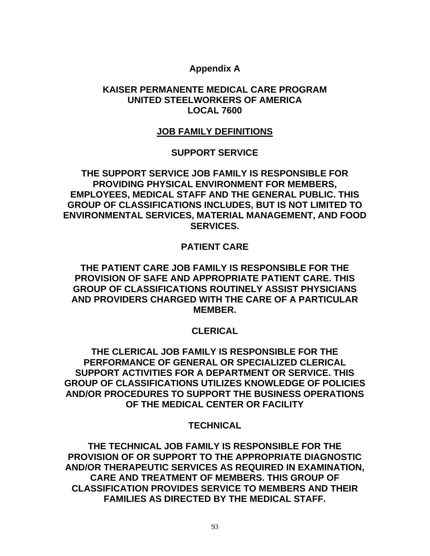# **Appendix A**

# **KAISER PERMANENTE MEDICAL CARE PROGRAM UNITED STEELWORKERS OF AMERICA LOCAL 7600**

# **JOB FAMILY DEFINITIONS**

# **SUPPORT SERVICE**

**THE SUPPORT SERVICE JOB FAMILY IS RESPONSIBLE FOR PROVIDING PHYSICAL ENVIRONMENT FOR MEMBERS, EMPLOYEES, MEDICAL STAFF AND THE GENERAL PUBLIC. THIS GROUP OF CLASSIFICATIONS INCLUDES, BUT IS NOT LIMITED TO ENVIRONMENTAL SERVICES, MATERIAL MANAGEMENT, AND FOOD SERVICES.** 

# **PATIENT CARE**

# **THE PATIENT CARE JOB FAMILY IS RESPONSIBLE FOR THE PROVISION OF SAFE AND APPROPRIATE PATIENT CARE. THIS GROUP OF CLASSIFICATIONS ROUTINELY ASSIST PHYSICIANS AND PROVIDERS CHARGED WITH THE CARE OF A PARTICULAR MEMBER.**

# **CLERICAL**

**THE CLERICAL JOB FAMILY IS RESPONSIBLE FOR THE PERFORMANCE OF GENERAL OR SPECIALIZED CLERICAL SUPPORT ACTIVITIES FOR A DEPARTMENT OR SERVICE. THIS GROUP OF CLASSIFICATIONS UTILIZES KNOWLEDGE OF POLICIES AND/OR PROCEDURES TO SUPPORT THE BUSINESS OPERATIONS OF THE MEDICAL CENTER OR FACILITY** 

# **TECHNICAL**

**THE TECHNICAL JOB FAMILY IS RESPONSIBLE FOR THE PROVISION OF OR SUPPORT TO THE APPROPRIATE DIAGNOSTIC AND/OR THERAPEUTIC SERVICES AS REQUIRED IN EXAMINATION, CARE AND TREATMENT OF MEMBERS. THIS GROUP OF CLASSIFICATION PROVIDES SERVICE TO MEMBERS AND THEIR FAMILIES AS DIRECTED BY THE MEDICAL STAFF.**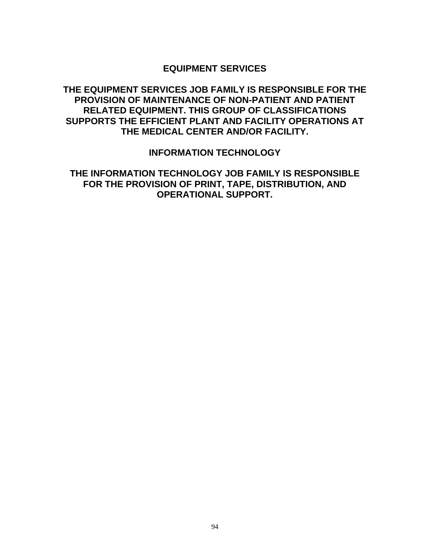#### **EQUIPMENT SERVICES**

# **THE EQUIPMENT SERVICES JOB FAMILY IS RESPONSIBLE FOR THE PROVISION OF MAINTENANCE OF NON-PATIENT AND PATIENT RELATED EQUIPMENT. THIS GROUP OF CLASSIFICATIONS SUPPORTS THE EFFICIENT PLANT AND FACILITY OPERATIONS AT THE MEDICAL CENTER AND/OR FACILITY.**

#### **INFORMATION TECHNOLOGY**

# **THE INFORMATION TECHNOLOGY JOB FAMILY IS RESPONSIBLE FOR THE PROVISION OF PRINT, TAPE, DISTRIBUTION, AND OPERATIONAL SUPPORT.**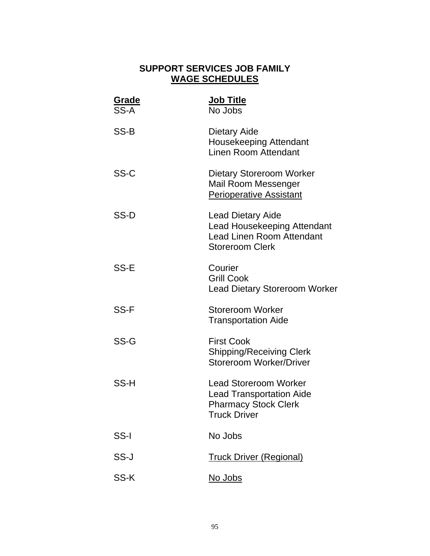# **SUPPORT SERVICES JOB FAMILY WAGE SCHEDULES**

| Grade<br>SS-A | Job Title<br>No Jobs                                                                                                         |
|---------------|------------------------------------------------------------------------------------------------------------------------------|
| SS-B          | Dietary Aide<br><b>Housekeeping Attendant</b><br>Linen Room Attendant                                                        |
| SS-C          | Dietary Storeroom Worker<br>Mail Room Messenger<br><b>Perioperative Assistant</b>                                            |
| SS-D          | <b>Lead Dietary Aide</b><br><b>Lead Housekeeping Attendant</b><br><b>Lead Linen Room Attendant</b><br><b>Storeroom Clerk</b> |
| SS-E          | Courier<br><b>Grill Cook</b><br><b>Lead Dietary Storeroom Worker</b>                                                         |
| SS-F          | <b>Storeroom Worker</b><br><b>Transportation Aide</b>                                                                        |
| SS-G          | <b>First Cook</b><br><b>Shipping/Receiving Clerk</b><br><b>Storeroom Worker/Driver</b>                                       |
| SS-H          | <b>Lead Storeroom Worker</b><br><b>Lead Transportation Aide</b><br><b>Pharmacy Stock Clerk</b><br><b>Truck Driver</b>        |
| SS-I          | No Jobs                                                                                                                      |
| SS-J          | <b>Truck Driver (Regional)</b>                                                                                               |
| SS-K          | <u>No Jobs</u>                                                                                                               |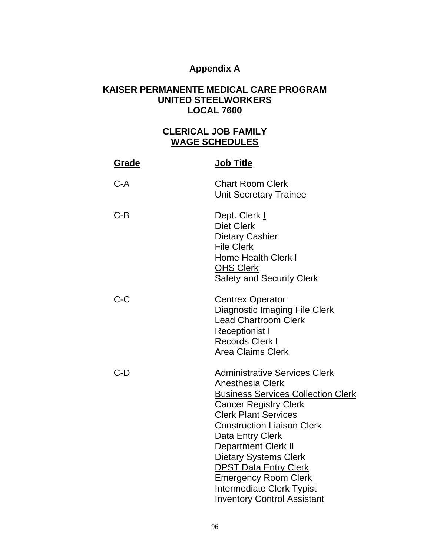# **Appendix A**

# **KAISER PERMANENTE MEDICAL CARE PROGRAM UNITED STEELWORKERS LOCAL 7600**

# **CLERICAL JOB FAMILY WAGE SCHEDULES**

| <b>Grade</b> | Job Title                                                                                                                                                                                                                                                                                                                                                                                                                                   |
|--------------|---------------------------------------------------------------------------------------------------------------------------------------------------------------------------------------------------------------------------------------------------------------------------------------------------------------------------------------------------------------------------------------------------------------------------------------------|
| $C-A$        | <b>Chart Room Clerk</b><br><b>Unit Secretary Trainee</b>                                                                                                                                                                                                                                                                                                                                                                                    |
| $C-B$        | Dept. Clerk I<br><b>Diet Clerk</b><br><b>Dietary Cashier</b><br><b>File Clerk</b><br><b>Home Health Clerk I</b><br><b>OHS Clerk</b><br><b>Safety and Security Clerk</b>                                                                                                                                                                                                                                                                     |
| $C-C$        | <b>Centrex Operator</b><br>Diagnostic Imaging File Clerk<br>Lead Chartroom Clerk<br><b>Receptionist I</b><br><b>Records Clerk I</b><br><b>Area Claims Clerk</b>                                                                                                                                                                                                                                                                             |
| $C-D$        | <b>Administrative Services Clerk</b><br><b>Anesthesia Clerk</b><br><b>Business Services Collection Clerk</b><br><b>Cancer Registry Clerk</b><br><b>Clerk Plant Services</b><br><b>Construction Liaison Clerk</b><br>Data Entry Clerk<br><b>Department Clerk II</b><br><b>Dietary Systems Clerk</b><br><b>DPST Data Entry Clerk</b><br><b>Emergency Room Clerk</b><br><b>Intermediate Clerk Typist</b><br><b>Inventory Control Assistant</b> |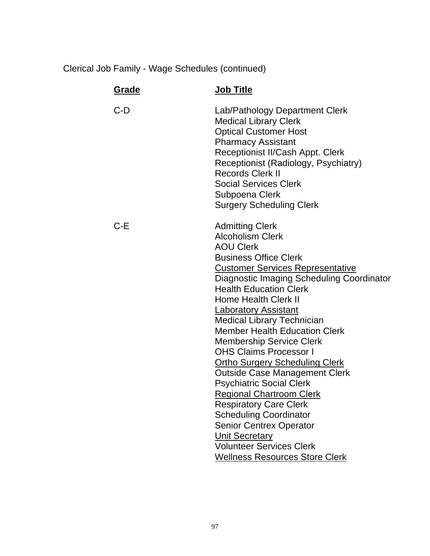| Grade | <b>Job Title</b>                                                                                                                                                                                                                                                                                                                                                                                                                                                                                                                                                                                                                                                                                                                                                                                       |
|-------|--------------------------------------------------------------------------------------------------------------------------------------------------------------------------------------------------------------------------------------------------------------------------------------------------------------------------------------------------------------------------------------------------------------------------------------------------------------------------------------------------------------------------------------------------------------------------------------------------------------------------------------------------------------------------------------------------------------------------------------------------------------------------------------------------------|
| $C-D$ | Lab/Pathology Department Clerk<br><b>Medical Library Clerk</b><br><b>Optical Customer Host</b><br><b>Pharmacy Assistant</b><br>Receptionist II/Cash Appt. Clerk<br>Receptionist (Radiology, Psychiatry)<br><b>Records Clerk II</b><br><b>Social Services Clerk</b><br>Subpoena Clerk<br><b>Surgery Scheduling Clerk</b>                                                                                                                                                                                                                                                                                                                                                                                                                                                                                |
| $C-E$ | <b>Admitting Clerk</b><br><b>Alcoholism Clerk</b><br><b>AOU Clerk</b><br><b>Business Office Clerk</b><br><b>Customer Services Representative</b><br>Diagnostic Imaging Scheduling Coordinator<br><b>Health Education Clerk</b><br>Home Health Clerk II<br><b>Laboratory Assistant</b><br><b>Medical Library Technician</b><br><b>Member Health Education Clerk</b><br><b>Membership Service Clerk</b><br><b>OHS Claims Processor I</b><br><b>Ortho Surgery Scheduling Clerk</b><br><b>Outside Case Management Clerk</b><br><b>Psychiatric Social Clerk</b><br><b>Regional Chartroom Clerk</b><br><b>Respiratory Care Clerk</b><br><b>Scheduling Coordinator</b><br><b>Senior Centrex Operator</b><br><b>Unit Secretary</b><br><b>Volunteer Services Clerk</b><br><b>Wellness Resources Store Clerk</b> |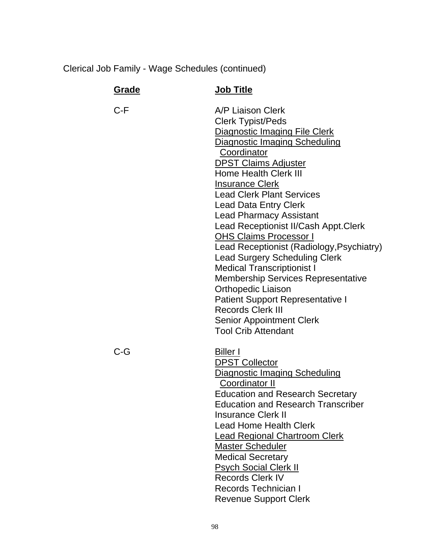| Grade | <b>Job Title</b>                                                                                                                                                                                                                                                                                                                                                                                                                                                                                                                                                                                                                                                                                                                                   |
|-------|----------------------------------------------------------------------------------------------------------------------------------------------------------------------------------------------------------------------------------------------------------------------------------------------------------------------------------------------------------------------------------------------------------------------------------------------------------------------------------------------------------------------------------------------------------------------------------------------------------------------------------------------------------------------------------------------------------------------------------------------------|
| C-F   | A/P Liaison Clerk<br><b>Clerk Typist/Peds</b><br>Diagnostic Imaging File Clerk<br><b>Diagnostic Imaging Scheduling</b><br>Coordinator<br><b>DPST Claims Adjuster</b><br>Home Health Clerk III<br><b>Insurance Clerk</b><br><b>Lead Clerk Plant Services</b><br><b>Lead Data Entry Clerk</b><br><b>Lead Pharmacy Assistant</b><br>Lead Receptionist II/Cash Appt.Clerk<br><b>OHS Claims Processor I</b><br>Lead Receptionist (Radiology, Psychiatry)<br><b>Lead Surgery Scheduling Clerk</b><br><b>Medical Transcriptionist I</b><br><b>Membership Services Representative</b><br><b>Orthopedic Liaison</b><br><b>Patient Support Representative I</b><br><b>Records Clerk III</b><br><b>Senior Appointment Clerk</b><br><b>Tool Crib Attendant</b> |
| C-G   | <b>Biller I</b><br><b>DPST Collector</b><br><b>Diagnostic Imaging Scheduling</b><br><b>Coordinator II</b><br><b>Education and Research Secretary</b><br><b>Education and Research Transcriber</b><br><b>Insurance Clerk II</b><br><b>Lead Home Health Clerk</b><br><b>Lead Regional Chartroom Clerk</b><br>Master Scheduler<br><b>Medical Secretary</b><br><b>Psych Social Clerk II</b><br><b>Records Clerk IV</b><br>Records Technician I<br><b>Revenue Support Clerk</b>                                                                                                                                                                                                                                                                         |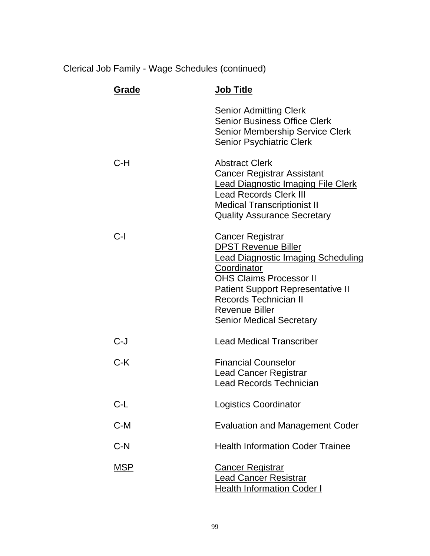| Grade      | <b>Job Title</b>                                                                                                                                                                                                                                                                     |
|------------|--------------------------------------------------------------------------------------------------------------------------------------------------------------------------------------------------------------------------------------------------------------------------------------|
|            | <b>Senior Admitting Clerk</b><br><b>Senior Business Office Clerk</b><br>Senior Membership Service Clerk<br><b>Senior Psychiatric Clerk</b>                                                                                                                                           |
| $C-H$      | <b>Abstract Clerk</b><br><b>Cancer Registrar Assistant</b><br><b>Lead Diagnostic Imaging File Clerk</b><br><b>Lead Records Clerk III</b><br><b>Medical Transcriptionist II</b><br><b>Quality Assurance Secretary</b>                                                                 |
| $C-I$      | <b>Cancer Registrar</b><br><b>DPST Revenue Biller</b><br>Lead Diagnostic Imaging Scheduling<br>Coordinator<br><b>OHS Claims Processor II</b><br><b>Patient Support Representative II</b><br><b>Records Technician II</b><br><b>Revenue Biller</b><br><b>Senior Medical Secretary</b> |
| $C-J$      | <b>Lead Medical Transcriber</b>                                                                                                                                                                                                                                                      |
| $C-K$      | <b>Financial Counselor</b><br><b>Lead Cancer Registrar</b><br><b>Lead Records Technician</b>                                                                                                                                                                                         |
| $C-L$      | <b>Logistics Coordinator</b>                                                                                                                                                                                                                                                         |
| $C-M$      | <b>Evaluation and Management Coder</b>                                                                                                                                                                                                                                               |
| $C-N$      | <b>Health Information Coder Trainee</b>                                                                                                                                                                                                                                              |
| <b>MSP</b> | <u>Cancer Registrar</u><br><u>ead Cancer Resistrar</u><br><u> Health Information Coder I</u>                                                                                                                                                                                         |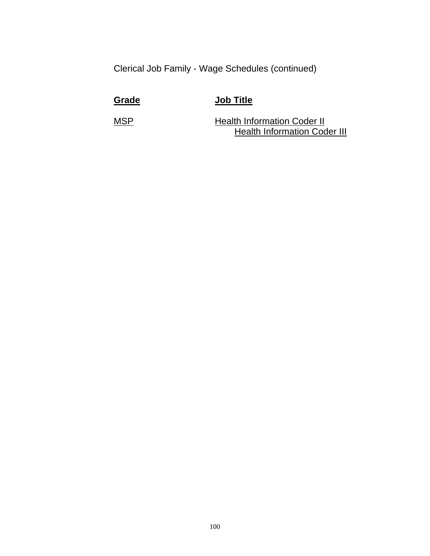**Grade Job Title**

MSP Health Information Coder II **Health Information Coder III**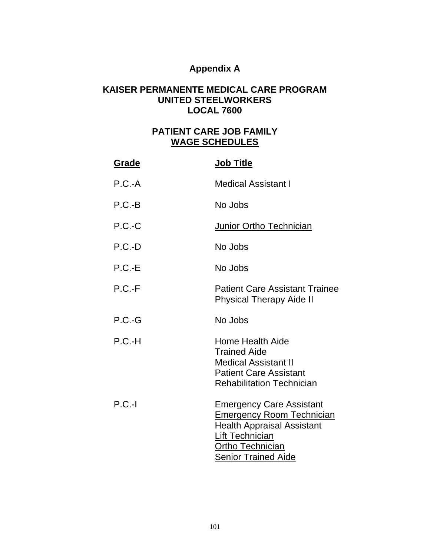## **Appendix A**

#### **KAISER PERMANENTE MEDICAL CARE PROGRAM UNITED STEELWORKERS LOCAL 7600**

## **PATIENT CARE JOB FAMILY WAGE SCHEDULES**

| Grade    | <b>Job Title</b>                                                                                                                                                              |
|----------|-------------------------------------------------------------------------------------------------------------------------------------------------------------------------------|
| $P.C.-A$ | <b>Medical Assistant I</b>                                                                                                                                                    |
| $P.C.-B$ | No Jobs                                                                                                                                                                       |
| $P.C.-C$ | <b>Junior Ortho Technician</b>                                                                                                                                                |
| $P.C.-D$ | No Jobs                                                                                                                                                                       |
| $P.C.-E$ | No Jobs                                                                                                                                                                       |
| $P.C.-F$ | <b>Patient Care Assistant Trainee</b><br><b>Physical Therapy Aide II</b>                                                                                                      |
| $P.C.-G$ | <u>No Jobs</u>                                                                                                                                                                |
| $P.C.-H$ | Home Health Aide<br><b>Trained Aide</b><br><b>Medical Assistant II</b><br><b>Patient Care Assistant</b><br><b>Rehabilitation Technician</b>                                   |
| $P.C.-I$ | <b>Emergency Care Assistant</b><br><b>Emergency Room Technician</b><br><b>Health Appraisal Assistant</b><br>Lift Technician<br>Ortho Technician<br><b>Senior Trained Aide</b> |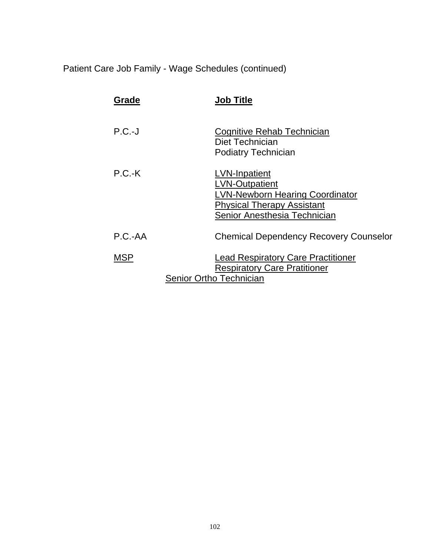Patient Care Job Family - Wage Schedules (continued)

| Grade      | <b>Job Title</b>                                                                                                                                             |
|------------|--------------------------------------------------------------------------------------------------------------------------------------------------------------|
| $P.C.-J$   | Cognitive Rehab Technician<br>Diet Technician<br><b>Podiatry Technician</b>                                                                                  |
| $P.C.-K$   | <b>LVN-Inpatient</b><br><b>LVN-Outpatient</b><br><b>LVN-Newborn Hearing Coordinator</b><br><b>Physical Therapy Assistant</b><br>Senior Anesthesia Technician |
| $P.C.-AA$  | <b>Chemical Dependency Recovery Counselor</b>                                                                                                                |
| <b>MSP</b> | <b>Lead Respiratory Care Practitioner</b><br><b>Respiratory Care Pratitioner</b><br>Senior Ortho Technician                                                  |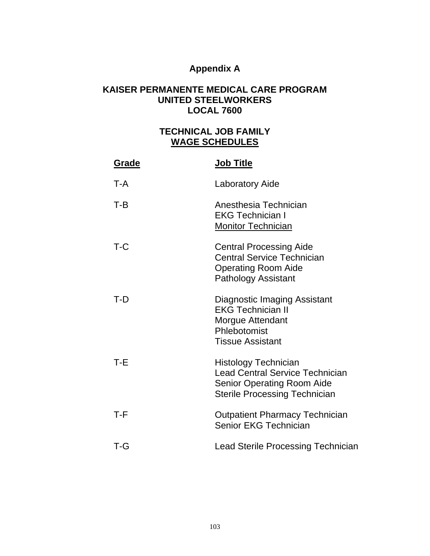## **Appendix A**

### **KAISER PERMANENTE MEDICAL CARE PROGRAM UNITED STEELWORKERS LOCAL 7600**

## **TECHNICAL JOB FAMILY WAGE SCHEDULES**

| Grade | <b>Job Title</b>                                                                                                                                   |
|-------|----------------------------------------------------------------------------------------------------------------------------------------------------|
| T-A   | Laboratory Aide                                                                                                                                    |
| $T-B$ | Anesthesia Technician<br><b>EKG Technician I</b><br><b>Monitor Technician</b>                                                                      |
| $T-C$ | <b>Central Processing Aide</b><br><b>Central Service Technician</b><br><b>Operating Room Aide</b><br><b>Pathology Assistant</b>                    |
| $T-D$ | <b>Diagnostic Imaging Assistant</b><br><b>EKG Technician II</b><br><b>Morgue Attendant</b><br>Phlebotomist<br><b>Tissue Assistant</b>              |
| T-E   | <b>Histology Technician</b><br><b>Lead Central Service Technician</b><br><b>Senior Operating Room Aide</b><br><b>Sterile Processing Technician</b> |
| T-F   | <b>Outpatient Pharmacy Technician</b><br>Senior EKG Technician                                                                                     |
| T-G   | Lead Sterile Processing Technician                                                                                                                 |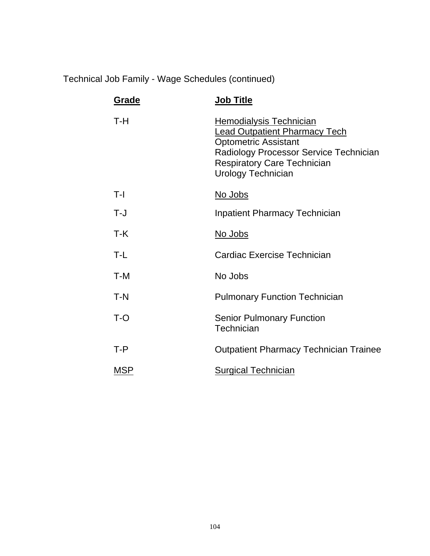Technical Job Family - Wage Schedules (continued)

| Grade      | <b>Job Title</b>                                                                                                                                                                                                   |
|------------|--------------------------------------------------------------------------------------------------------------------------------------------------------------------------------------------------------------------|
| T-H        | <b>Hemodialysis Technician</b><br><b>Lead Outpatient Pharmacy Tech</b><br><b>Optometric Assistant</b><br>Radiology Processor Service Technician<br><b>Respiratory Care Technician</b><br><b>Urology Technician</b> |
| T-I        | No Jobs                                                                                                                                                                                                            |
| T-J        | <b>Inpatient Pharmacy Technician</b>                                                                                                                                                                               |
| T-K        | <u>No Jobs</u>                                                                                                                                                                                                     |
| T-L        | Cardiac Exercise Technician                                                                                                                                                                                        |
| T-M        | No Jobs                                                                                                                                                                                                            |
| $T-N$      | <b>Pulmonary Function Technician</b>                                                                                                                                                                               |
| $T-O$      | <b>Senior Pulmonary Function</b><br><b>Technician</b>                                                                                                                                                              |
| $T - P$    | <b>Outpatient Pharmacy Technician Trainee</b>                                                                                                                                                                      |
| <b>MSP</b> | <b>Surgical Technician</b>                                                                                                                                                                                         |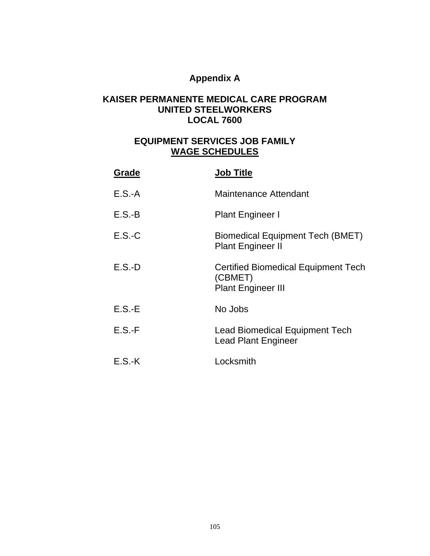# **Appendix A**

### **KAISER PERMANENTE MEDICAL CARE PROGRAM UNITED STEELWORKERS LOCAL 7600**

## **EQUIPMENT SERVICES JOB FAMILY WAGE SCHEDULES**

| Grade    | <b>Job Title</b>                                                                   |
|----------|------------------------------------------------------------------------------------|
| $E.S.-A$ | <b>Maintenance Attendant</b>                                                       |
| $E.S.-B$ | <b>Plant Engineer I</b>                                                            |
| $E.S.-C$ | <b>Biomedical Equipment Tech (BMET)</b><br><b>Plant Engineer II</b>                |
| $E.S.-D$ | <b>Certified Biomedical Equipment Tech</b><br>(CBMET)<br><b>Plant Engineer III</b> |
| $E.S.-E$ | No Jobs                                                                            |
| $E.S.-F$ | <b>Lead Biomedical Equipment Tech</b><br><b>Lead Plant Engineer</b>                |
| $E.S.-K$ | Locksmith                                                                          |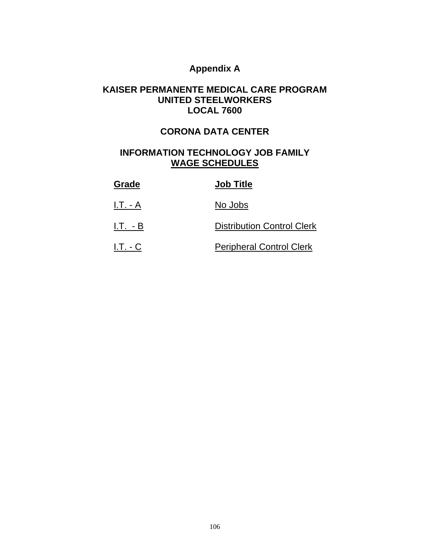## **Appendix A**

#### **KAISER PERMANENTE MEDICAL CARE PROGRAM UNITED STEELWORKERS LOCAL 7600**

### **CORONA DATA CENTER**

### **INFORMATION TECHNOLOGY JOB FAMILY WAGE SCHEDULES**

| Grade      | <b>Job Title</b>                  |
|------------|-----------------------------------|
| I.T. - A   | No Jobs                           |
| $I.T. - B$ | <b>Distribution Control Clerk</b> |
| $I.T. - C$ | <b>Peripheral Control Clerk</b>   |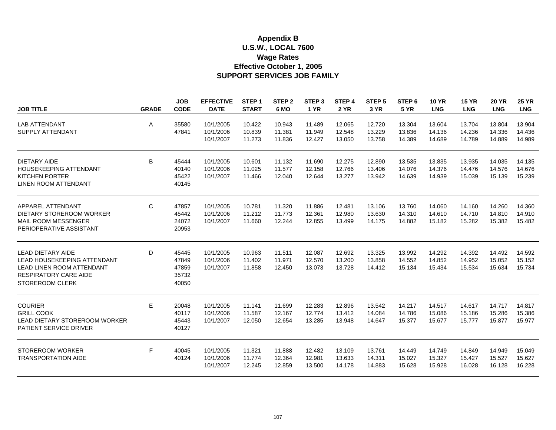#### **U.S.W., LOCAL 7600 Wage Rates SUPPORT SERVICES JOB FAMILY Appendix B Effective October 1, 2005**

|                                  |              | <b>JOB</b>  | <b>EFFECTIVE</b>       | STEP <sub>1</sub> | STEP <sub>2</sub> | STEP <sub>3</sub> | STEP 4           | STEP <sub>5</sub> | STEP <sub>6</sub> | <b>10 YR</b> | <b>15 YR</b> | <b>20 YR</b> | <b>25 YR</b> |
|----------------------------------|--------------|-------------|------------------------|-------------------|-------------------|-------------------|------------------|-------------------|-------------------|--------------|--------------|--------------|--------------|
| <b>JOB TITLE</b>                 | <b>GRADE</b> | <b>CODE</b> | <b>DATE</b>            | <b>START</b>      | 6 MO              | <b>1 YR</b>       | <b>2 YR</b>      | 3 YR              | <b>5 YR</b>       | <b>LNG</b>   | <b>LNG</b>   | <b>LNG</b>   | <b>LNG</b>   |
|                                  |              |             |                        |                   |                   |                   |                  |                   |                   |              |              |              |              |
| <b>LAB ATTENDANT</b>             | Α            | 35580       | 10/1/2005              | 10.422            | 10.943            | 11.489            | 12.065           | 12.720            | 13.304            | 13.604       | 13.704       | 13.804       | 13.904       |
| SUPPLY ATTENDANT                 |              | 47841       | 10/1/2006              | 10.839            | 11.381            | 11.949            | 12.548           | 13.229            | 13.836            | 14.136       | 14.236       | 14.336       | 14.436       |
|                                  |              |             | 10/1/2007              | 11.273            | 11.836            | 12.427            | 13.050           | 13.758            | 14.389            | 14.689       | 14.789       | 14.889       | 14.989       |
| <b>DIETARY AIDE</b>              | B            | 45444       | 10/1/2005              | 10.601            | 11.132            | 11.690            | 12.275           | 12.890            | 13.535            | 13.835       | 13.935       | 14.035       | 14.135       |
| HOUSEKEEPING ATTENDANT           |              | 40140       | 10/1/2006              | 11.025            | 11.577            | 12.158            | 12.766           | 13.406            | 14.076            | 14.376       | 14.476       | 14.576       | 14.676       |
| <b>KITCHEN PORTER</b>            |              | 45422       | 10/1/2007              | 11.466            | 12.040            | 12.644            | 13.277           | 13.942            | 14.639            | 14.939       | 15.039       | 15.139       | 15.239       |
| LINEN ROOM ATTENDANT             |              | 40145       |                        |                   |                   |                   |                  |                   |                   |              |              |              |              |
| APPAREL ATTENDANT                | C            | 47857       | 10/1/2005              | 10.781            | 11.320            | 11.886            |                  | 13.106            | 13.760            | 14.060       | 14.160       | 14.260       | 14.360       |
| DIETARY STOREROOM WORKER         |              | 45442       | 10/1/2006              | 11.212            | 11.773            | 12.361            | 12.481<br>12.980 | 13.630            | 14.310            | 14.610       | 14.710       | 14.810       | 14.910       |
| MAIL ROOM MESSENGER              |              | 24072       | 10/1/2007              | 11.660            | 12.244            | 12.855            | 13.499           | 14.175            | 14.882            | 15.182       | 15.282       | 15.382       | 15.482       |
| PERIOPERATIVE ASSISTANT          |              | 20953       |                        |                   |                   |                   |                  |                   |                   |              |              |              |              |
|                                  |              |             |                        |                   |                   |                   |                  |                   |                   |              |              |              |              |
| <b>LEAD DIETARY AIDE</b>         | D            | 45445       | 10/1/2005              | 10.963            | 11.511            | 12.087            | 12.692           | 13.325            | 13.992            | 14.292       | 14.392       | 14.492       | 14.592       |
| LEAD HOUSEKEEPING ATTENDANT      |              | 47849       | 10/1/2006              | 11.402            | 11.971            | 12.570            | 13.200           | 13.858            | 14.552            | 14.852       | 14.952       | 15.052       | 15.152       |
| <b>LEAD LINEN ROOM ATTENDANT</b> |              | 47859       | 10/1/2007              | 11.858            | 12.450            | 13.073            | 13.728           | 14.412            | 15.134            | 15.434       | 15.534       | 15.634       | 15.734       |
| RESPIRATORY CARE AIDE            |              | 35732       |                        |                   |                   |                   |                  |                   |                   |              |              |              |              |
| <b>STOREROOM CLERK</b>           |              | 40050       |                        |                   |                   |                   |                  |                   |                   |              |              |              |              |
| <b>COURIER</b>                   | E            | 20048       | 10/1/2005              | 11.141            | 11.699            | 12.283            | 12.896           | 13.542            | 14.217            | 14.517       | 14.617       | 14.717       | 14.817       |
| <b>GRILL COOK</b>                |              | 40117       | 10/1/2006              | 11.587            | 12.167            | 12.774            | 13.412           | 14.084            | 14.786            | 15.086       | 15.186       | 15.286       | 15.386       |
| LEAD DIETARY STOREROOM WORKER    |              | 45443       | 10/1/2007              | 12.050            | 12.654            | 13.285            | 13.948           | 14.647            | 15.377            | 15.677       | 15.777       | 15.877       | 15.977       |
| <b>PATIENT SERVICE DRIVER</b>    |              | 40127       |                        |                   |                   |                   |                  |                   |                   |              |              |              |              |
|                                  |              |             |                        |                   |                   |                   |                  |                   |                   |              |              |              |              |
| <b>STOREROOM WORKER</b>          | F            | 40045       | 10/1/2005              | 11.321            | 11.888            | 12.482            | 13.109           | 13.761            | 14.449            | 14.749       | 14.849       | 14.949       | 15.049       |
| <b>TRANSPORTATION AIDE</b>       |              | 40124       | 10/1/2006<br>10/1/2007 | 11.774<br>12.245  | 12.364<br>12.859  | 12.981<br>13.500  | 13.633<br>14.178 | 14.311<br>14.883  | 15.027            | 15.327       | 15.427       | 15.527       | 15.627       |
|                                  |              |             |                        |                   |                   |                   |                  |                   | 15.628            | 15.928       | 16.028       | 16.128       | 16.228       |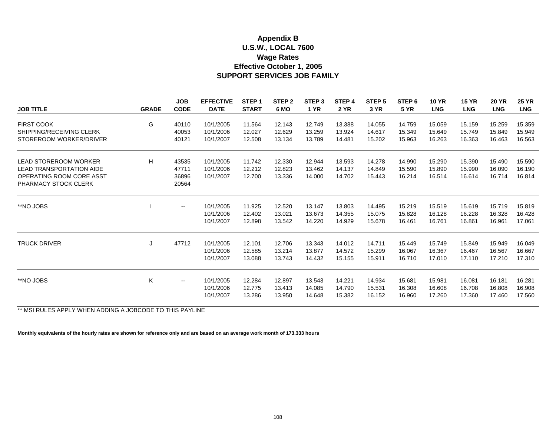#### **U.S.W., LOCAL 7600 Wage Rates SUPPORT SERVICES JOB FAMILY Appendix B Effective October 1, 2005**

|                                 |              | <b>JOB</b><br><b>CODE</b> | <b>EFFECTIVE</b> | STEP <sub>1</sub> | STEP <sub>2</sub> | STEP <sub>3</sub> | STEP 4      | STEP <sub>5</sub> | STEP <sub>6</sub> | <b>10 YR</b> | <b>15 YR</b> | <b>20 YR</b><br><b>LNG</b> | <b>25 YR</b> |
|---------------------------------|--------------|---------------------------|------------------|-------------------|-------------------|-------------------|-------------|-------------------|-------------------|--------------|--------------|----------------------------|--------------|
| <b>JOB TITLE</b>                | <b>GRADE</b> |                           | <b>DATE</b>      | <b>START</b>      | 6 MO              | <b>1 YR</b>       | <b>2 YR</b> | 3 YR              | <b>5 YR</b>       | <b>LNG</b>   | <b>LNG</b>   |                            | <b>LNG</b>   |
| <b>FIRST COOK</b>               | G            | 40110                     | 10/1/2005        | 11.564            | 12.143            | 12.749            | 13.388      | 14.055            | 14.759            | 15.059       | 15.159       | 15.259                     | 15.359       |
| SHIPPING/RECEIVING CLERK        |              | 40053                     | 10/1/2006        | 12.027            | 12.629            | 13.259            | 13.924      | 14.617            | 15.349            | 15.649       | 15.749       | 15.849                     | 15.949       |
| STOREROOM WORKER/DRIVER         |              | 40121                     | 10/1/2007        | 12.508            | 13.134            | 13.789            | 14.481      | 15.202            | 15.963            | 16.263       | 16.363       | 16.463                     | 16.563       |
| <b>LEAD STOREROOM WORKER</b>    | H            | 43535                     | 10/1/2005        | 11.742            | 12.330            | 12.944            | 13.593      | 14.278            | 14.990            | 15.290       | 15.390       | 15.490                     | 15.590       |
| <b>LEAD TRANSPORTATION AIDE</b> |              | 47711                     | 10/1/2006        | 12.212            | 12.823            | 13.462            | 14.137      | 14.849            | 15.590            | 15.890       | 15.990       | 16.090                     | 16.190       |
| OPERATING ROOM CORE ASST        |              | 36896                     | 10/1/2007        | 12.700            | 13.336            | 14.000            | 14.702      | 15.443            | 16.214            | 16.514       | 16.614       | 16.714                     | 16.814       |
| PHARMACY STOCK CLERK            |              | 20564                     |                  |                   |                   |                   |             |                   |                   |              |              |                            |              |
| **NO JOBS                       |              | $\overline{\phantom{a}}$  | 10/1/2005        | 11.925            | 12.520            | 13.147            | 13.803      | 14.495            | 15.219            | 15.519       | 15.619       | 15.719                     | 15.819       |
|                                 |              |                           | 10/1/2006        | 12.402            | 13.021            | 13.673            | 14.355      | 15.075            | 15.828            | 16.128       | 16.228       | 16.328                     | 16.428       |
|                                 |              |                           | 10/1/2007        | 12.898            | 13.542            | 14.220            | 14.929      | 15.678            | 16.461            | 16.761       | 16.861       | 16.961                     | 17.061       |
| <b>TRUCK DRIVER</b>             |              | 47712                     | 10/1/2005        | 12.101            | 12.706            | 13.343            | 14.012      | 14.711            | 15.449            | 15.749       | 15.849       | 15.949                     | 16.049       |
|                                 | J            |                           | 10/1/2006        | 12.585            | 13.214            | 13.877            | 14.572      | 15.299            | 16.067            | 16.367       | 16.467       | 16.567                     | 16.667       |
|                                 |              |                           | 10/1/2007        | 13.088            | 13.743            | 14.432            | 15.155      | 15.911            | 16.710            | 17.010       | 17.110       | 17.210                     | 17.310       |
|                                 |              |                           |                  |                   |                   |                   |             |                   |                   |              |              |                            |              |
| **NO JOBS                       | K            | $- -$                     | 10/1/2005        | 12.284            | 12.897            | 13.543            | 14.221      | 14.934            | 15.681            | 15.981       | 16.081       | 16.181                     | 16.281       |
|                                 |              |                           | 10/1/2006        | 12.775            | 13.413            | 14.085            | 14.790      | 15.531            | 16.308            | 16.608       | 16.708       | 16.808                     | 16.908       |
|                                 |              |                           | 10/1/2007        | 13.286            | 13.950            | 14.648            | 15.382      | 16.152            | 16.960            | 17.260       | 17.360       | 17.460                     | 17.560       |

\*\* MSI RULES APPLY WHEN ADDING A JOBCODE TO THIS PAYLINE

**Monthly equivalents of the hourly rates are shown for reference only and are based on an average work month of 173.333 hours**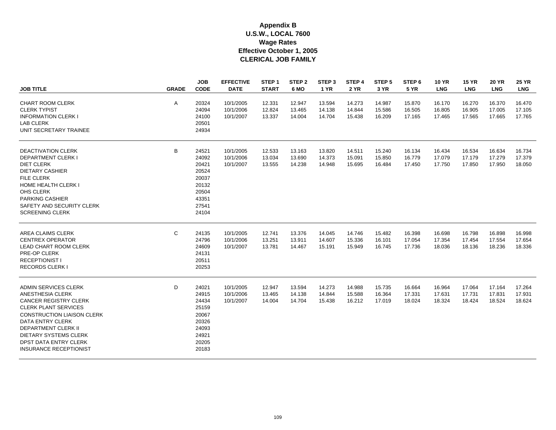| <b>JOB TITLE</b>                                                                                                                                                                                                                                                                                       | <b>GRADE</b> | <b>JOB</b><br><b>CODE</b>                                                              | <b>EFFECTIVE</b><br><b>DATE</b>     | STEP <sub>1</sub><br><b>START</b> | STEP <sub>2</sub><br>6 MO  | STEP <sub>3</sub><br><b>1 YR</b> | STEP <sub>4</sub><br><b>2 YR</b> | STEP <sub>5</sub><br>3 YR  | STEP <sub>6</sub><br><b>5 YR</b> | <b>10 YR</b><br><b>LNG</b> | <b>15 YR</b><br><b>LNG</b> | <b>20 YR</b><br><b>LNG</b> | <b>25 YR</b><br><b>LNG</b> |
|--------------------------------------------------------------------------------------------------------------------------------------------------------------------------------------------------------------------------------------------------------------------------------------------------------|--------------|----------------------------------------------------------------------------------------|-------------------------------------|-----------------------------------|----------------------------|----------------------------------|----------------------------------|----------------------------|----------------------------------|----------------------------|----------------------------|----------------------------|----------------------------|
| <b>CHART ROOM CLERK</b><br><b>CLERK TYPIST</b><br><b>INFORMATION CLERK I</b><br><b>LAB CLERK</b><br>UNIT SECRETARY TRAINEE                                                                                                                                                                             | Α            | 20324<br>24094<br>24100<br>20501<br>24934                                              | 10/1/2005<br>10/1/2006<br>10/1/2007 | 12.331<br>12.824<br>13.337        | 12.947<br>13.465<br>14.004 | 13.594<br>14.138<br>14.704       | 14.273<br>14.844<br>15.438       | 14.987<br>15.586<br>16.209 | 15.870<br>16.505<br>17.165       | 16.170<br>16.805<br>17.465 | 16.270<br>16.905<br>17.565 | 16.370<br>17.005<br>17.665 | 16.470<br>17.105<br>17.765 |
| <b>DEACTIVATION CLERK</b><br><b>DEPARTMENT CLERK I</b><br><b>DIET CLERK</b><br><b>DIETARY CASHIER</b><br><b>FILE CLERK</b><br><b>HOME HEALTH CLERK I</b><br>OHS CLERK<br><b>PARKING CASHIER</b><br>SAFETY AND SECURITY CLERK<br><b>SCREENING CLERK</b>                                                 | B            | 24521<br>24092<br>20421<br>20524<br>20037<br>20132<br>20504<br>43351<br>27541<br>24104 | 10/1/2005<br>10/1/2006<br>10/1/2007 | 12.533<br>13.034<br>13.555        | 13.163<br>13.690<br>14.238 | 13.820<br>14.373<br>14.948       | 14.511<br>15.091<br>15.695       | 15.240<br>15.850<br>16.484 | 16.134<br>16.779<br>17.450       | 16.434<br>17.079<br>17.750 | 16.534<br>17.179<br>17.850 | 16.634<br>17.279<br>17.950 | 16.734<br>17.379<br>18.050 |
| AREA CLAIMS CLERK<br><b>CENTREX OPERATOR</b><br><b>LEAD CHART ROOM CLERK</b><br>PRE-OP CLERK<br><b>RECEPTIONIST I</b><br><b>RECORDS CLERK I</b>                                                                                                                                                        | C            | 24135<br>24796<br>24609<br>24131<br>20511<br>20253                                     | 10/1/2005<br>10/1/2006<br>10/1/2007 | 12.741<br>13.251<br>13.781        | 13.376<br>13.911<br>14.467 | 14.045<br>14.607<br>15.191       | 14.746<br>15.336<br>15.949       | 15.482<br>16.101<br>16.745 | 16.398<br>17.054<br>17.736       | 16.698<br>17.354<br>18.036 | 16.798<br>17.454<br>18.136 | 16.898<br>17.554<br>18.236 | 16.998<br>17.654<br>18.336 |
| <b>ADMIN SERVICES CLERK</b><br>ANESTHESIA CLERK<br><b>CANCER REGISTRY CLERK</b><br><b>CLERK PLANT SERVICES</b><br><b>CONSTRUCTION LIAISON CLERK</b><br><b>DATA ENTRY CLERK</b><br><b>DEPARTMENT CLERK II</b><br><b>DIETARY SYSTEMS CLERK</b><br>DPST DATA ENTRY CLERK<br><b>INSURANCE RECEPTIONIST</b> | D            | 24021<br>24915<br>24434<br>25159<br>20067<br>20326<br>24093<br>24921<br>20205<br>20183 | 10/1/2005<br>10/1/2006<br>10/1/2007 | 12.947<br>13.465<br>14.004        | 13.594<br>14.138<br>14.704 | 14.273<br>14.844<br>15.438       | 14.988<br>15.588<br>16.212       | 15.735<br>16.364<br>17.019 | 16.664<br>17.331<br>18.024       | 16.964<br>17.631<br>18.324 | 17.064<br>17.731<br>18.424 | 17.164<br>17.831<br>18.524 | 17.264<br>17.931<br>18.624 |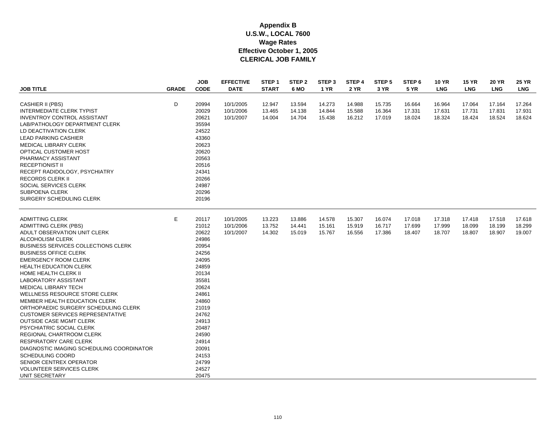| <b>JOB TITLE</b>                           | <b>GRADE</b> | <b>JOB</b><br><b>CODE</b> | <b>EFFECTIVE</b><br><b>DATE</b> | STEP <sub>1</sub><br><b>START</b> | STEP <sub>2</sub><br>6 MO | STEP <sub>3</sub><br><b>1 YR</b> | STEP 4<br><b>2 YR</b> | STEP 5<br>3 YR | STEP <sub>6</sub><br><b>5 YR</b> | <b>10 YR</b><br><b>LNG</b> | <b>15 YR</b><br><b>LNG</b> | <b>20 YR</b><br><b>LNG</b> | <b>25 YR</b><br><b>LNG</b> |
|--------------------------------------------|--------------|---------------------------|---------------------------------|-----------------------------------|---------------------------|----------------------------------|-----------------------|----------------|----------------------------------|----------------------------|----------------------------|----------------------------|----------------------------|
|                                            |              |                           |                                 |                                   |                           |                                  |                       |                |                                  |                            |                            |                            |                            |
| <b>CASHIER II (PBS)</b>                    | D            | 20994                     | 10/1/2005                       | 12.947                            | 13.594                    | 14.273                           | 14.988                | 15.735         | 16.664                           | 16.964                     | 17.064                     | 17.164                     | 17.264                     |
| <b>INTERMEDIATE CLERK TYPIST</b>           |              | 20029                     | 10/1/2006                       | 13.465                            | 14.138                    | 14.844                           | 15.588                | 16.364         | 17.331                           | 17.631                     | 17.731                     | 17.831                     | 17.931                     |
| <b>INVENTROY CONTROL ASSISTANT</b>         |              | 20621                     | 10/1/2007                       | 14.004                            | 14.704                    | 15.438                           | 16.212                | 17.019         | 18.024                           | 18.324                     | 18.424                     | 18.524                     | 18.624                     |
| LAB/PATHOLOGY DEPARTMENT CLERK             |              | 35594                     |                                 |                                   |                           |                                  |                       |                |                                  |                            |                            |                            |                            |
| LD DEACTIVATION CLERK                      |              | 24522                     |                                 |                                   |                           |                                  |                       |                |                                  |                            |                            |                            |                            |
| <b>LEAD PARKING CASHIER</b>                |              | 43360                     |                                 |                                   |                           |                                  |                       |                |                                  |                            |                            |                            |                            |
| <b>MEDICAL LIBRARY CLERK</b>               |              | 20623                     |                                 |                                   |                           |                                  |                       |                |                                  |                            |                            |                            |                            |
| OPTICAL CUSTOMER HOST                      |              | 20620                     |                                 |                                   |                           |                                  |                       |                |                                  |                            |                            |                            |                            |
| PHARMACY ASSISTANT                         |              | 20563                     |                                 |                                   |                           |                                  |                       |                |                                  |                            |                            |                            |                            |
| <b>RECEPTIONIST II</b>                     |              | 20516                     |                                 |                                   |                           |                                  |                       |                |                                  |                            |                            |                            |                            |
| RECEPT RADIDOLOGY, PSYCHIATRY              |              | 24341                     |                                 |                                   |                           |                                  |                       |                |                                  |                            |                            |                            |                            |
| <b>RECORDS CLERK II</b>                    |              | 20266                     |                                 |                                   |                           |                                  |                       |                |                                  |                            |                            |                            |                            |
| SOCIAL SERVICES CLERK                      |              | 24987                     |                                 |                                   |                           |                                  |                       |                |                                  |                            |                            |                            |                            |
| <b>SUBPOENA CLERK</b>                      |              | 20296                     |                                 |                                   |                           |                                  |                       |                |                                  |                            |                            |                            |                            |
| SURGERY SCHEDULING CLERK                   |              | 20196                     |                                 |                                   |                           |                                  |                       |                |                                  |                            |                            |                            |                            |
| <b>ADMITTING CLERK</b>                     | Е            | 20117                     | 10/1/2005                       | 13.223                            | 13.886                    | 14.578                           | 15.307                | 16.074         | 17.018                           | 17.318                     | 17.418                     | 17.518                     | 17.618                     |
| <b>ADMITTING CLERK (PBS)</b>               |              | 21012                     | 10/1/2006                       | 13.752                            | 14.441                    | 15.161                           | 15.919                | 16.717         | 17.699                           | 17.999                     | 18.099                     | 18.199                     | 18.299                     |
| ADULT OBSERVATION UNIT CLERK               |              | 20622                     | 10/1/2007                       | 14.302                            | 15.019                    | 15.767                           | 16.556                | 17.386         | 18.407                           | 18.707                     | 18.807                     | 18.907                     | 19.007                     |
| ALCOHOLISM CLERK                           |              | 24986                     |                                 |                                   |                           |                                  |                       |                |                                  |                            |                            |                            |                            |
| <b>BUSINESS SERVICES COLLECTIONS CLERK</b> |              | 20954                     |                                 |                                   |                           |                                  |                       |                |                                  |                            |                            |                            |                            |
| <b>BUSINESS OFFICE CLERK</b>               |              | 24256                     |                                 |                                   |                           |                                  |                       |                |                                  |                            |                            |                            |                            |
| <b>EMERGENCY ROOM CLERK</b>                |              | 24095                     |                                 |                                   |                           |                                  |                       |                |                                  |                            |                            |                            |                            |
| <b>HEALTH EDUCATION CLERK</b>              |              | 24859                     |                                 |                                   |                           |                                  |                       |                |                                  |                            |                            |                            |                            |
| HOME HEALTH CLERK II                       |              | 20134                     |                                 |                                   |                           |                                  |                       |                |                                  |                            |                            |                            |                            |
| LABORATORY ASSISTANT                       |              | 35581                     |                                 |                                   |                           |                                  |                       |                |                                  |                            |                            |                            |                            |
| MEDICAL LIBRARY TECH                       |              | 20624                     |                                 |                                   |                           |                                  |                       |                |                                  |                            |                            |                            |                            |
| WELLNESS RESOURCE STORE CLERK              |              | 24861                     |                                 |                                   |                           |                                  |                       |                |                                  |                            |                            |                            |                            |
| MEMBER HEALTH EDUCATION CLERK              |              | 24860                     |                                 |                                   |                           |                                  |                       |                |                                  |                            |                            |                            |                            |
| ORTHOPAEDIC SURGERY SCHEDULING CLERK       |              | 21019                     |                                 |                                   |                           |                                  |                       |                |                                  |                            |                            |                            |                            |
| <b>CUSTOMER SERVICES REPRESENTATIVE</b>    |              | 24762                     |                                 |                                   |                           |                                  |                       |                |                                  |                            |                            |                            |                            |
| <b>OUTSIDE CASE MGMT CLERK</b>             |              | 24913                     |                                 |                                   |                           |                                  |                       |                |                                  |                            |                            |                            |                            |
| PSYCHIATRIC SOCIAL CLERK                   |              | 20487                     |                                 |                                   |                           |                                  |                       |                |                                  |                            |                            |                            |                            |
| REGIONAL CHARTROOM CLERK                   |              | 24590                     |                                 |                                   |                           |                                  |                       |                |                                  |                            |                            |                            |                            |
| <b>RESPIRATORY CARE CLERK</b>              |              | 24914                     |                                 |                                   |                           |                                  |                       |                |                                  |                            |                            |                            |                            |
| DIAGNOSTIC IMAGING SCHEDULING COORDINATOR  |              | 20091                     |                                 |                                   |                           |                                  |                       |                |                                  |                            |                            |                            |                            |
| SCHEDULING COORD                           |              | 24153                     |                                 |                                   |                           |                                  |                       |                |                                  |                            |                            |                            |                            |
| <b>SENIOR CENTREX OPERATOR</b>             |              | 24799                     |                                 |                                   |                           |                                  |                       |                |                                  |                            |                            |                            |                            |
| <b>VOLUNTEER SERVICES CLERK</b>            |              | 24527                     |                                 |                                   |                           |                                  |                       |                |                                  |                            |                            |                            |                            |
| UNIT SECRETARY                             |              | 20475                     |                                 |                                   |                           |                                  |                       |                |                                  |                            |                            |                            |                            |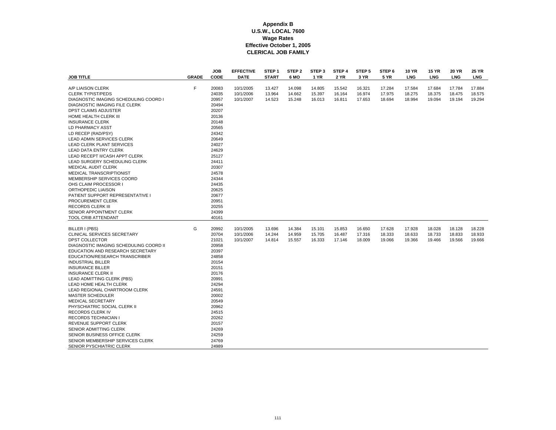| <b>JOB TITLE</b>                                                                                                                                                                                                                                                                                                                                                                                                                                                                                                                                                                                                                                                                                                    | <b>GRADE</b> | <b>JOB</b><br>CODE                                                                                                                                                                                                   | <b>EFFECTIVE</b><br><b>DATE</b>     | STEP <sub>1</sub><br><b>START</b> | STEP <sub>2</sub><br>6 MO  | STEP <sub>3</sub><br>1 YR  | STEP 4<br>2 YR             | STEP <sub>5</sub><br>3 YR  | STEP <sub>6</sub><br><b>5 YR</b> | <b>10 YR</b><br>LNG        | <b>15 YR</b><br>LNG        | <b>20 YR</b><br><b>LNG</b> | <b>25 YR</b><br><b>LNG</b> |
|---------------------------------------------------------------------------------------------------------------------------------------------------------------------------------------------------------------------------------------------------------------------------------------------------------------------------------------------------------------------------------------------------------------------------------------------------------------------------------------------------------------------------------------------------------------------------------------------------------------------------------------------------------------------------------------------------------------------|--------------|----------------------------------------------------------------------------------------------------------------------------------------------------------------------------------------------------------------------|-------------------------------------|-----------------------------------|----------------------------|----------------------------|----------------------------|----------------------------|----------------------------------|----------------------------|----------------------------|----------------------------|----------------------------|
| A/P LIAISON CLERK<br><b>CLERK TYPIST/PEDS</b><br>DIAGNOSTIC IMAGING SCHEDULING COORD I<br><b>DIAGNOSTIC IMAGING FILE CLERK</b><br>DPST CLAIMS ADJUSTER<br>HOME HEALTH CLERK III<br><b>INSURANCE CLERK</b><br>LD PHARMACY ASST<br>LD RECEP (RAD/PSY)<br><b>LEAD ADMIN SERVICES CLERK</b><br><b>LEAD CLERK PLANT SERVICES</b><br><b>LEAD DATA ENTRY CLERK</b><br>LEAD RECEPT II/CASH APPT CLERK<br>LEAD SURGERY SCHEDULING CLERK<br><b>MEDICAL AUDIT CLERK</b><br><b>MEDICAL TRANSCRIPTIONIST</b><br>MEMBERSHIP SERVICES COORD<br>OHS CLAIM PROCESSOR I<br>ORTHOPEDIC LIAISON<br>PATIENT SUPPORT REPRESENTATIVE I<br>PROCUREMENT CLERK<br><b>RECORDS CLERK III</b><br>SENIOR APPOINTMENT CLERK<br>TOOL CRIB ATTENDANT | F            | 20083<br>24035<br>20957<br>20494<br>20207<br>20136<br>20148<br>20565<br>24342<br>20649<br>24027<br>24629<br>25127<br>24411<br>20307<br>24578<br>24344<br>24435<br>20625<br>20677<br>20951<br>20255<br>24399<br>40161 | 10/1/2005<br>10/1/2006<br>10/1/2007 | 13.427<br>13.964<br>14.523        | 14.098<br>14.662<br>15.248 | 14.805<br>15.397<br>16.013 | 15.542<br>16.164<br>16.811 | 16.321<br>16.974<br>17.653 | 17.284<br>17.975<br>18.694       | 17.584<br>18.275<br>18.994 | 17.684<br>18.375<br>19.094 | 17.784<br>18.475<br>19.194 | 17.884<br>18.575<br>19.294 |
| BILLER I (PBS)<br>CLINICAL SERVICES SECRETARY<br><b>DPST COLLECTOR</b><br>DIAGNOSTIC IMAGING SCHEDULING COORD II<br>EDUCATION AND RESEARCH SECRETARY<br>EDUCATION/RESEARCH TRANSCRIBER<br><b>INDUSTRIAL BILLER</b><br><b>INSURANCE BILLER</b><br><b>INSURANCE CLERK II</b><br>LEAD ADMITTING CLERK (PBS)<br>LEAD HOME HEALTH CLERK<br>LEAD REGIONAL CHARTROOM CLERK<br><b>MASTER SCHEDULER</b><br><b>MEDICAL SECRETARY</b><br>PHYSCHIATRIC SOCIAL CLERK II<br><b>RECORDS CLERK IV</b><br>RECORDS TECHNICIAN I<br>REVENUE SUPPORT CLERK<br>SENIOR ADMITTING CLERK<br>SENIOR BUSINESS OFFICE CLERK<br>SENIOR MEMBERSHIP SERVICES CLERK<br>SENIOR PYSCHIATRIC CLERK                                                    | G            | 20992<br>20704<br>21021<br>20958<br>20397<br>24858<br>20154<br>20151<br>20176<br>20991<br>24294<br>24591<br>20002<br>20549<br>20962<br>24515<br>20262<br>20157<br>24269<br>24259<br>24769<br>24989                   | 10/1/2005<br>10/1/2006<br>10/1/2007 | 13.696<br>14.244<br>14.814        | 14.384<br>14.959<br>15.557 | 15.101<br>15.705<br>16.333 | 15.853<br>16.487<br>17.146 | 16.650<br>17.316<br>18.009 | 17.628<br>18.333<br>19.066       | 17.928<br>18.633<br>19.366 | 18.028<br>18.733<br>19.466 | 18.128<br>18.833<br>19.566 | 18.228<br>18.933<br>19.666 |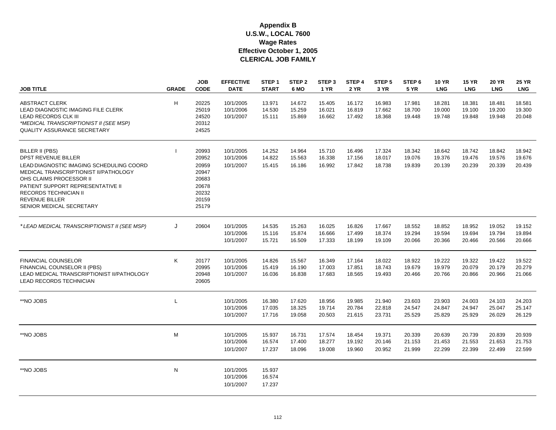| <b>JOB TITLE</b>                                                                                                                                                                                                                                                                        | <b>GRADE</b> | <b>JOB</b><br><b>CODE</b>                                                     | <b>EFFECTIVE</b><br><b>DATE</b>     | STEP <sub>1</sub><br><b>START</b> | STEP <sub>2</sub><br>6 MO  | STEP <sub>3</sub><br><b>1 YR</b> | STEP <sub>4</sub><br><b>2 YR</b> | STEP <sub>5</sub><br>3 YR  | STEP <sub>6</sub><br><b>5 YR</b> | <b>10 YR</b><br><b>LNG</b> | <b>15 YR</b><br><b>LNG</b> | <b>20 YR</b><br><b>LNG</b> | <b>25 YR</b><br><b>LNG</b> |
|-----------------------------------------------------------------------------------------------------------------------------------------------------------------------------------------------------------------------------------------------------------------------------------------|--------------|-------------------------------------------------------------------------------|-------------------------------------|-----------------------------------|----------------------------|----------------------------------|----------------------------------|----------------------------|----------------------------------|----------------------------|----------------------------|----------------------------|----------------------------|
| <b>ABSTRACT CLERK</b><br>LEAD DIAGNOSTIC IMAGING FILE CLERK<br><b>LEAD RECORDS CLK III</b><br>*MEDICAL TRANSCRIPTIONIST II (SEE MSP)<br><b>QUALITY ASSURANCE SECRETARY</b>                                                                                                              | H            | 20225<br>25019<br>24520<br>20312<br>24525                                     | 10/1/2005<br>10/1/2006<br>10/1/2007 | 13.971<br>14.530<br>15.111        | 14.672<br>15.259<br>15.869 | 15.405<br>16.021<br>16.662       | 16.172<br>16.819<br>17.492       | 16.983<br>17.662<br>18.368 | 17.981<br>18.700<br>19.448       | 18.281<br>19.000<br>19.748 | 18.381<br>19.100<br>19.848 | 18.481<br>19.200<br>19.948 | 18.581<br>19.300<br>20.048 |
| BILLER II (PBS)<br><b>DPST REVENUE BILLER</b><br>LEAD DIAGNOSTIC IMAGING SCHEDULING COORD<br>MEDICAL TRANSCRIPTIONIST II/PATHOLOGY<br>OHS CLAIMS PROCESSOR II<br>PATIENT SUPPORT REPRESENTATIVE II<br><b>RECORDS TECHNICIAN II</b><br><b>REVENUE BILLER</b><br>SENIOR MEDICAL SECRETARY |              | 20993<br>20952<br>20959<br>20947<br>20683<br>20678<br>20232<br>20159<br>25179 | 10/1/2005<br>10/1/2006<br>10/1/2007 | 14.252<br>14.822<br>15.415        | 14.964<br>15.563<br>16.186 | 15.710<br>16.338<br>16.992       | 16.496<br>17.156<br>17.842       | 17.324<br>18.017<br>18.738 | 18.342<br>19.076<br>19.839       | 18.642<br>19.376<br>20.139 | 18.742<br>19.476<br>20.239 | 18.842<br>19.576<br>20.339 | 18.942<br>19.676<br>20.439 |
| *LEAD MEDICAL TRANSCRIPTIONIST II (SEE MSP)                                                                                                                                                                                                                                             | J            | 20604                                                                         | 10/1/2005<br>10/1/2006<br>10/1/2007 | 14.535<br>15.116<br>15.721        | 15.263<br>15.874<br>16.509 | 16.025<br>16.666<br>17.333       | 16.826<br>17.499<br>18.199       | 17.667<br>18.374<br>19.109 | 18.552<br>19.294<br>20.066       | 18.852<br>19.594<br>20.366 | 18.952<br>19.694<br>20.466 | 19.052<br>19.794<br>20.566 | 19.152<br>19.894<br>20.666 |
| <b>FINANCIAL COUNSELOR</b><br>FINANCIAL COUNSELOR II (PBS)<br>LEAD MEDICAL TRANSCRIPTIONIST II/PATHOLOGY<br>LEAD RECORDS TECHNICIAN                                                                                                                                                     | K            | 20177<br>20995<br>20948<br>20605                                              | 10/1/2005<br>10/1/2006<br>10/1/2007 | 14.826<br>15.419<br>16.036        | 15.567<br>16.190<br>16.838 | 16.349<br>17.003<br>17.683       | 17.164<br>17.851<br>18.565       | 18.022<br>18.743<br>19.493 | 18.922<br>19.679<br>20.466       | 19.222<br>19.979<br>20.766 | 19.322<br>20.079<br>20.866 | 19.422<br>20.179<br>20.966 | 19.522<br>20.279<br>21.066 |
| **NO JOBS                                                                                                                                                                                                                                                                               | L            |                                                                               | 10/1/2005<br>10/1/2006<br>10/1/2007 | 16.380<br>17.035<br>17.716        | 17.620<br>18.325<br>19.058 | 18.956<br>19.714<br>20.503       | 19.985<br>20.784<br>21.615       | 21.940<br>22.818<br>23.731 | 23.603<br>24.547<br>25.529       | 23.903<br>24.847<br>25.829 | 24.003<br>24.947<br>25.929 | 24.103<br>25.047<br>26.029 | 24.203<br>25.147<br>26.129 |
| **NO JOBS                                                                                                                                                                                                                                                                               | M            |                                                                               | 10/1/2005<br>10/1/2006<br>10/1/2007 | 15.937<br>16.574<br>17.237        | 16.731<br>17.400<br>18.096 | 17.574<br>18.277<br>19.008       | 18.454<br>19.192<br>19.960       | 19.371<br>20.146<br>20.952 | 20.339<br>21.153<br>21.999       | 20.639<br>21.453<br>22.299 | 20.739<br>21.553<br>22.399 | 20.839<br>21.653<br>22.499 | 20.939<br>21.753<br>22.599 |
| **NO JOBS                                                                                                                                                                                                                                                                               | N            |                                                                               | 10/1/2005<br>10/1/2006<br>10/1/2007 | 15.937<br>16.574<br>17.237        |                            |                                  |                                  |                            |                                  |                            |                            |                            |                            |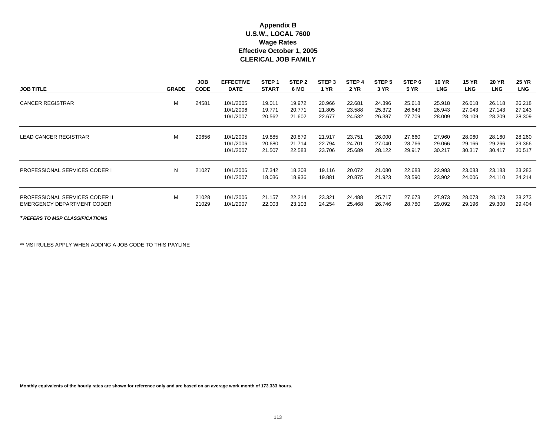| <b>JOB TITLE</b>                                                    | <b>GRADE</b> | <b>JOB</b><br><b>CODE</b> | <b>EFFECTIVE</b><br><b>DATE</b>     | STEP <sub>1</sub><br><b>START</b> | STEP <sub>2</sub><br>6 MO  | STEP <sub>3</sub><br>1 YR  | STEP <sub>4</sub><br><b>2 YR</b> | STEP <sub>5</sub><br>3 YR  | STEP 6<br><b>5 YR</b>      | <b>10 YR</b><br><b>LNG</b> | <b>15 YR</b><br><b>LNG</b> | <b>20 YR</b><br><b>LNG</b> | <b>25 YR</b><br><b>LNG</b> |
|---------------------------------------------------------------------|--------------|---------------------------|-------------------------------------|-----------------------------------|----------------------------|----------------------------|----------------------------------|----------------------------|----------------------------|----------------------------|----------------------------|----------------------------|----------------------------|
| <b>CANCER REGISTRAR</b>                                             | м            | 24581                     | 10/1/2005<br>10/1/2006<br>10/1/2007 | 19.011<br>19.771<br>20.562        | 19.972<br>20.771<br>21.602 | 20.966<br>21.805<br>22.677 | 22.681<br>23.588<br>24.532       | 24.396<br>25.372<br>26.387 | 25.618<br>26.643<br>27.709 | 25.918<br>26.943<br>28.009 | 26.018<br>27.043<br>28.109 | 26.118<br>27.143<br>28.209 | 26.218<br>27.243<br>28.309 |
| <b>LEAD CANCER REGISTRAR</b>                                        | м            | 20656                     | 10/1/2005<br>10/1/2006<br>10/1/2007 | 19.885<br>20.680<br>21.507        | 20.879<br>21.714<br>22.583 | 21.917<br>22.794<br>23.706 | 23.751<br>24.701<br>25.689       | 26,000<br>27.040<br>28.122 | 27.660<br>28.766<br>29.917 | 27.960<br>29.066<br>30.217 | 28.060<br>29.166<br>30.317 | 28.160<br>29.266<br>30.417 | 28.260<br>29.366<br>30.517 |
| <b>PROFESSIONAL SERVICES CODER I</b>                                | N            | 21027                     | 10/1/2006<br>10/1/2007              | 17.342<br>18.036                  | 18.208<br>18.936           | 19.116<br>19.881           | 20.072<br>20.875                 | 21.080<br>21.923           | 22.683<br>23.590           | 22.983<br>23.902           | 23.083<br>24.006           | 23.183<br>24.110           | 23.283<br>24.214           |
| <b>PROFESSIONAL SERVICES CODER II</b><br>EMERGENCY DEPARTMENT CODER | м            | 21028<br>21029            | 10/1/2006<br>10/1/2007              | 21.157<br>22.003                  | 22.214<br>23.103           | 23.321<br>24.254           | 24.488<br>25.468                 | 25.717<br>26.746           | 27.673<br>28.780           | 27.973<br>29.092           | 28.073<br>29.196           | 28.173<br>29,300           | 28.273<br>29.404           |

*\* REFERS TO MSP CLASSIFICATIONS*

\*\* MSI RULES APPLY WHEN ADDING A JOB CODE TO THIS PAYLINE

**Monthly equivalents of the hourly rates are shown for reference only and are based on an average work month of 173.333 hours.**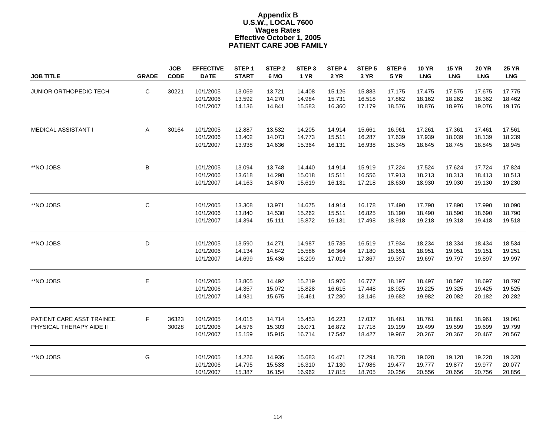#### **PATIENT CARE JOB FAMIL Y Appendix B Effective October 1, 2005 U.S.W., LOCAL 7600 Wages Rates**

| <b>JOB TITLE</b>                                      | <b>GRADE</b> | <b>JOB</b><br><b>CODE</b> | <b>EFFECTIVE</b><br><b>DATE</b>     | STEP <sub>1</sub><br><b>START</b> | STEP <sub>2</sub><br>6 MO  | STEP <sub>3</sub><br><b>1 YR</b> | STEP 4<br><b>2 YR</b>      | STEP <sub>5</sub><br>3 YR  | STEP 6<br><b>5 YR</b>      | <b>10 YR</b><br><b>LNG</b> | <b>15 YR</b><br><b>LNG</b> | <b>20 YR</b><br><b>LNG</b> | <b>25 YR</b><br><b>LNG</b> |
|-------------------------------------------------------|--------------|---------------------------|-------------------------------------|-----------------------------------|----------------------------|----------------------------------|----------------------------|----------------------------|----------------------------|----------------------------|----------------------------|----------------------------|----------------------------|
| JUNIOR ORTHOPEDIC TECH                                | C            | 30221                     | 10/1/2005<br>10/1/2006<br>10/1/2007 | 13.069<br>13.592<br>14.136        | 13.721<br>14.270<br>14.841 | 14.408<br>14.984<br>15.583       | 15.126<br>15.731<br>16.360 | 15.883<br>16.518<br>17.179 | 17.175<br>17.862<br>18.576 | 17.475<br>18.162<br>18.876 | 17.575<br>18.262<br>18.976 | 17.675<br>18.362<br>19.076 | 17.775<br>18.462<br>19.176 |
| MEDICAL ASSISTANT I                                   | A            | 30164                     | 10/1/2005<br>10/1/2006<br>10/1/2007 | 12.887<br>13.402<br>13.938        | 13.532<br>14.073<br>14.636 | 14.205<br>14.773<br>15.364       | 14.914<br>15.511<br>16.131 | 15.661<br>16.287<br>16.938 | 16.961<br>17.639<br>18.345 | 17.261<br>17.939<br>18.645 | 17.361<br>18.039<br>18.745 | 17.461<br>18.139<br>18.845 | 17.561<br>18.239<br>18.945 |
| **NO JOBS                                             | B            |                           | 10/1/2005<br>10/1/2006<br>10/1/2007 | 13.094<br>13.618<br>14.163        | 13.748<br>14.298<br>14.870 | 14.440<br>15.018<br>15.619       | 14.914<br>15.511<br>16.131 | 15.919<br>16.556<br>17.218 | 17.224<br>17.913<br>18.630 | 17.524<br>18.213<br>18.930 | 17.624<br>18.313<br>19.030 | 17.724<br>18.413<br>19.130 | 17.824<br>18.513<br>19.230 |
| **NO JOBS                                             | $\mathsf C$  |                           | 10/1/2005<br>10/1/2006<br>10/1/2007 | 13.308<br>13.840<br>14.394        | 13.971<br>14.530<br>15.111 | 14.675<br>15.262<br>15.872       | 14.914<br>15.511<br>16.131 | 16.178<br>16.825<br>17.498 | 17.490<br>18.190<br>18.918 | 17.790<br>18.490<br>19.218 | 17.890<br>18.590<br>19.318 | 17.990<br>18.690<br>19.418 | 18.090<br>18.790<br>19.518 |
| **NO JOBS                                             | D            |                           | 10/1/2005<br>10/1/2006<br>10/1/2007 | 13.590<br>14.134<br>14.699        | 14.271<br>14.842<br>15.436 | 14.987<br>15.586<br>16.209       | 15.735<br>16.364<br>17.019 | 16.519<br>17.180<br>17.867 | 17.934<br>18.651<br>19.397 | 18.234<br>18.951<br>19.697 | 18.334<br>19.051<br>19.797 | 18.434<br>19.151<br>19.897 | 18.534<br>19.251<br>19.997 |
| **NO JOBS                                             | $\mathsf E$  |                           | 10/1/2005<br>10/1/2006<br>10/1/2007 | 13.805<br>14.357<br>14.931        | 14.492<br>15.072<br>15.675 | 15.219<br>15.828<br>16.461       | 15.976<br>16.615<br>17.280 | 16.777<br>17.448<br>18.146 | 18.197<br>18.925<br>19.682 | 18.497<br>19.225<br>19.982 | 18.597<br>19.325<br>20.082 | 18.697<br>19.425<br>20.182 | 18.797<br>19.525<br>20.282 |
| PATIENT CARE ASST TRAINEE<br>PHYSICAL THERAPY AIDE II | F            | 36323<br>30028            | 10/1/2005<br>10/1/2006<br>10/1/2007 | 14.015<br>14.576<br>15.159        | 14.714<br>15.303<br>15.915 | 15.453<br>16.071<br>16.714       | 16.223<br>16.872<br>17.547 | 17.037<br>17.718<br>18.427 | 18.461<br>19.199<br>19.967 | 18.761<br>19.499<br>20.267 | 18.861<br>19.599<br>20.367 | 18.961<br>19.699<br>20.467 | 19.061<br>19.799<br>20.567 |
| **NO JOBS                                             | G            |                           | 10/1/2005<br>10/1/2006<br>10/1/2007 | 14.226<br>14.795<br>15.387        | 14.936<br>15.533<br>16.154 | 15.683<br>16.310<br>16.962       | 16.471<br>17.130<br>17.815 | 17.294<br>17.986<br>18.705 | 18.728<br>19.477<br>20.256 | 19.028<br>19.777<br>20.556 | 19.128<br>19.877<br>20.656 | 19.228<br>19.977<br>20.756 | 19.328<br>20.077<br>20.856 |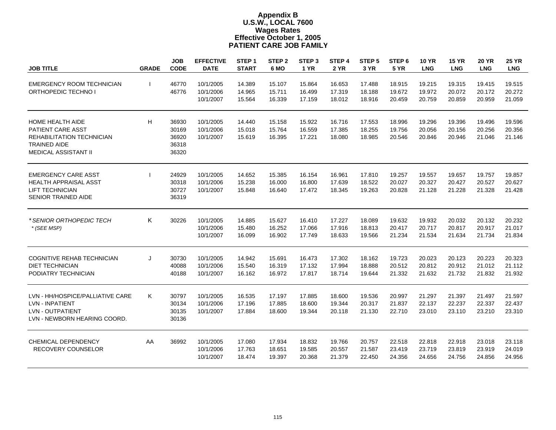| <b>JOB TITLE</b>                                                                                                                       | <b>GRADE</b> | <b>JOB</b><br><b>CODE</b>                 | <b>EFFECTIVE</b><br><b>DATE</b>     | STEP <sub>1</sub><br><b>START</b> | STEP <sub>2</sub><br>6 MO  | STEP <sub>3</sub><br><b>1 YR</b> | STEP 4<br><b>2 YR</b>      | STEP <sub>5</sub><br>3 YR  | STEP <sub>6</sub><br><b>5 YR</b> | <b>10 YR</b><br><b>LNG</b> | <b>15 YR</b><br><b>LNG</b> | <b>20 YR</b><br><b>LNG</b> | <b>25 YR</b><br><b>LNG</b> |
|----------------------------------------------------------------------------------------------------------------------------------------|--------------|-------------------------------------------|-------------------------------------|-----------------------------------|----------------------------|----------------------------------|----------------------------|----------------------------|----------------------------------|----------------------------|----------------------------|----------------------------|----------------------------|
| EMERGENCY ROOM TECHNICIAN<br>ORTHOPEDIC TECHNO I                                                                                       |              | 46770<br>46776                            | 10/1/2005<br>10/1/2006<br>10/1/2007 | 14.389<br>14.965<br>15.564        | 15.107<br>15.711<br>16.339 | 15.864<br>16.499<br>17.159       | 16.653<br>17.319<br>18.012 | 17.488<br>18.188<br>18.916 | 18.915<br>19.672<br>20.459       | 19.215<br>19.972<br>20.759 | 19.315<br>20.072<br>20.859 | 19.415<br>20.172<br>20.959 | 19.515<br>20.272<br>21.059 |
| <b>HOME HEALTH AIDE</b><br>PATIENT CARE ASST<br><b>REHABILITATION TECHNICIAN</b><br><b>TRAINED AIDE</b><br><b>MEDICAL ASSISTANT II</b> | H            | 36930<br>30169<br>36920<br>36318<br>36320 | 10/1/2005<br>10/1/2006<br>10/1/2007 | 14.440<br>15.018<br>15.619        | 15.158<br>15.764<br>16.395 | 15.922<br>16.559<br>17.221       | 16.716<br>17.385<br>18.080 | 17.553<br>18.255<br>18.985 | 18.996<br>19.756<br>20.546       | 19.296<br>20.056<br>20.846 | 19.396<br>20.156<br>20.946 | 19.496<br>20.256<br>21.046 | 19.596<br>20.356<br>21.146 |
| <b>EMERGENCY CARE ASST</b><br><b>HEALTH APPRAISAL ASST</b><br><b>LIFT TECHNICIAN</b><br><b>SENIOR TRAINED AIDE</b>                     |              | 24929<br>30318<br>30727<br>36319          | 10/1/2005<br>10/1/2006<br>10/1/2007 | 14.652<br>15.238<br>15.848        | 15.385<br>16.000<br>16.640 | 16.154<br>16.800<br>17.472       | 16.961<br>17.639<br>18.345 | 17.810<br>18.522<br>19.263 | 19.257<br>20.027<br>20.828       | 19.557<br>20.327<br>21.128 | 19.657<br>20.427<br>21.228 | 19.757<br>20.527<br>21.328 | 19.857<br>20.627<br>21.428 |
| * SENIOR ORTHOPEDIC TECH<br>* (SEE MSP)                                                                                                | K            | 30226                                     | 10/1/2005<br>10/1/2006<br>10/1/2007 | 14.885<br>15.480<br>16.099        | 15.627<br>16.252<br>16.902 | 16.410<br>17.066<br>17.749       | 17.227<br>17.916<br>18.633 | 18.089<br>18.813<br>19.566 | 19.632<br>20.417<br>21.234       | 19.932<br>20.717<br>21.534 | 20.032<br>20.817<br>21.634 | 20.132<br>20.917<br>21.734 | 20.232<br>21.017<br>21.834 |
| <b>COGNITIVE REHAB TECHNICIAN</b><br><b>DIET TECHNICIAN</b><br>PODIATRY TECHNICIAN                                                     | J            | 30730<br>40088<br>40188                   | 10/1/2005<br>10/1/2006<br>10/1/2007 | 14.942<br>15.540<br>16.162        | 15.691<br>16.319<br>16.972 | 16.473<br>17.132<br>17.817       | 17.302<br>17.994<br>18.714 | 18.162<br>18.888<br>19.644 | 19.723<br>20.512<br>21.332       | 20.023<br>20.812<br>21.632 | 20.123<br>20.912<br>21.732 | 20.223<br>21.012<br>21.832 | 20.323<br>21.112<br>21.932 |
| LVN - HH/HOSPICE/PALLIATIVE CARE<br><b>LVN - INPATIENT</b><br><b>LVN - OUTPATIENT</b><br>LVN - NEWBORN HEARING COORD.                  | Κ            | 30797<br>30134<br>30135<br>30136          | 10/1/2005<br>10/1/2006<br>10/1/2007 | 16.535<br>17.196<br>17.884        | 17.197<br>17.885<br>18.600 | 17.885<br>18.600<br>19.344       | 18.600<br>19.344<br>20.118 | 19.536<br>20.317<br>21.130 | 20.997<br>21.837<br>22.710       | 21.297<br>22.137<br>23.010 | 21.397<br>22.237<br>23.110 | 21.497<br>22.337<br>23.210 | 21.597<br>22.437<br>23.310 |
| CHEMICAL DEPENDENCY<br><b>RECOVERY COUNSELOR</b>                                                                                       | AA           | 36992                                     | 10/1/2005<br>10/1/2006<br>10/1/2007 | 17.080<br>17.763<br>18.474        | 17.934<br>18.651<br>19.397 | 18.832<br>19.585<br>20.368       | 19.766<br>20.557<br>21.379 | 20.757<br>21.587<br>22.450 | 22.518<br>23.419<br>24.356       | 22.818<br>23.719<br>24.656 | 22.918<br>23.819<br>24.756 | 23.018<br>23.919<br>24.856 | 23.118<br>24.019<br>24.956 |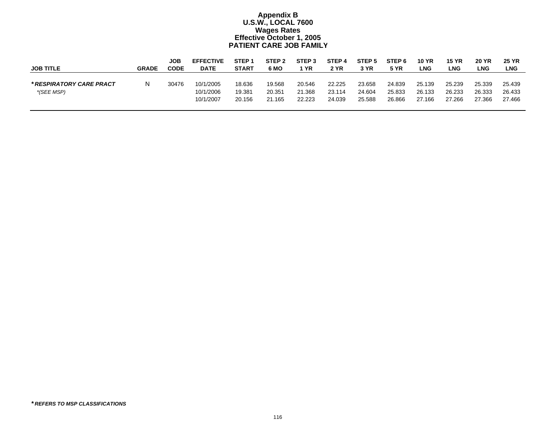|                          |              | JOB         | <b>EFFECTIVE</b> | STEP <sub>1</sub> | STEP <sub>2</sub> | STEP <sub>3</sub> | STEP <sub>4</sub> | STEP 5      | STEP <sub>6</sub> | <b>10 YR</b> | <b>15 YR</b> | <b>20 YR</b> | <b>25 YR</b> |
|--------------------------|--------------|-------------|------------------|-------------------|-------------------|-------------------|-------------------|-------------|-------------------|--------------|--------------|--------------|--------------|
| <b>JOB TITLE</b>         | <b>GRADE</b> | <b>CODE</b> | <b>DATE</b>      | <b>START</b>      | 6 MO              | YR                | 2 YR              | <b>3 YR</b> | <b>5 YR</b>       | LNG          | <b>LNG</b>   | LNG.         | LNG          |
|                          |              |             |                  |                   |                   |                   |                   |             |                   |              |              |              |              |
| * RESPIRATORY CARE PRACT |              | 30476       | 10/1/2005        | 18.636            | 19.568            | 20.546            | 22.225            | 23.658      | 24.839            | 25.139       | 25.239       | 25.339       | 25.439       |
| *(SEE MSP)               |              |             | 10/1/2006        | 19.381            | 20.351            | 21.368            | 23.114            | 24.604      | 25.833            | 26.133       | 26.233       | 26.333       | 26.433       |
|                          |              |             | 10/1/2007        | 20.156            | 21.165            | 22.223            | 24.039            | 25.588      | 26.866            | 27.166       | 27.266       | 27.366       | 27.466       |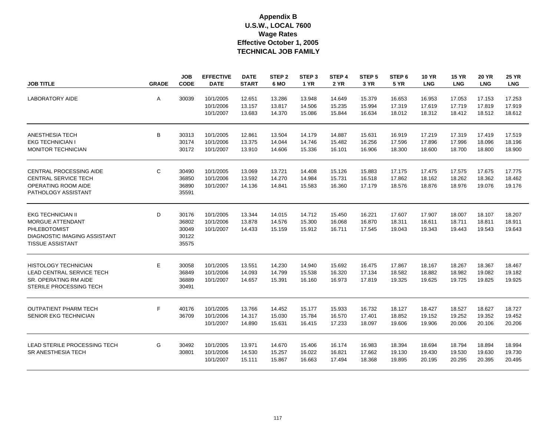| <b>JOB TITLE</b>                                                                                                        | <b>GRADE</b> | <b>JOB</b><br><b>CODE</b>                 | <b>EFFECTIVE</b><br><b>DATE</b>     | <b>DATE</b><br><b>START</b> | STEP <sub>2</sub><br>6 MO  | STEP <sub>3</sub><br><b>1 YR</b> | STEP 4<br><b>2 YR</b>      | STEP <sub>5</sub><br>3 YR  | STEP <sub>6</sub><br><b>5 YR</b> | <b>10 YR</b><br><b>LNG</b> | <b>15 YR</b><br><b>LNG</b> | 20 YR<br><b>LNG</b>        | <b>25 YR</b><br><b>LNG</b> |
|-------------------------------------------------------------------------------------------------------------------------|--------------|-------------------------------------------|-------------------------------------|-----------------------------|----------------------------|----------------------------------|----------------------------|----------------------------|----------------------------------|----------------------------|----------------------------|----------------------------|----------------------------|
| <b>LABORATORY AIDE</b>                                                                                                  | A            | 30039                                     | 10/1/2005<br>10/1/2006<br>10/1/2007 | 12.651<br>13.157<br>13.683  | 13.286<br>13.817<br>14.370 | 13.948<br>14.506<br>15.086       | 14.649<br>15.235<br>15.844 | 15.379<br>15.994<br>16.634 | 16.653<br>17.319<br>18.012       | 16.953<br>17.619<br>18.312 | 17.053<br>17.719<br>18.412 | 17.153<br>17.819<br>18.512 | 17.253<br>17.919<br>18.612 |
| ANESTHESIA TECH<br><b>EKG TECHNICIAN I</b><br><b>MONITOR TECHNICIAN</b>                                                 | B            | 30313<br>30174<br>30172                   | 10/1/2005<br>10/1/2006<br>10/1/2007 | 12.861<br>13.375<br>13.910  | 13.504<br>14.044<br>14.606 | 14.179<br>14.746<br>15.336       | 14.887<br>15.482<br>16.101 | 15.631<br>16.256<br>16.906 | 16.919<br>17.596<br>18.300       | 17.219<br>17.896<br>18.600 | 17.319<br>17.996<br>18.700 | 17.419<br>18.096<br>18.800 | 17.519<br>18.196<br>18.900 |
| <b>CENTRAL PROCESSING AIDE</b><br><b>CENTRAL SERVICE TECH</b><br>OPERATING ROOM AIDE<br>PATHOLOGY ASSISTANT             | C            | 30490<br>36850<br>36890<br>35591          | 10/1/2005<br>10/1/2006<br>10/1/2007 | 13.069<br>13.592<br>14.136  | 13.721<br>14.270<br>14.841 | 14.408<br>14.984<br>15.583       | 15.126<br>15.731<br>16.360 | 15.883<br>16.518<br>17.179 | 17.175<br>17.862<br>18.576       | 17.475<br>18.162<br>18.876 | 17.575<br>18.262<br>18.976 | 17.675<br>18.362<br>19.076 | 17.775<br>18.462<br>19.176 |
| <b>EKG TECHNICIAN II</b><br>MORGUE ATTENDANT<br>PHLEBOTOMIST<br>DIAGNOSTIC IMAGING ASSISTANT<br><b>TISSUE ASSISTANT</b> | D            | 30176<br>36802<br>30049<br>30122<br>35575 | 10/1/2005<br>10/1/2006<br>10/1/2007 | 13.344<br>13.878<br>14.433  | 14.015<br>14.576<br>15.159 | 14.712<br>15.300<br>15.912       | 15.450<br>16.068<br>16.711 | 16.221<br>16.870<br>17.545 | 17.607<br>18.311<br>19.043       | 17.907<br>18.611<br>19.343 | 18.007<br>18.711<br>19.443 | 18.107<br>18.811<br>19.543 | 18.207<br>18.911<br>19.643 |
| <b>HISTOLOGY TECHNICIAN</b><br><b>LEAD CENTRAL SERVICE TECH</b><br>SR. OPERATING RM AIDE<br>STERILE PROCESSING TECH     | E            | 30058<br>36849<br>36889<br>30491          | 10/1/2005<br>10/1/2006<br>10/1/2007 | 13.551<br>14.093<br>14.657  | 14.230<br>14.799<br>15.391 | 14.940<br>15.538<br>16.160       | 15.692<br>16.320<br>16.973 | 16.475<br>17.134<br>17.819 | 17.867<br>18.582<br>19.325       | 18.167<br>18.882<br>19.625 | 18.267<br>18.982<br>19.725 | 18.367<br>19.082<br>19.825 | 18.467<br>19.182<br>19.925 |
| <b>OUTPATIENT PHARM TECH</b><br>SENIOR EKG TECHNICIAN                                                                   | F            | 40176<br>36709                            | 10/1/2005<br>10/1/2006<br>10/1/2007 | 13.766<br>14.317<br>14.890  | 14.452<br>15.030<br>15.631 | 15.177<br>15.784<br>16.415       | 15.933<br>16.570<br>17.233 | 16.732<br>17.401<br>18.097 | 18.127<br>18.852<br>19.606       | 18.427<br>19.152<br>19.906 | 18.527<br>19.252<br>20.006 | 18.627<br>19.352<br>20.106 | 18.727<br>19.452<br>20.206 |
| LEAD STERILE PROCESSING TECH<br>SR ANESTHESIA TECH                                                                      | G            | 30492<br>30801                            | 10/1/2005<br>10/1/2006<br>10/1/2007 | 13.971<br>14.530<br>15.111  | 14.670<br>15.257<br>15.867 | 15.406<br>16.022<br>16.663       | 16.174<br>16.821<br>17.494 | 16.983<br>17.662<br>18.368 | 18.394<br>19.130<br>19.895       | 18.694<br>19.430<br>20.195 | 18.794<br>19.530<br>20.295 | 18.894<br>19.630<br>20.395 | 18.994<br>19.730<br>20.495 |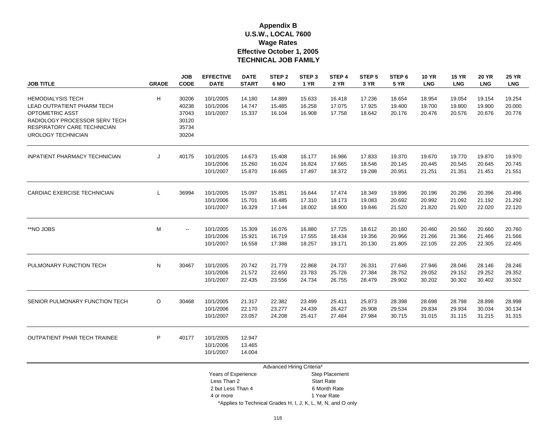#### **U.S.W., LOCAL 7600 Wage Rates Effective October 1, 2005 Appendix B TECHNICAL JOB FAMILY**

| <b>JOB TITLE</b>                                                                                                                                                              | <b>GRADE</b> | <b>JOB</b><br><b>CODE</b>                          | <b>EFFECTIVE</b><br><b>DATE</b>                         | <b>DATE</b><br><b>START</b> | STEP <sub>2</sub><br>6 MO  | STEP <sub>3</sub><br><b>1 YR</b> | STEP 4<br><b>2 YR</b>                               | STEP <sub>5</sub><br>3 YR  | STEP <sub>6</sub><br><b>5 YR</b> | <b>10 YR</b><br><b>LNG</b> | <b>15 YR</b><br><b>LNG</b> | <b>20 YR</b><br><b>LNG</b> | <b>25 YR</b><br><b>LNG</b> |
|-------------------------------------------------------------------------------------------------------------------------------------------------------------------------------|--------------|----------------------------------------------------|---------------------------------------------------------|-----------------------------|----------------------------|----------------------------------|-----------------------------------------------------|----------------------------|----------------------------------|----------------------------|----------------------------|----------------------------|----------------------------|
| <b>HEMODIALYSIS TECH</b><br>LEAD OUTPATIENT PHARM TECH<br><b>OPTOMETRIC ASST</b><br>RADIOLOGY PROCESSOR SERV TECH<br>RESPIRATORY CARE TECHNICIAN<br><b>UROLOGY TECHNICIAN</b> | H            | 30206<br>40238<br>37043<br>30120<br>35734<br>30204 | 10/1/2005<br>10/1/2006<br>10/1/2007                     | 14.180<br>14.747<br>15.337  | 14.889<br>15.485<br>16.104 | 15.633<br>16.258<br>16.908       | 16.418<br>17.075<br>17.758                          | 17.236<br>17.925<br>18.642 | 18.654<br>19.400<br>20.176       | 18.954<br>19.700<br>20.476 | 19.054<br>19.800<br>20.576 | 19.154<br>19.900<br>20.676 | 19.254<br>20.000<br>20.776 |
| <b>INPATIENT PHARMACY TECHNICIAN</b>                                                                                                                                          | J            | 40175                                              | 10/1/2005<br>10/1/2006<br>10/1/2007                     | 14.673<br>15.260<br>15.870  | 15.408<br>16.024<br>16.665 | 16.177<br>16.824<br>17.497       | 16.986<br>17.665<br>18.372                          | 17.833<br>18.546<br>19.288 | 19.370<br>20.145<br>20.951       | 19.670<br>20.445<br>21.251 | 19.770<br>20.545<br>21.351 | 19.870<br>20.645<br>21.451 | 19.970<br>20.745<br>21.551 |
| CARDIAC EXERCISE TECHNICIAN                                                                                                                                                   | L            | 36994                                              | 10/1/2005<br>10/1/2006<br>10/1/2007                     | 15.097<br>15.701<br>16.329  | 15.851<br>16.485<br>17.144 | 16.644<br>17.310<br>18.002       | 17.474<br>18.173<br>18.900                          | 18.349<br>19.083<br>19.846 | 19.896<br>20.692<br>21.520       | 20.196<br>20.992<br>21.820 | 20.296<br>21.092<br>21.920 | 20.396<br>21.192<br>22.020 | 20.496<br>21.292<br>22.120 |
| **NO JOBS                                                                                                                                                                     | М            | $\overline{\phantom{a}}$                           | 10/1/2005<br>10/1/2006<br>10/1/2007                     | 15.309<br>15.921<br>16.558  | 16.076<br>16.719<br>17.388 | 16.880<br>17.555<br>18.257       | 17.725<br>18.434<br>19.171                          | 18.612<br>19.356<br>20.130 | 20.160<br>20.966<br>21.805       | 20.460<br>21.266<br>22.105 | 20.560<br>21.366<br>22.205 | 20.660<br>21.466<br>22.305 | 20.760<br>21.566<br>22.405 |
| PULMONARY FUNCTION TECH                                                                                                                                                       | N            | 30467                                              | 10/1/2005<br>10/1/2006<br>10/1/2007                     | 20.742<br>21.572<br>22.435  | 21.779<br>22.650<br>23.556 | 22.868<br>23.783<br>24.734       | 24.737<br>25.726<br>26.755                          | 26.331<br>27.384<br>28.479 | 27.646<br>28.752<br>29.902       | 27.946<br>29.052<br>30.202 | 28.046<br>29.152<br>30.302 | 28.146<br>29.252<br>30.402 | 28.246<br>29.352<br>30.502 |
| SENIOR PULMONARY FUNCTION TECH                                                                                                                                                | O            | 30468                                              | 10/1/2005<br>10/1/2006<br>10/1/2007                     | 21.317<br>22.170<br>23.057  | 22.382<br>23.277<br>24.208 | 23.499<br>24.439<br>25.417       | 25.411<br>26.427<br>27.484                          | 25.873<br>26.908<br>27.984 | 28.398<br>29.534<br>30.715       | 28.698<br>29.834<br>31.015 | 28.798<br>29.934<br>31.115 | 28.898<br>30.034<br>31.215 | 28.998<br>30.134<br>31.315 |
| <b>OUTPATIENT PHAR TECH TRAINEE</b>                                                                                                                                           | P            | 40177                                              | 10/1/2005<br>10/1/2006<br>10/1/2007                     | 12.947<br>13.465<br>14.004  |                            |                                  |                                                     |                            |                                  |                            |                            |                            |                            |
|                                                                                                                                                                               |              |                                                    |                                                         |                             | Advanced Hiring Criteria*  |                                  |                                                     |                            |                                  |                            |                            |                            |                            |
|                                                                                                                                                                               |              |                                                    | Years of Experience<br>Less Than 2<br>2 but Less Than 4 |                             |                            |                                  | Step Placement<br><b>Start Rate</b><br>6 Month Rate |                            |                                  |                            |                            |                            |                            |

4 or more 1 Year Rate

\*Applies to Technical Grades H, I, J, K, L, M, N, and O only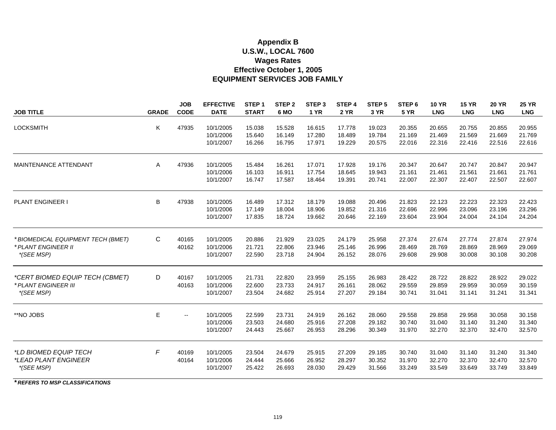#### **Appendix B U.S.W., LOCAL 7600 Wages Rates EQUIPMENT SERVICES JOB FAMILY Effective October 1, 2005**

|                                                           |              | <b>JOB</b>  | <b>EFFECTIVE</b>       | STEP <sub>1</sub> | STEP <sub>2</sub> | STEP <sub>3</sub> | STEP 4           | STEP <sub>5</sub> | STEP <sub>6</sub> | <b>10 YR</b>     | <b>15 YR</b>     | <b>20 YR</b>     | <b>25 YR</b>     |
|-----------------------------------------------------------|--------------|-------------|------------------------|-------------------|-------------------|-------------------|------------------|-------------------|-------------------|------------------|------------------|------------------|------------------|
| <b>JOB TITLE</b>                                          | <b>GRADE</b> | <b>CODE</b> | <b>DATE</b>            | <b>START</b>      | 6 MO              | <b>1 YR</b>       | <b>2 YR</b>      | 3 YR              | <b>5 YR</b>       | <b>LNG</b>       | <b>LNG</b>       | <b>LNG</b>       | <b>LNG</b>       |
| <b>LOCKSMITH</b>                                          | Κ            | 47935       |                        |                   |                   |                   |                  |                   |                   |                  |                  |                  |                  |
|                                                           |              |             | 10/1/2005<br>10/1/2006 | 15.038<br>15.640  | 15.528<br>16.149  | 16.615<br>17.280  | 17.778<br>18.489 | 19.023<br>19.784  | 20.355<br>21.169  | 20.655<br>21.469 | 20.755<br>21.569 | 20.855<br>21.669 | 20.955<br>21.769 |
|                                                           |              |             | 10/1/2007              | 16.266            | 16.795            | 17.971            | 19.229           | 20.575            | 22.016            | 22.316           | 22.416           | 22.516           | 22.616           |
|                                                           |              |             |                        |                   |                   |                   |                  |                   |                   |                  |                  |                  |                  |
| <b>MAINTENANCE ATTENDANT</b>                              | A            | 47936       | 10/1/2005              | 15.484            | 16.261            | 17.071            | 17.928           | 19.176            | 20.347            | 20.647           | 20.747           | 20.847           | 20.947           |
|                                                           |              |             | 10/1/2006              | 16.103            | 16.911            | 17.754            | 18.645           | 19.943            | 21.161            | 21.461           | 21.561           | 21.661           | 21.761           |
|                                                           |              |             | 10/1/2007              | 16.747            | 17.587            | 18.464            | 19.391           | 20.741            | 22.007            | 22.307           | 22.407           | 22.507           | 22.607           |
|                                                           |              |             |                        |                   |                   |                   |                  |                   |                   |                  |                  |                  |                  |
| <b>PLANT ENGINEER I</b>                                   | B            | 47938       | 10/1/2005              | 16.489            | 17.312            | 18.179            | 19.088           | 20.496            | 21.823            | 22.123           | 22.223           | 22.323           | 22.423           |
|                                                           |              |             | 10/1/2006              | 17.149            | 18.004            | 18.906            | 19.852           | 21.316            | 22.696            | 22.996           | 23.096           | 23.196           | 23.296           |
|                                                           |              |             | 10/1/2007              | 17.835            | 18.724            | 19.662            | 20.646           | 22.169            | 23.604            | 23.904           | 24.004           | 24.104           | 24.204           |
|                                                           | C            | 40165       | 10/1/2005              | 20.886            | 21.929            |                   | 24.179           | 25.958            | 27.374            | 27.674           | 27.774           | 27.874           | 27.974           |
| * BIOMEDICAL EQUIPMENT TECH (BMET)<br>* PLANT ENGINEER II |              | 40162       | 10/1/2006              | 21.721            | 22.806            | 23.025<br>23.946  | 25.146           | 26.996            | 28.469            | 28.769           | 28.869           | 28.969           | 29.069           |
| *(SEE MSP)                                                |              |             | 10/1/2007              | 22.590            | 23.718            | 24.904            | 26.152           | 28.076            | 29.608            | 29.908           | 30.008           | 30.108           | 30.208           |
|                                                           |              |             |                        |                   |                   |                   |                  |                   |                   |                  |                  |                  |                  |
| *CERT BIOMED EQUIP TECH (CBMET)                           | D            | 40167       | 10/1/2005              | 21.731            | 22.820            | 23.959            | 25.155           | 26.983            | 28.422            | 28.722           | 28.822           | 28.922           | 29.022           |
| * PLANT ENGINEER III                                      |              | 40163       | 10/1/2006              | 22.600            | 23.733            | 24.917            | 26.161           | 28.062            | 29.559            | 29.859           | 29.959           | 30.059           | 30.159           |
| *(SEE MSP)                                                |              |             | 10/1/2007              | 23.504            | 24.682            | 25.914            | 27.207           | 29.184            | 30.741            | 31.041           | 31.141           | 31.241           | 31.341           |
|                                                           |              |             |                        |                   |                   |                   |                  |                   |                   |                  |                  |                  |                  |
| **NO JOBS                                                 | E.           | $-$         | 10/1/2005              | 22.599            | 23.731            | 24.919            | 26.162           | 28.060            | 29.558            | 29.858           | 29.958           | 30.058           | 30.158           |
|                                                           |              |             | 10/1/2006              | 23.503            | 24.680            | 25.916            | 27.208           | 29.182            | 30.740            | 31.040           | 31.140           | 31.240           | 31.340           |
|                                                           |              |             | 10/1/2007              | 24.443            | 25.667            | 26.953            | 28.296           | 30.349            | 31.970            | 32.270           | 32.370           | 32.470           | 32.570           |
| <i>*LD BIOMED EQUIP TECH</i>                              | F            | 40169       | 10/1/2005              | 23.504            | 24.679            | 25.915            | 27.209           | 29.185            | 30.740            | 31.040           | 31.140           | 31.240           | 31.340           |
| *LEAD PLANT ENGINEER                                      |              | 40164       | 10/1/2006              | 24.444            | 25.666            | 26.952            | 28.297           | 30.352            | 31.970            | 32.270           | 32.370           | 32.470           | 32.570           |
| *(SEE MSP)                                                |              |             | 10/1/2007              | 25.422            | 26.693            | 28.030            | 29.429           | 31.566            | 33.249            | 33.549           | 33.649           | 33.749           | 33.849           |
|                                                           |              |             |                        |                   |                   |                   |                  |                   |                   |                  |                  |                  |                  |

*\* REFERS TO MSP CLASSIFICATIONS*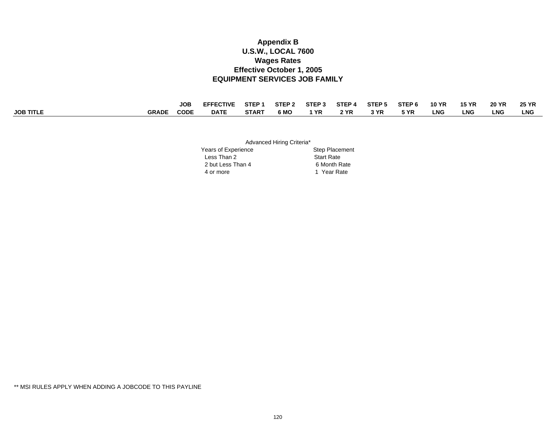#### **Appendix B U.S.W., LOCAL 7600 Wages Rates EQUIPMENT SERVICES JOB FAMILY Effective October 1, 2005**

|                  |              | <b>JOB</b>  | <b>EFFECTIVE</b> | STEP 1       | STFP <sub>2</sub> | STEP <sub>3</sub> | STEP <sub>4</sub> | STEP <sub>5</sub> | STEP <sub>6</sub> | <b>10 YR</b> | <b>15 YR</b> | <b>20 YR</b> | <b>25 YR</b> |
|------------------|--------------|-------------|------------------|--------------|-------------------|-------------------|-------------------|-------------------|-------------------|--------------|--------------|--------------|--------------|
| <b>JOB TITLE</b> | <b>GRADE</b> | <b>CODF</b> | <b>DATE</b>      | <b>START</b> | 6 MO              | YR                | 2 YR              | . YR              | 5 YR              | ∟NG          | LNC          | LNG          | LNG          |

Advanced Hiring Criteria\*

|                     | . .                   |
|---------------------|-----------------------|
| Years of Experience | <b>Step Placement</b> |
| Less Than 2         | <b>Start Rate</b>     |
| 2 but Less Than 4   | 6 Month Rate          |
| 4 or more           | Year Rate             |

\*\* MSI RULES APPLY WHEN ADDING A JOBCODE TO THIS PAYLINE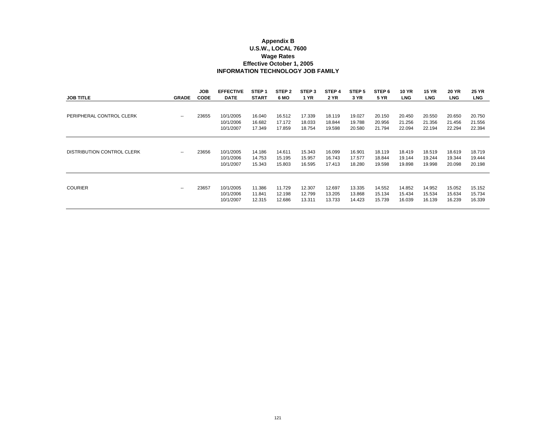#### **Appendix B U.S.W., LOCAL 7600 Wage Rates INFORMATION TECHNOLOGY JOB FAMILY Effective October 1, 2005**

| <b>JOB TITLE</b>                  | <b>GRADE</b> | JOB.<br><b>CODE</b> | <b>EFFECTIVE</b><br><b>DATE</b>     | STEP <sub>1</sub><br><b>START</b> | STEP <sub>2</sub><br>6 MO  | STEP <sub>3</sub><br>1 YR  | STEP 4<br><b>2 YR</b>      | STEP <sub>5</sub><br>3 YR  | STEP 6<br><b>5 YR</b>      | <b>10 YR</b><br><b>LNG</b> | <b>15 YR</b><br><b>LNG</b> | <b>20 YR</b><br><b>LNG</b> | <b>25 YR</b><br><b>LNG</b> |
|-----------------------------------|--------------|---------------------|-------------------------------------|-----------------------------------|----------------------------|----------------------------|----------------------------|----------------------------|----------------------------|----------------------------|----------------------------|----------------------------|----------------------------|
| PERIPHERAL CONTROL CLERK          | --           | 23655               | 10/1/2005<br>10/1/2006<br>10/1/2007 | 16.040<br>16.682<br>17.349        | 16.512<br>17.172<br>17.859 | 17.339<br>18.033<br>18.754 | 18.119<br>18.844<br>19.598 | 19.027<br>19.788<br>20.580 | 20.150<br>20.956<br>21.794 | 20.450<br>21.256<br>22.094 | 20.550<br>21.356<br>22.194 | 20.650<br>21.456<br>22.294 | 20.750<br>21.556<br>22.394 |
| <b>DISTRIBUTION CONTROL CLERK</b> | --           | 23656               | 10/1/2005<br>10/1/2006<br>10/1/2007 | 14.186<br>14.753<br>15.343        | 14.611<br>15.195<br>15.803 | 15.343<br>15.957<br>16.595 | 16.099<br>16.743<br>17.413 | 16.901<br>17.577<br>18.280 | 18.119<br>18.844<br>19.598 | 18.419<br>19.144<br>19.898 | 18.519<br>19.244<br>19.998 | 18.619<br>19.344<br>20.098 | 18.719<br>19.444<br>20.198 |
| <b>COURIER</b>                    | $\sim$       | 23657               | 10/1/2005<br>10/1/2006<br>10/1/2007 | 11.386<br>11.841<br>12.315        | 11.729<br>12.198<br>12.686 | 12.307<br>12.799<br>13.311 | 12.697<br>13.205<br>13.733 | 13.335<br>13.868<br>14.423 | 14.552<br>15.134<br>15.739 | 14.852<br>15.434<br>16.039 | 14.952<br>15.534<br>16.139 | 15.052<br>15.634<br>16.239 | 15.152<br>15.734<br>16.339 |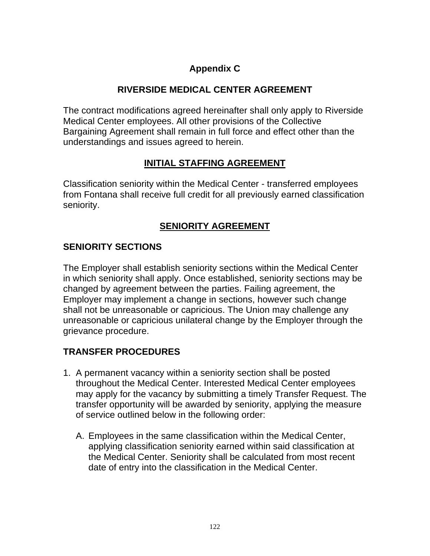## **Appendix C**

## **RIVERSIDE MEDICAL CENTER AGREEMENT**

The contract modifications agreed hereinafter shall only apply to Riverside Medical Center employees. All other provisions of the Collective Bargaining Agreement shall remain in full force and effect other than the understandings and issues agreed to herein.

### **INITIAL STAFFING AGREEMENT**

Classification seniority within the Medical Center - transferred employees from Fontana shall receive full credit for all previously earned classification seniority.

## **SENIORITY AGREEMENT**

## **SENIORITY SECTIONS**

The Employer shall establish seniority sections within the Medical Center in which seniority shall apply. Once established, seniority sections may be changed by agreement between the parties. Failing agreement, the Employer may implement a change in sections, however such change shall not be unreasonable or capricious. The Union may challenge any unreasonable or capricious unilateral change by the Employer through the grievance procedure.

### **TRANSFER PROCEDURES**

- 1. A permanent vacancy within a seniority section shall be posted throughout the Medical Center. Interested Medical Center employees may apply for the vacancy by submitting a timely Transfer Request. The transfer opportunity will be awarded by seniority, applying the measure of service outlined below in the following order:
	- A. Employees in the same classification within the Medical Center, applying classification seniority earned within said classification at the Medical Center. Seniority shall be calculated from most recent date of entry into the classification in the Medical Center.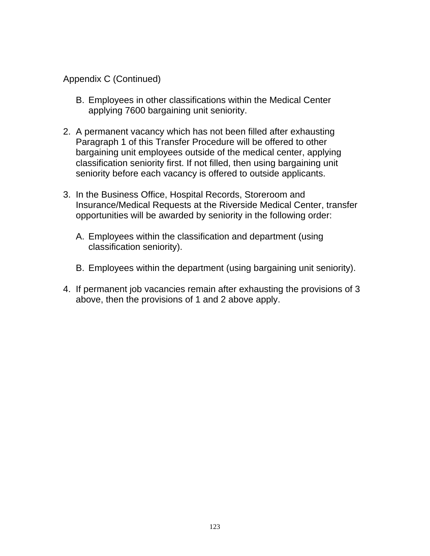Appendix C (Continued)

- B. Employees in other classifications within the Medical Center applying 7600 bargaining unit seniority.
- 2. A permanent vacancy which has not been filled after exhausting Paragraph 1 of this Transfer Procedure will be offered to other bargaining unit employees outside of the medical center, applying classification seniority first. If not filled, then using bargaining unit seniority before each vacancy is offered to outside applicants.
- 3. In the Business Office, Hospital Records, Storeroom and Insurance/Medical Requests at the Riverside Medical Center, transfer opportunities will be awarded by seniority in the following order:
	- A. Employees within the classification and department (using classification seniority).
	- B. Employees within the department (using bargaining unit seniority).
- 4. If permanent job vacancies remain after exhausting the provisions of 3 above, then the provisions of 1 and 2 above apply.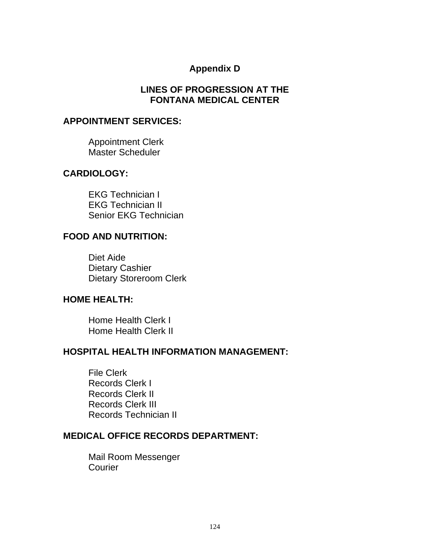### **Appendix D**

### **LINES OF PROGRESSION AT THE FONTANA MEDICAL CENTER**

#### **APPOINTMENT SERVICES:**

Appointment Clerk Master Scheduler

#### **CARDIOLOGY:**

EKG Technician I EKG Technician II Senior EKG Technician

### **FOOD AND NUTRITION:**

Diet Aide Dietary Cashier Dietary Storeroom Clerk

#### **HOME HEALTH:**

Home Health Clerk I Home Health Clerk II

#### **HOSPITAL HEALTH INFORMATION MANAGEMENT:**

File Clerk Records Clerk I Records Clerk II Records Clerk III Records Technician II

#### **MEDICAL OFFICE RECORDS DEPARTMENT:**

Mail Room Messenger **Courier**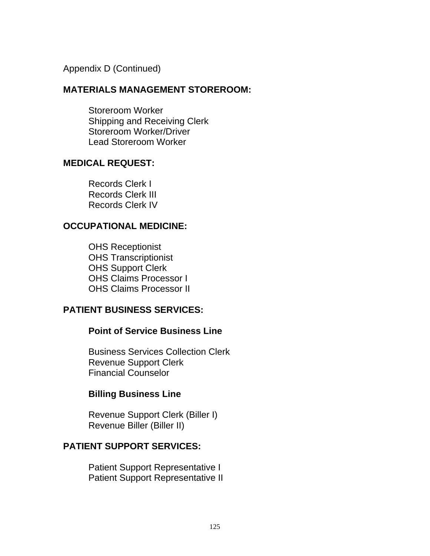Appendix D (Continued)

#### **MATERIALS MANAGEMENT STOREROOM:**

Storeroom Worker Shipping and Receiving Clerk Storeroom Worker/Driver Lead Storeroom Worker

#### **MEDICAL REQUEST:**

Records Clerk I Records Clerk III Records Clerk IV

#### **OCCUPATIONAL MEDICINE:**

OHS Receptionist OHS Transcriptionist OHS Support Clerk OHS Claims Processor I OHS Claims Processor II

### **PATIENT BUSINESS SERVICES:**

#### **Point of Service Business Line**

Business Services Collection Clerk Revenue Support Clerk Financial Counselor

#### **Billing Business Line**

Revenue Support Clerk (Biller I) Revenue Biller (Biller II)

### **PATIENT SUPPORT SERVICES:**

Patient Support Representative I Patient Support Representative II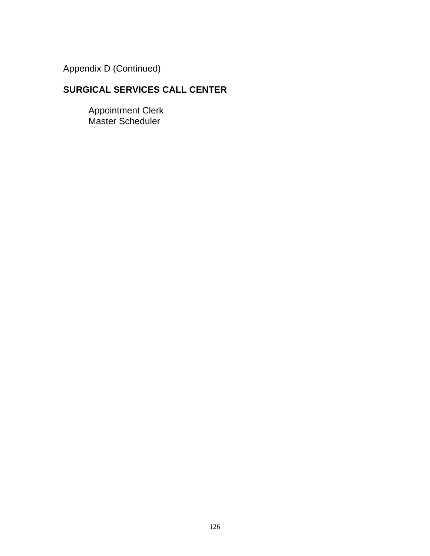Appendix D (Continued)

## **SURGICAL SERVICES CALL CENTER**

 Appointment Clerk Master Scheduler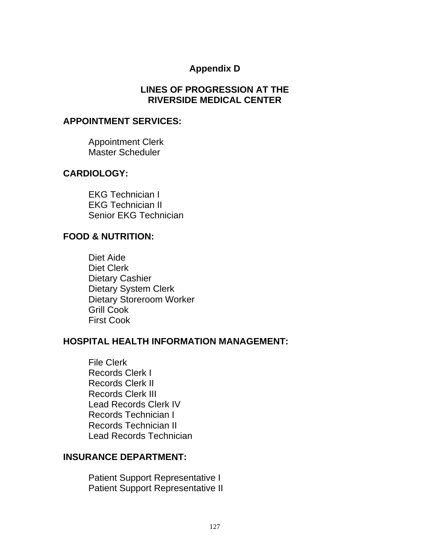### **Appendix D**

### **LINES OF PROGRESSION AT THE RIVERSIDE MEDICAL CENTER**

#### **APPOINTMENT SERVICES:**

Appointment Clerk Master Scheduler

#### **CARDIOLOGY:**

EKG Technician I EKG Technician II Senior EKG Technician

#### **FOOD & NUTRITION:**

Diet Aide Diet Clerk Dietary Cashier Dietary System Clerk Dietary Storeroom Worker Grill Cook First Cook

#### **HOSPITAL HEALTH INFORMATION MANAGEMENT:**

File Clerk Records Clerk I Records Clerk II Records Clerk III Lead Records Clerk IV Records Technician I Records Technician II Lead Records Technician

#### **INSURANCE DEPARTMENT:**

Patient Support Representative I Patient Support Representative II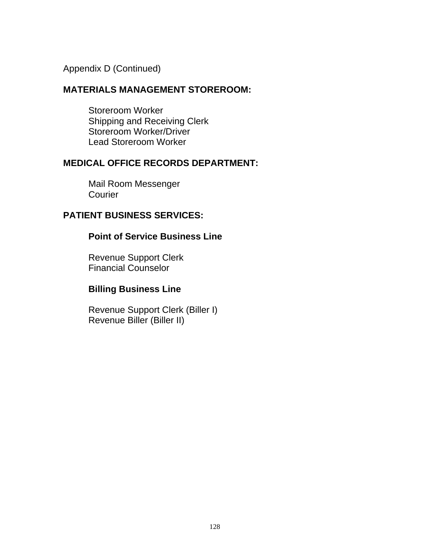Appendix D (Continued)

### **MATERIALS MANAGEMENT STOREROOM:**

Storeroom Worker Shipping and Receiving Clerk Storeroom Worker/Driver Lead Storeroom Worker

### **MEDICAL OFFICE RECORDS DEPARTMENT:**

 Mail Room Messenger Courier

### **PATIENT BUSINESS SERVICES:**

#### **Point of Service Business Line**

Revenue Support Clerk Financial Counselor

### **Billing Business Line**

Revenue Support Clerk (Biller I) Revenue Biller (Biller II)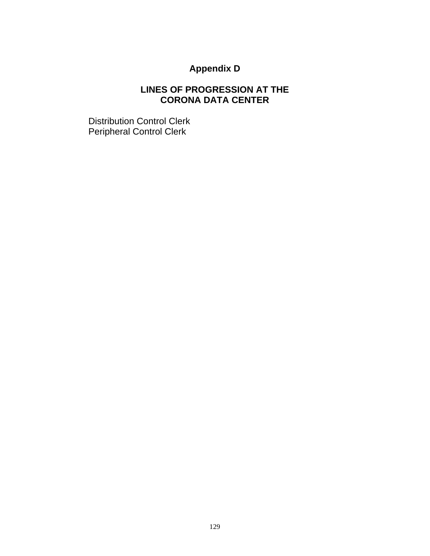# **Appendix D**

## **LINES OF PROGRESSION AT THE CORONA DATA CENTER**

Distribution Control Clerk Peripheral Control Clerk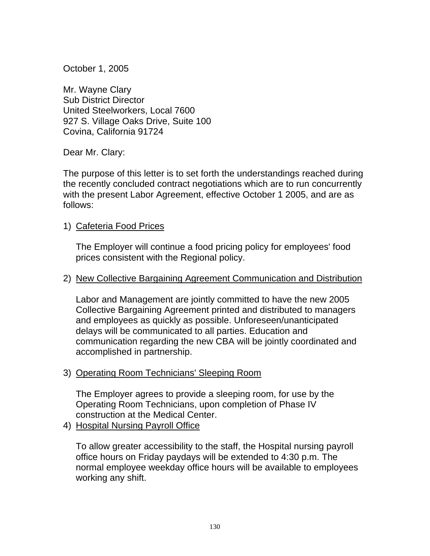October 1, 2005

Mr. Wayne Clary Sub District Director United Steelworkers, Local 7600 927 S. Village Oaks Drive, Suite 100 Covina, California 91724

Dear Mr. Clary:

The purpose of this letter is to set forth the understandings reached during the recently concluded contract negotiations which are to run concurrently with the present Labor Agreement, effective October 1 2005, and are as follows:

1) Cafeteria Food Prices

The Employer will continue a food pricing policy for employees' food prices consistent with the Regional policy.

#### 2) New Collective Bargaining Agreement Communication and Distribution

Labor and Management are jointly committed to have the new 2005 Collective Bargaining Agreement printed and distributed to managers and employees as quickly as possible. Unforeseen/unanticipated delays will be communicated to all parties. Education and communication regarding the new CBA will be jointly coordinated and accomplished in partnership.

### 3) Operating Room Technicians' Sleeping Room

The Employer agrees to provide a sleeping room, for use by the Operating Room Technicians, upon completion of Phase IV construction at the Medical Center.

4) Hospital Nursing Payroll Office

To allow greater accessibility to the staff, the Hospital nursing payroll office hours on Friday paydays will be extended to 4:30 p.m. The normal employee weekday office hours will be available to employees working any shift.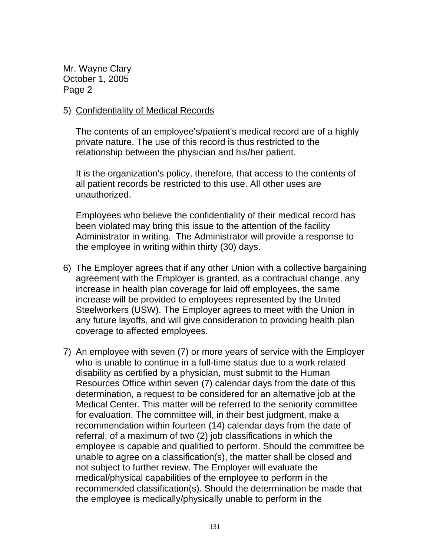#### 5) Confidentiality of Medical Records

The contents of an employee's/patient's medical record are of a highly private nature. The use of this record is thus restricted to the relationship between the physician and his/her patient.

It is the organization's policy, therefore, that access to the contents of all patient records be restricted to this use. All other uses are unauthorized.

Employees who believe the confidentiality of their medical record has been violated may bring this issue to the attention of the facility Administrator in writing. The Administrator will provide a response to the employee in writing within thirty (30) days.

- 6) The Employer agrees that if any other Union with a collective bargaining agreement with the Employer is granted, as a contractual change, any increase in health plan coverage for laid off employees, the same increase will be provided to employees represented by the United Steelworkers (USW). The Employer agrees to meet with the Union in any future layoffs, and will give consideration to providing health plan coverage to affected employees.
- 7) An employee with seven (7) or more years of service with the Employer who is unable to continue in a full-time status due to a work related disability as certified by a physician, must submit to the Human Resources Office within seven (7) calendar days from the date of this determination, a request to be considered for an alternative job at the Medical Center. This matter will be referred to the seniority committee for evaluation. The committee will, in their best judgment, make a recommendation within fourteen (14) calendar days from the date of referral, of a maximum of two (2) job classifications in which the employee is capable and qualified to perform. Should the committee be unable to agree on a classification(s), the matter shall be closed and not subject to further review. The Employer will evaluate the medical/physical capabilities of the employee to perform in the recommended classification(s). Should the determination be made that the employee is medically/physically unable to perform in the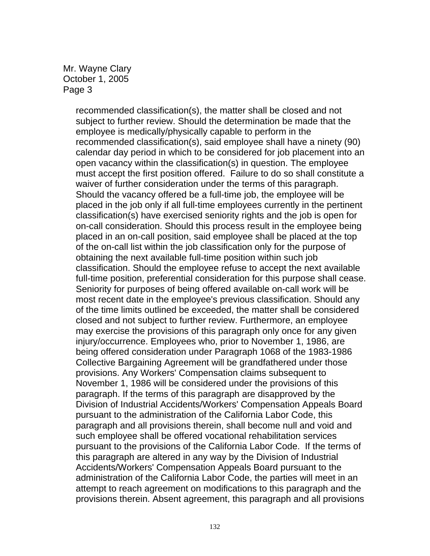recommended classification(s), the matter shall be closed and not subject to further review. Should the determination be made that the employee is medically/physically capable to perform in the recommended classification(s), said employee shall have a ninety (90) calendar day period in which to be considered for job placement into an open vacancy within the classification(s) in question. The employee must accept the first position offered. Failure to do so shall constitute a waiver of further consideration under the terms of this paragraph. Should the vacancy offered be a full-time job, the employee will be placed in the job only if all full-time employees currently in the pertinent classification(s) have exercised seniority rights and the job is open for on-call consideration. Should this process result in the employee being placed in an on-call position, said employee shall be placed at the top of the on-call list within the job classification only for the purpose of obtaining the next available full-time position within such job classification. Should the employee refuse to accept the next available full-time position, preferential consideration for this purpose shall cease. Seniority for purposes of being offered available on-call work will be most recent date in the employee's previous classification. Should any of the time limits outlined be exceeded, the matter shall be considered closed and not subject to further review. Furthermore, an employee may exercise the provisions of this paragraph only once for any given injury/occurrence. Employees who, prior to November 1, 1986, are being offered consideration under Paragraph 1068 of the 1983-1986 Collective Bargaining Agreement will be grandfathered under those provisions. Any Workers' Compensation claims subsequent to November 1, 1986 will be considered under the provisions of this paragraph. If the terms of this paragraph are disapproved by the Division of Industrial Accidents/Workers' Compensation Appeals Board pursuant to the administration of the California Labor Code, this paragraph and all provisions therein, shall become null and void and such employee shall be offered vocational rehabilitation services pursuant to the provisions of the California Labor Code. If the terms of this paragraph are altered in any way by the Division of Industrial Accidents/Workers' Compensation Appeals Board pursuant to the administration of the California Labor Code, the parties will meet in an attempt to reach agreement on modifications to this paragraph and the provisions therein. Absent agreement, this paragraph and all provisions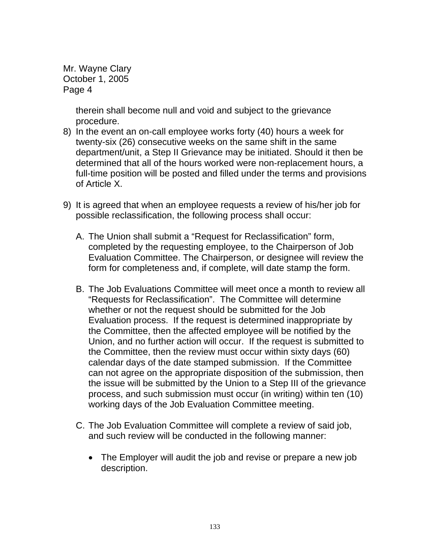> therein shall become null and void and subject to the grievance procedure.

- 8) In the event an on-call employee works forty (40) hours a week for twenty-six (26) consecutive weeks on the same shift in the same department/unit, a Step II Grievance may be initiated. Should it then be determined that all of the hours worked were non-replacement hours, a full-time position will be posted and filled under the terms and provisions of Article X.
- 9) It is agreed that when an employee requests a review of his/her job for possible reclassification, the following process shall occur:
	- A. The Union shall submit a "Request for Reclassification" form, completed by the requesting employee, to the Chairperson of Job Evaluation Committee. The Chairperson, or designee will review the form for completeness and, if complete, will date stamp the form.
	- B. The Job Evaluations Committee will meet once a month to review all "Requests for Reclassification". The Committee will determine whether or not the request should be submitted for the Job Evaluation process. If the request is determined inappropriate by the Committee, then the affected employee will be notified by the Union, and no further action will occur. If the request is submitted to the Committee, then the review must occur within sixty days (60) calendar days of the date stamped submission. If the Committee can not agree on the appropriate disposition of the submission, then the issue will be submitted by the Union to a Step III of the grievance process, and such submission must occur (in writing) within ten (10) working days of the Job Evaluation Committee meeting.
	- C. The Job Evaluation Committee will complete a review of said job, and such review will be conducted in the following manner:
		- The Employer will audit the job and revise or prepare a new job description.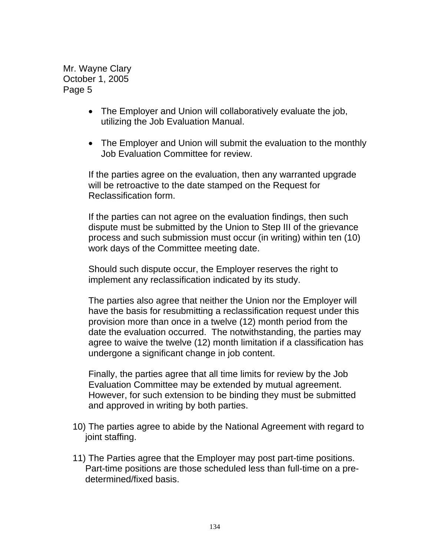- The Employer and Union will collaboratively evaluate the job, utilizing the Job Evaluation Manual.
- The Employer and Union will submit the evaluation to the monthly Job Evaluation Committee for review.

If the parties agree on the evaluation, then any warranted upgrade will be retroactive to the date stamped on the Request for Reclassification form.

If the parties can not agree on the evaluation findings, then such dispute must be submitted by the Union to Step III of the grievance process and such submission must occur (in writing) within ten (10) work days of the Committee meeting date.

Should such dispute occur, the Employer reserves the right to implement any reclassification indicated by its study.

The parties also agree that neither the Union nor the Employer will have the basis for resubmitting a reclassification request under this provision more than once in a twelve (12) month period from the date the evaluation occurred. The notwithstanding, the parties may agree to waive the twelve (12) month limitation if a classification has undergone a significant change in job content.

Finally, the parties agree that all time limits for review by the Job Evaluation Committee may be extended by mutual agreement. However, for such extension to be binding they must be submitted and approved in writing by both parties.

- 10) The parties agree to abide by the National Agreement with regard to joint staffing.
- 11) The Parties agree that the Employer may post part-time positions. Part-time positions are those scheduled less than full-time on a predetermined/fixed basis.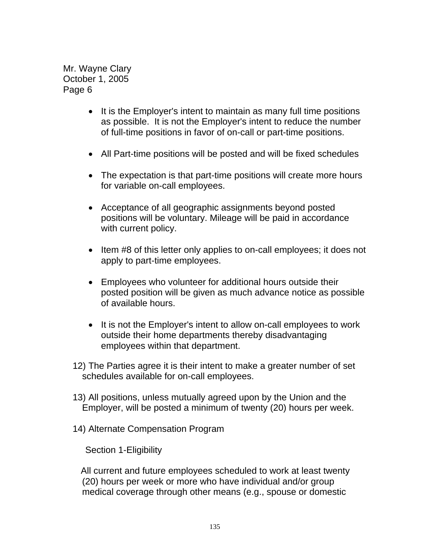- It is the Employer's intent to maintain as many full time positions as possible. It is not the Employer's intent to reduce the number of full-time positions in favor of on-call or part-time positions.
- All Part-time positions will be posted and will be fixed schedules
- The expectation is that part-time positions will create more hours for variable on-call employees.
- Acceptance of all geographic assignments beyond posted positions will be voluntary. Mileage will be paid in accordance with current policy.
- Item #8 of this letter only applies to on-call employees; it does not apply to part-time employees.
- Employees who volunteer for additional hours outside their posted position will be given as much advance notice as possible of available hours.
- It is not the Employer's intent to allow on-call employees to work outside their home departments thereby disadvantaging employees within that department.
- 12) The Parties agree it is their intent to make a greater number of set schedules available for on-call employees.
- 13) All positions, unless mutually agreed upon by the Union and the Employer, will be posted a minimum of twenty (20) hours per week.
- 14) Alternate Compensation Program

Section 1-Eligibility

 All current and future employees scheduled to work at least twenty (20) hours per week or more who have individual and/or group medical coverage through other means (e.g., spouse or domestic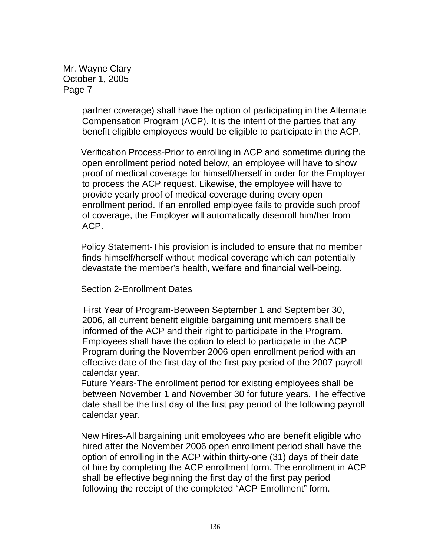> partner coverage) shall have the option of participating in the Alternate Compensation Program (ACP). It is the intent of the parties that any benefit eligible employees would be eligible to participate in the ACP.

> Verification Process-Prior to enrolling in ACP and sometime during the open enrollment period noted below, an employee will have to show proof of medical coverage for himself/herself in order for the Employer to process the ACP request. Likewise, the employee will have to provide yearly proof of medical coverage during every open enrollment period. If an enrolled employee fails to provide such proof of coverage, the Employer will automatically disenroll him/her from ACP.

 Policy Statement-This provision is included to ensure that no member finds himself/herself without medical coverage which can potentially devastate the member's health, welfare and financial well-being.

Section 2-Enrollment Dates

 First Year of Program-Between September 1 and September 30, 2006, all current benefit eligible bargaining unit members shall be informed of the ACP and their right to participate in the Program. Employees shall have the option to elect to participate in the ACP Program during the November 2006 open enrollment period with an effective date of the first day of the first pay period of the 2007 payroll calendar year.

 Future Years-The enrollment period for existing employees shall be between November 1 and November 30 for future years. The effective date shall be the first day of the first pay period of the following payroll calendar year.

 New Hires-All bargaining unit employees who are benefit eligible who hired after the November 2006 open enrollment period shall have the option of enrolling in the ACP within thirty-one (31) days of their date of hire by completing the ACP enrollment form. The enrollment in ACP shall be effective beginning the first day of the first pay period following the receipt of the completed "ACP Enrollment" form.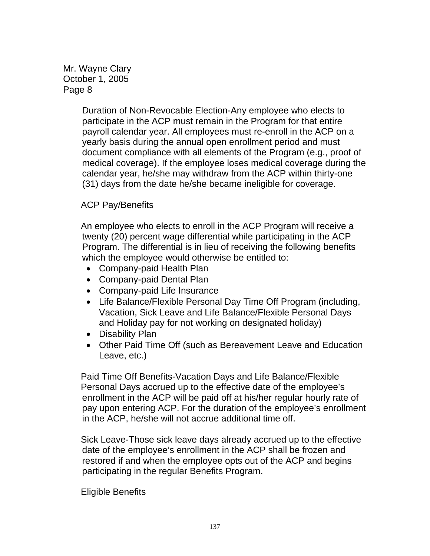Mr. Wayne Clary October 1, 2005 Page 8

> Duration of Non-Revocable Election-Any employee who elects to participate in the ACP must remain in the Program for that entire payroll calendar year. All employees must re-enroll in the ACP on a yearly basis during the annual open enrollment period and must document compliance with all elements of the Program (e.g., proof of medical coverage). If the employee loses medical coverage during the calendar year, he/she may withdraw from the ACP within thirty-one (31) days from the date he/she became ineligible for coverage.

## ACP Pay/Benefits

 An employee who elects to enroll in the ACP Program will receive a twenty (20) percent wage differential while participating in the ACP Program. The differential is in lieu of receiving the following benefits which the employee would otherwise be entitled to:

- Company-paid Health Plan
- Company-paid Dental Plan
- Company-paid Life Insurance
- Life Balance/Flexible Personal Day Time Off Program (including, Vacation, Sick Leave and Life Balance/Flexible Personal Days and Holiday pay for not working on designated holiday)
- Disability Plan
- Other Paid Time Off (such as Bereavement Leave and Education Leave, etc.)

 Paid Time Off Benefits-Vacation Days and Life Balance/Flexible Personal Days accrued up to the effective date of the employee's enrollment in the ACP will be paid off at his/her regular hourly rate of pay upon entering ACP. For the duration of the employee's enrollment in the ACP, he/she will not accrue additional time off.

 Sick Leave-Those sick leave days already accrued up to the effective date of the employee's enrollment in the ACP shall be frozen and restored if and when the employee opts out of the ACP and begins participating in the regular Benefits Program.

Eligible Benefits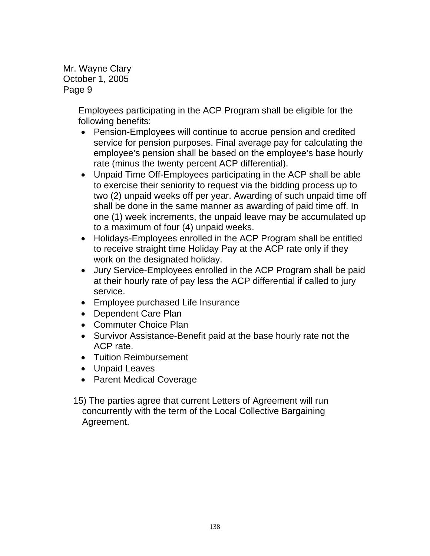Mr. Wayne Clary October 1, 2005 Page 9

> Employees participating in the ACP Program shall be eligible for the following benefits:

- Pension-Employees will continue to accrue pension and credited service for pension purposes. Final average pay for calculating the employee's pension shall be based on the employee's base hourly rate (minus the twenty percent ACP differential).
- Unpaid Time Off-Employees participating in the ACP shall be able to exercise their seniority to request via the bidding process up to two (2) unpaid weeks off per year. Awarding of such unpaid time off shall be done in the same manner as awarding of paid time off. In one (1) week increments, the unpaid leave may be accumulated up to a maximum of four (4) unpaid weeks.
- Holidays-Employees enrolled in the ACP Program shall be entitled to receive straight time Holiday Pay at the ACP rate only if they work on the designated holiday.
- Jury Service-Employees enrolled in the ACP Program shall be paid at their hourly rate of pay less the ACP differential if called to jury service.
- Employee purchased Life Insurance
- Dependent Care Plan
- Commuter Choice Plan
- Survivor Assistance-Benefit paid at the base hourly rate not the ACP rate.
- Tuition Reimbursement
- Unpaid Leaves
- Parent Medical Coverage
- 15) The parties agree that current Letters of Agreement will run concurrently with the term of the Local Collective Bargaining Agreement.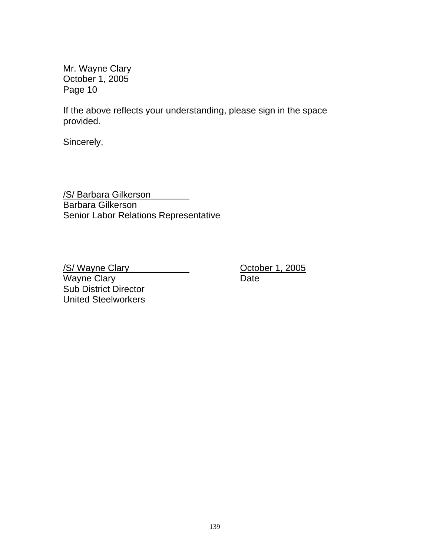Mr. Wayne Clary October 1, 2005 Page 10

If the above reflects your understanding, please sign in the space provided.

Sincerely,

/S/ Barbara Gilkerson Barbara Gilkerson Senior Labor Relations Representative

/S/ Wayne Clary Controller 1, 2005 Wayne Clary **Date** Sub District Director United Steelworkers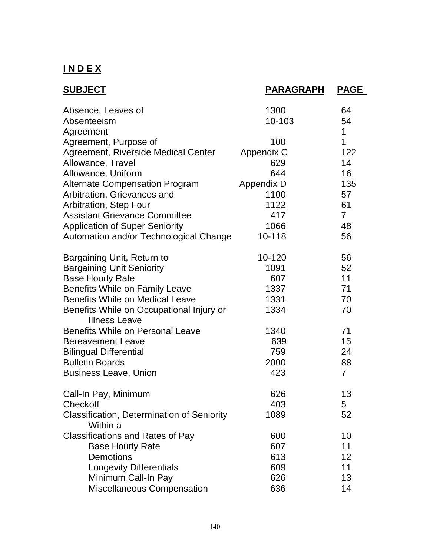## **I N D E X**

| <b>SUBJECT</b>                                                   | <b>PARAGRAPH</b> | <b>PAGE</b>    |
|------------------------------------------------------------------|------------------|----------------|
| Absence, Leaves of                                               | 1300             | 64             |
| Absenteeism                                                      | 10-103           | 54             |
| Agreement                                                        |                  | 1              |
| Agreement, Purpose of                                            | 100              | $\overline{1}$ |
| Agreement, Riverside Medical Center                              | Appendix C       | 122            |
| Allowance, Travel                                                | 629              | 14             |
| Allowance, Uniform                                               | 644              | 16             |
| <b>Alternate Compensation Program</b>                            | Appendix D       | 135            |
| Arbitration, Grievances and                                      | 1100             | 57             |
| Arbitration, Step Four                                           | 1122             | 61             |
| <b>Assistant Grievance Committee</b>                             | 417              | $\overline{7}$ |
| <b>Application of Super Seniority</b>                            | 1066             | 48             |
| Automation and/or Technological Change                           | 10-118           | 56             |
| Bargaining Unit, Return to                                       | $10 - 120$       | 56             |
| <b>Bargaining Unit Seniority</b>                                 | 1091             | 52             |
| <b>Base Hourly Rate</b>                                          | 607              | 11             |
| <b>Benefits While on Family Leave</b>                            | 1337             | 71             |
| <b>Benefits While on Medical Leave</b>                           | 1331             | 70             |
| Benefits While on Occupational Injury or<br><b>Illness Leave</b> | 1334             | 70             |
| <b>Benefits While on Personal Leave</b>                          | 1340             | 71             |
| <b>Bereavement Leave</b>                                         | 639              | 15             |
|                                                                  | 759              | 24             |
| <b>Bilingual Differential</b><br><b>Bulletin Boards</b>          | 2000             | 88             |
|                                                                  | 423              | $\overline{7}$ |
| <b>Business Leave, Union</b>                                     |                  |                |
| Call-In Pay, Minimum                                             | 626              | 13             |
| Checkoff                                                         | 403              | 5              |
| <b>Classification, Determination of Seniority</b><br>Within a    | 1089             | 52             |
| <b>Classifications and Rates of Pay</b>                          | 600              | 10             |
| <b>Base Hourly Rate</b>                                          | 607              | 11             |
| Demotions                                                        | 613              | 12             |
| <b>Longevity Differentials</b>                                   | 609              | 11             |
| Minimum Call-In Pay                                              | 626              | 13             |
| <b>Miscellaneous Compensation</b>                                | 636              | 14             |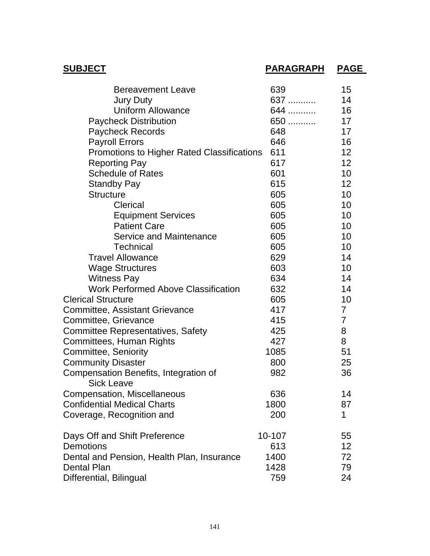| <b>SUBJECT</b>                                             | PARAGRAPH | <b>PAGE</b>    |
|------------------------------------------------------------|-----------|----------------|
| <b>Bereavement Leave</b>                                   | 639       | 15             |
| <b>Jury Duty</b>                                           | 637       | 14             |
| <b>Uniform Allowance</b>                                   | 644       | 16             |
| <b>Paycheck Distribution</b>                               | 650       | 17             |
| <b>Paycheck Records</b>                                    | 648       | 17             |
| <b>Payroll Errors</b>                                      | 646       | 16             |
| <b>Promotions to Higher Rated Classifications</b>          | 611       | 12             |
| <b>Reporting Pay</b>                                       | 617       | 12             |
| <b>Schedule of Rates</b>                                   | 601       | 10             |
| <b>Standby Pay</b>                                         | 615       | 12             |
| <b>Structure</b>                                           | 605       | 10             |
| Clerical                                                   | 605       | 10             |
| <b>Equipment Services</b>                                  | 605       | 10             |
| <b>Patient Care</b>                                        | 605       | 10             |
| Service and Maintenance                                    | 605       | 10             |
| <b>Technical</b>                                           | 605       | 10             |
| <b>Travel Allowance</b>                                    | 629       | 14             |
| <b>Wage Structures</b>                                     | 603       | 10             |
| <b>Witness Pay</b>                                         | 634       | 14             |
| <b>Work Performed Above Classification</b>                 | 632       | 14             |
| <b>Clerical Structure</b>                                  | 605       | 10             |
| <b>Committee, Assistant Grievance</b>                      | 417       | $\overline{7}$ |
| Committee, Grievance                                       | 415       | $\overline{7}$ |
| <b>Committee Representatives, Safety</b>                   | 425       | 8              |
| Committees, Human Rights                                   | 427       | 8              |
| Committee, Seniority                                       | 1085      | 51             |
| <b>Community Disaster</b>                                  | 800       | 25             |
| Compensation Benefits, Integration of<br><b>Sick Leave</b> | 982       | 36             |
| <b>Compensation, Miscellaneous</b>                         | 636       | 14             |
| <b>Confidential Medical Charts</b>                         | 1800      | 87             |
| Coverage, Recognition and                                  | 200       | 1              |
| Days Off and Shift Preference                              | 10-107    | 55             |
| Demotions                                                  | 613       | 12             |
| Dental and Pension, Health Plan, Insurance                 | 1400      | 72             |
| <b>Dental Plan</b>                                         | 1428      | 79             |
| Differential, Bilingual                                    | 759       | 24             |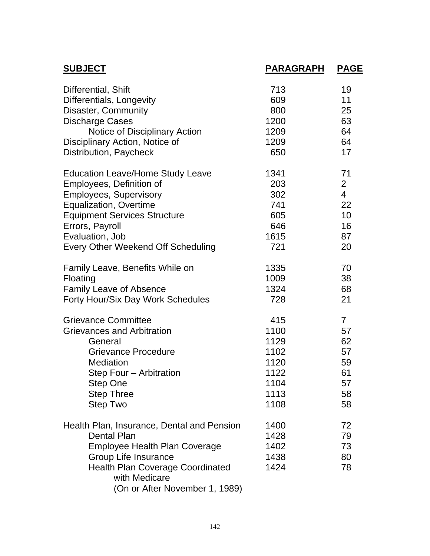| <b>SUBJECT</b>                                                                                                                                                                                                                 | PARAGRAPH                            | <b>PAGE</b>                |
|--------------------------------------------------------------------------------------------------------------------------------------------------------------------------------------------------------------------------------|--------------------------------------|----------------------------|
| Differential, Shift                                                                                                                                                                                                            | 713                                  | 19                         |
| Differentials, Longevity                                                                                                                                                                                                       | 609                                  | 11                         |
| Disaster, Community                                                                                                                                                                                                            | 800                                  | 25                         |
| <b>Discharge Cases</b>                                                                                                                                                                                                         | 1200                                 | 63                         |
| Notice of Disciplinary Action                                                                                                                                                                                                  | 1209                                 | 64                         |
| Disciplinary Action, Notice of                                                                                                                                                                                                 | 1209                                 | 64                         |
| Distribution, Paycheck                                                                                                                                                                                                         | 650                                  | 17                         |
| <b>Education Leave/Home Study Leave</b>                                                                                                                                                                                        | 1341                                 | 71                         |
| Employees, Definition of                                                                                                                                                                                                       | 203                                  | $\overline{2}$             |
| <b>Employees, Supervisory</b>                                                                                                                                                                                                  | 302                                  | $\overline{4}$             |
| <b>Equalization, Overtime</b>                                                                                                                                                                                                  | 741                                  | 22                         |
| <b>Equipment Services Structure</b>                                                                                                                                                                                            | 605                                  | 10                         |
| Errors, Payroll                                                                                                                                                                                                                | 646                                  | 16                         |
| Evaluation, Job                                                                                                                                                                                                                | 1615                                 | 87                         |
| <b>Every Other Weekend Off Scheduling</b>                                                                                                                                                                                      | 721                                  | 20                         |
| Family Leave, Benefits While on                                                                                                                                                                                                | 1335                                 | 70                         |
| Floating                                                                                                                                                                                                                       | 1009                                 | 38                         |
| <b>Family Leave of Absence</b>                                                                                                                                                                                                 | 1324                                 | 68                         |
| Forty Hour/Six Day Work Schedules                                                                                                                                                                                              | 728                                  | 21                         |
| <b>Grievance Committee</b>                                                                                                                                                                                                     | 415                                  | $\overline{7}$             |
| <b>Grievances and Arbitration</b>                                                                                                                                                                                              | 1100                                 | 57                         |
| General                                                                                                                                                                                                                        | 1129                                 | 62                         |
| <b>Grievance Procedure</b>                                                                                                                                                                                                     | 1102                                 | 57                         |
| <b>Mediation</b>                                                                                                                                                                                                               | 1120                                 | 59                         |
| Step Four - Arbitration                                                                                                                                                                                                        | 1122                                 | 61                         |
| Step One                                                                                                                                                                                                                       | 1104                                 | 57                         |
| <b>Step Three</b>                                                                                                                                                                                                              | 1113                                 | 58                         |
| Step Two                                                                                                                                                                                                                       | 1108                                 | 58                         |
| Health Plan, Insurance, Dental and Pension<br><b>Dental Plan</b><br><b>Employee Health Plan Coverage</b><br>Group Life Insurance<br><b>Health Plan Coverage Coordinated</b><br>with Medicare<br>(On or After November 1, 1989) | 1400<br>1428<br>1402<br>1438<br>1424 | 72<br>79<br>73<br>80<br>78 |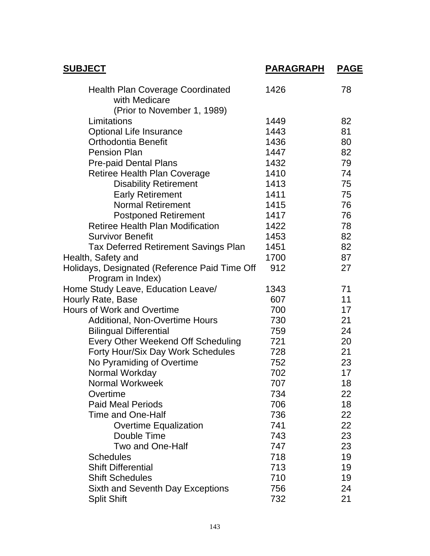| <b>SUBJECT</b>                                                     | <b>PARAGRAPH</b> | <b>PAGE</b> |
|--------------------------------------------------------------------|------------------|-------------|
| <b>Health Plan Coverage Coordinated</b><br>with Medicare           | 1426             | 78          |
| (Prior to November 1, 1989)                                        |                  |             |
| Limitations                                                        | 1449             | 82          |
| <b>Optional Life Insurance</b>                                     | 1443             | 81          |
| <b>Orthodontia Benefit</b>                                         | 1436             | 80          |
| <b>Pension Plan</b>                                                | 1447             | 82          |
| <b>Pre-paid Dental Plans</b>                                       | 1432             | 79          |
| Retiree Health Plan Coverage                                       | 1410             | 74          |
| <b>Disability Retirement</b>                                       | 1413             | 75          |
| <b>Early Retirement</b>                                            | 1411             | 75          |
| <b>Normal Retirement</b>                                           | 1415             | 76          |
| <b>Postponed Retirement</b>                                        | 1417             | 76          |
| <b>Retiree Health Plan Modification</b>                            | 1422             | 78          |
| <b>Survivor Benefit</b>                                            | 1453             | 82          |
| <b>Tax Deferred Retirement Savings Plan</b>                        | 1451             | 82          |
| Health, Safety and                                                 | 1700             | 87          |
| Holidays, Designated (Reference Paid Time Off<br>Program in Index) | 912              | 27          |
| Home Study Leave, Education Leave/                                 | 1343             | 71          |
| Hourly Rate, Base                                                  | 607              | 11          |
| Hours of Work and Overtime                                         | 700              | 17          |
| <b>Additional, Non-Overtime Hours</b>                              | 730              | 21          |
| <b>Bilingual Differential</b>                                      | 759              | 24          |
| <b>Every Other Weekend Off Scheduling</b>                          | 721              | 20          |
| Forty Hour/Six Day Work Schedules                                  | 728              | 21          |
| No Pyramiding of Overtime                                          | 752              | 23          |
| Normal Workday                                                     | 702              | 17          |
| <b>Normal Workweek</b>                                             | 707              | 18          |
| Overtime                                                           | 734              | 22          |
| <b>Paid Meal Periods</b>                                           | 706              | 18          |
| <b>Time and One-Half</b>                                           | 736              | 22          |
| <b>Overtime Equalization</b>                                       | 741              | 22          |
| Double Time                                                        | 743              | 23          |
| <b>Two and One-Half</b>                                            | 747              | 23          |
| <b>Schedules</b>                                                   | 718              | 19          |
| <b>Shift Differential</b>                                          | 713              | 19          |
| <b>Shift Schedules</b>                                             | 710              | 19          |
| <b>Sixth and Seventh Day Exceptions</b>                            | 756              | 24          |
| <b>Split Shift</b>                                                 | 732              | 21          |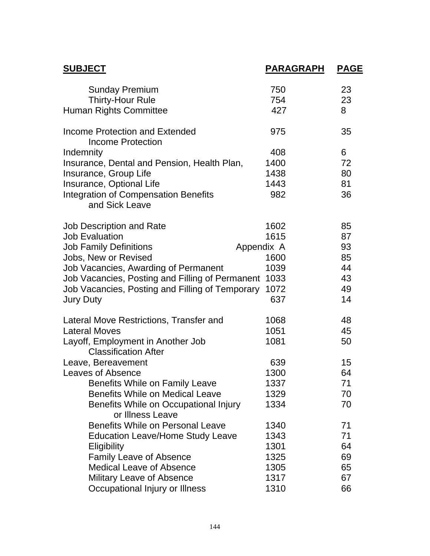| <b>SUBJECT</b>                                                   | <b>PARAGRAPH</b> | <b>PAGE</b> |
|------------------------------------------------------------------|------------------|-------------|
| <b>Sunday Premium</b>                                            | 750              | 23          |
| <b>Thirty-Hour Rule</b>                                          | 754              | 23          |
| Human Rights Committee                                           | 427              | 8           |
| Income Protection and Extended<br>Income Protection              | 975              | 35          |
| Indemnity                                                        | 408              | 6           |
| Insurance, Dental and Pension, Health Plan,                      | 1400             | 72          |
| Insurance, Group Life                                            | 1438             | 80          |
| Insurance, Optional Life                                         | 1443             | 81          |
| <b>Integration of Compensation Benefits</b><br>and Sick Leave    | 982              | 36          |
|                                                                  |                  |             |
| <b>Job Description and Rate</b>                                  | 1602             | 85          |
| <b>Job Evaluation</b>                                            | 1615             | 87          |
| <b>Job Family Definitions</b>                                    | Appendix A       | 93          |
| Jobs, New or Revised                                             | 1600             | 85          |
| Job Vacancies, Awarding of Permanent                             | 1039             | 44          |
| Job Vacancies, Posting and Filling of Permanent 1033             |                  | 43          |
| Job Vacancies, Posting and Filling of Temporary                  | 1072             | 49          |
| <b>Jury Duty</b>                                                 | 637              | 14          |
| Lateral Move Restrictions, Transfer and                          | 1068             | 48          |
| <b>Lateral Moves</b>                                             | 1051             | 45          |
| Layoff, Employment in Another Job<br><b>Classification After</b> | 1081             | 50          |
| Leave, Bereavement                                               | 639              | 15          |
| <b>Leaves of Absence</b>                                         | 1300             | 64          |
| Benefits While on Family Leave                                   | 1337             | 71          |
| <b>Benefits While on Medical Leave</b>                           | 1329             | 70          |
| Benefits While on Occupational Injury<br>or Illness Leave        | 1334             | 70          |
| <b>Benefits While on Personal Leave</b>                          | 1340             | 71          |
| <b>Education Leave/Home Study Leave</b>                          | 1343             | 71          |
| Eligibility                                                      | 1301             | 64          |
| <b>Family Leave of Absence</b>                                   | 1325             | 69          |
| <b>Medical Leave of Absence</b>                                  | 1305             | 65          |
| <b>Military Leave of Absence</b>                                 | 1317             | 67          |
| Occupational Injury or Illness                                   | 1310             | 66          |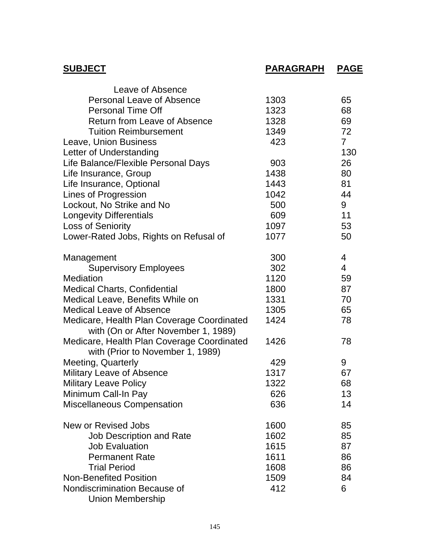| <b>SUBJECT</b>                                                                    | <b>PARAGRAPH</b> | <b>PAGE</b>    |
|-----------------------------------------------------------------------------------|------------------|----------------|
| Leave of Absence                                                                  |                  |                |
| <b>Personal Leave of Absence</b>                                                  | 1303             | 65             |
| <b>Personal Time Off</b>                                                          | 1323             | 68             |
| <b>Return from Leave of Absence</b>                                               | 1328             | 69             |
| <b>Tuition Reimbursement</b>                                                      | 1349             | 72             |
| Leave, Union Business                                                             | 423              | $\overline{7}$ |
| Letter of Understanding                                                           |                  | 130            |
| Life Balance/Flexible Personal Days                                               | 903              | 26             |
| Life Insurance, Group                                                             | 1438             | 80             |
| Life Insurance, Optional                                                          | 1443             | 81             |
| Lines of Progression                                                              | 1042             | 44             |
| Lockout, No Strike and No                                                         | 500              | 9              |
| <b>Longevity Differentials</b>                                                    | 609              | 11             |
| <b>Loss of Seniority</b>                                                          | 1097             | 53             |
| Lower-Rated Jobs, Rights on Refusal of                                            | 1077             | 50             |
| Management                                                                        | 300              | 4              |
| <b>Supervisory Employees</b>                                                      | 302              | $\overline{4}$ |
| <b>Mediation</b>                                                                  | 1120             | 59             |
| <b>Medical Charts, Confidential</b>                                               | 1800             | 87             |
| Medical Leave, Benefits While on                                                  | 1331             | 70             |
| <b>Medical Leave of Absence</b>                                                   | 1305             | 65             |
| Medicare, Health Plan Coverage Coordinated<br>with (On or After November 1, 1989) | 1424             | 78             |
| Medicare, Health Plan Coverage Coordinated<br>with (Prior to November 1, 1989)    | 1426             | 78             |
| <b>Meeting, Quarterly</b>                                                         | 429              | 9              |
| <b>Military Leave of Absence</b>                                                  | 1317             | 67             |
| <b>Military Leave Policy</b>                                                      | 1322             | 68             |
| Minimum Call-In Pay                                                               | 626              | 13             |
| Miscellaneous Compensation                                                        | 636              | 14             |
| New or Revised Jobs                                                               | 1600             | 85             |
| <b>Job Description and Rate</b>                                                   | 1602             | 85             |
| <b>Job Evaluation</b>                                                             | 1615             | 87             |
| <b>Permanent Rate</b>                                                             | 1611             | 86             |
| <b>Trial Period</b>                                                               | 1608             | 86             |
| <b>Non-Benefited Position</b>                                                     | 1509             | 84             |
| Nondiscrimination Because of                                                      | 412              | 6              |
| <b>Union Membership</b>                                                           |                  |                |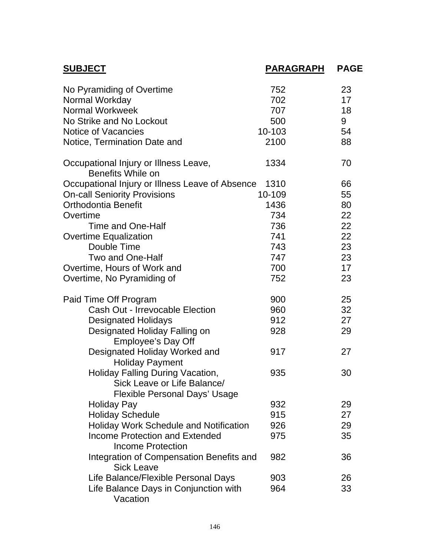| <b>SUBJECT</b>                                                                                          | PARAGRAPH | <b>PAGE</b> |
|---------------------------------------------------------------------------------------------------------|-----------|-------------|
| No Pyramiding of Overtime                                                                               | 752       | 23          |
| Normal Workday                                                                                          | 702       | 17          |
| <b>Normal Workweek</b>                                                                                  | 707       | 18          |
| No Strike and No Lockout                                                                                | 500       | 9           |
| Notice of Vacancies                                                                                     | 10-103    | 54          |
| Notice, Termination Date and                                                                            | 2100      | 88          |
| Occupational Injury or Illness Leave,<br><b>Benefits While on</b>                                       | 1334      | 70          |
| Occupational Injury or Illness Leave of Absence                                                         | 1310      | 66          |
| <b>On-call Seniority Provisions</b>                                                                     | 10-109    | 55          |
| <b>Orthodontia Benefit</b>                                                                              | 1436      | 80          |
| Overtime                                                                                                | 734       | 22          |
| Time and One-Half                                                                                       | 736       | 22          |
| <b>Overtime Equalization</b>                                                                            | 741       | 22          |
| Double Time                                                                                             | 743       | 23          |
| Two and One-Half                                                                                        | 747       | 23          |
| Overtime, Hours of Work and                                                                             | 700       | 17          |
| Overtime, No Pyramiding of                                                                              | 752       | 23          |
| Paid Time Off Program                                                                                   | 900       | 25          |
| Cash Out - Irrevocable Election                                                                         | 960       | 32          |
| <b>Designated Holidays</b>                                                                              | 912       | 27          |
| Designated Holiday Falling on<br><b>Employee's Day Off</b>                                              | 928       | 29          |
| Designated Holiday Worked and<br><b>Holiday Payment</b>                                                 | 917       | 27          |
| Holiday Falling During Vacation,<br>Sick Leave or Life Balance/<br><b>Flexible Personal Days' Usage</b> | 935       | 30          |
| <b>Holiday Pay</b>                                                                                      | 932       | 29          |
| <b>Holiday Schedule</b>                                                                                 | 915       | 27          |
| <b>Holiday Work Schedule and Notification</b>                                                           | 926       | 29          |
| <b>Income Protection and Extended</b><br><b>Income Protection</b>                                       | 975       | 35          |
| Integration of Compensation Benefits and<br><b>Sick Leave</b>                                           | 982       | 36          |
| Life Balance/Flexible Personal Days                                                                     | 903       | 26          |
| Life Balance Days in Conjunction with<br>Vacation                                                       | 964       | 33          |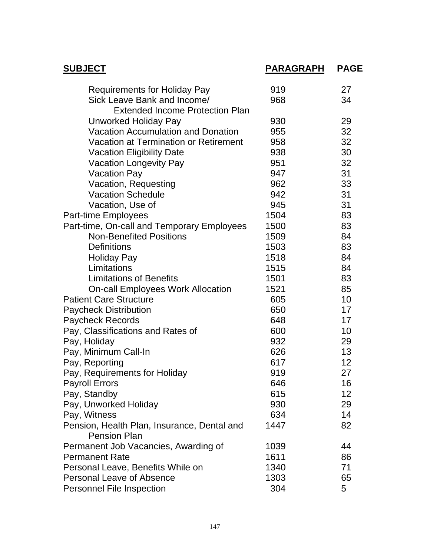| <b>SUBJECT</b>                                                     | <b>PARAGRAPH</b> | <b>PAGE</b> |
|--------------------------------------------------------------------|------------------|-------------|
| <b>Requirements for Holiday Pay</b>                                | 919              | 27          |
| Sick Leave Bank and Income/                                        | 968              | 34          |
| <b>Extended Income Protection Plan</b>                             |                  |             |
| Unworked Holiday Pay                                               | 930              | 29          |
| <b>Vacation Accumulation and Donation</b>                          | 955              | 32          |
| Vacation at Termination or Retirement                              | 958              | 32          |
| <b>Vacation Eligibility Date</b>                                   | 938              | 30          |
| <b>Vacation Longevity Pay</b>                                      | 951              | 32          |
| <b>Vacation Pay</b>                                                | 947              | 31          |
| Vacation, Requesting                                               | 962              | 33          |
| <b>Vacation Schedule</b>                                           | 942              | 31          |
| Vacation, Use of                                                   | 945              | 31          |
| Part-time Employees                                                | 1504             | 83          |
| Part-time, On-call and Temporary Employees                         | 1500             | 83          |
| <b>Non-Benefited Positions</b>                                     | 1509             | 84          |
| <b>Definitions</b>                                                 | 1503             | 83          |
| <b>Holiday Pay</b>                                                 | 1518             | 84          |
| Limitations                                                        | 1515             | 84          |
| <b>Limitations of Benefits</b>                                     | 1501             | 83          |
| <b>On-call Employees Work Allocation</b>                           | 1521             | 85          |
| <b>Patient Care Structure</b>                                      | 605              | 10          |
| <b>Paycheck Distribution</b>                                       | 650              | 17          |
| <b>Paycheck Records</b>                                            | 648              | 17          |
| Pay, Classifications and Rates of                                  | 600              | 10          |
| Pay, Holiday                                                       | 932              | 29          |
| Pay, Minimum Call-In                                               | 626              | 13          |
| Pay, Reporting                                                     | 617              | 12          |
| Pay, Requirements for Holiday                                      | 919              | 27          |
| <b>Payroll Errors</b>                                              | 646              | 16          |
| Pay, Standby                                                       | 615              | 12          |
| Pay, Unworked Holiday                                              | 930              | 29          |
| Pay, Witness                                                       | 634              | 14          |
| Pension, Health Plan, Insurance, Dental and<br><b>Pension Plan</b> | 1447             | 82          |
| Permanent Job Vacancies, Awarding of                               | 1039             | 44          |
| <b>Permanent Rate</b>                                              | 1611             | 86          |
| Personal Leave, Benefits While on                                  | 1340             | 71          |
| <b>Personal Leave of Absence</b>                                   | 1303             | 65          |
| Personnel File Inspection                                          | 304              | 5           |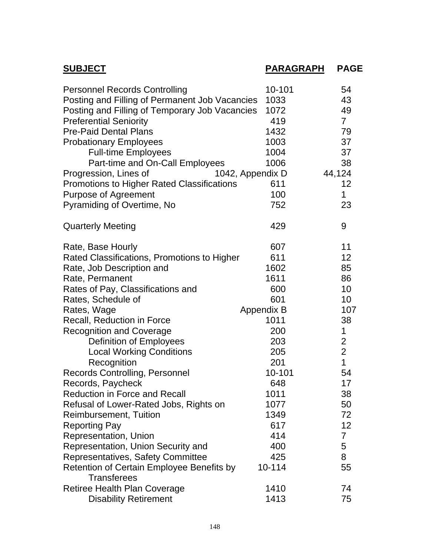| <b>SUBJECT</b>                                                                         | <b>PARAGRAPH</b>  | <b>PAGE</b>             |
|----------------------------------------------------------------------------------------|-------------------|-------------------------|
| <b>Personnel Records Controlling</b><br>Posting and Filling of Permanent Job Vacancies | 10-101<br>1033    | 54<br>43                |
| Posting and Filling of Temporary Job Vacancies                                         | 1072              | 49                      |
| <b>Preferential Seniority</b>                                                          | 419               | $\overline{7}$          |
| <b>Pre-Paid Dental Plans</b>                                                           | 1432              | 79                      |
| <b>Probationary Employees</b>                                                          | 1003              | 37                      |
| <b>Full-time Employees</b>                                                             | 1004              | 37                      |
| Part-time and On-Call Employees                                                        | 1006              | 38                      |
| Progression, Lines of                                                                  | 1042, Appendix D  | 44,124                  |
| <b>Promotions to Higher Rated Classifications</b>                                      | 611               | 12                      |
| <b>Purpose of Agreement</b>                                                            | 100               | 1                       |
| Pyramiding of Overtime, No                                                             | 752               | 23                      |
| <b>Quarterly Meeting</b>                                                               | 429               | 9                       |
| Rate, Base Hourly                                                                      | 607               | 11                      |
| Rated Classifications, Promotions to Higher                                            | 611               | 12                      |
| Rate, Job Description and                                                              | 1602              | 85                      |
| Rate, Permanent                                                                        | 1611              | 86                      |
| Rates of Pay, Classifications and                                                      | 600               | 10                      |
| Rates, Schedule of                                                                     | 601               | 10                      |
| Rates, Wage                                                                            | <b>Appendix B</b> | 107                     |
| Recall, Reduction in Force                                                             | 1011              | 38                      |
| <b>Recognition and Coverage</b>                                                        | 200               | 1                       |
| Definition of Employees                                                                | 203               | $\overline{\mathbf{c}}$ |
| <b>Local Working Conditions</b>                                                        | 205               | $\overline{c}$          |
| Recognition                                                                            | 201               | $\overline{1}$          |
| <b>Records Controlling, Personnel</b>                                                  | 10-101            | 54                      |
| Records, Paycheck                                                                      | 648               | 17                      |
| <b>Reduction in Force and Recall</b>                                                   | 1011              | 38                      |
| Refusal of Lower-Rated Jobs, Rights on                                                 | 1077              | 50                      |
| <b>Reimbursement, Tuition</b>                                                          | 1349              | 72                      |
| <b>Reporting Pay</b>                                                                   | 617               | 12                      |
| Representation, Union                                                                  | 414               | 7                       |
| Representation, Union Security and                                                     | 400               | 5                       |
| Representatives, Safety Committee                                                      | 425               | 8                       |
| Retention of Certain Employee Benefits by<br><b>Transferees</b>                        | 10-114            | 55                      |
|                                                                                        | 1410              | 74                      |
| <b>Retiree Health Plan Coverage</b>                                                    | 1413              | 75                      |
| <b>Disability Retirement</b>                                                           |                   |                         |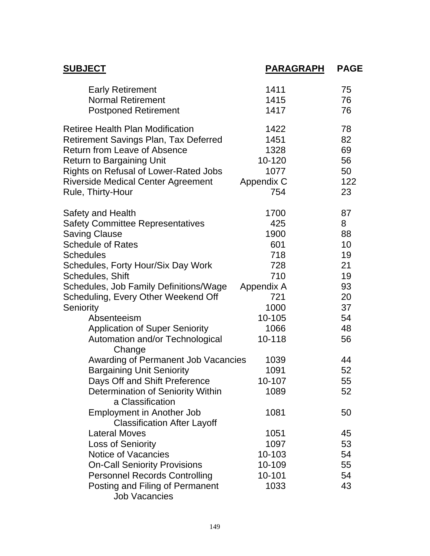| <b>SUBJECT</b>                                        | <b>PARAGRAPH</b> | <b>PAGE</b> |
|-------------------------------------------------------|------------------|-------------|
| <b>Early Retirement</b>                               | 1411             | 75          |
| <b>Normal Retirement</b>                              | 1415             | 76          |
| <b>Postponed Retirement</b>                           | 1417             | 76          |
| <b>Retiree Health Plan Modification</b>               | 1422             | 78          |
| <b>Retirement Savings Plan, Tax Deferred</b>          | 1451             | 82          |
| <b>Return from Leave of Absence</b>                   | 1328             | 69          |
| <b>Return to Bargaining Unit</b>                      | 10-120           | 56          |
| <b>Rights on Refusal of Lower-Rated Jobs</b>          | 1077             | 50          |
| <b>Riverside Medical Center Agreement</b>             | Appendix C       | 122         |
| Rule, Thirty-Hour                                     | 754              | 23          |
| Safety and Health                                     | 1700             | 87          |
| <b>Safety Committee Representatives</b>               | 425              | 8           |
| <b>Saving Clause</b>                                  | 1900             | 88          |
| <b>Schedule of Rates</b>                              | 601              | 10          |
| <b>Schedules</b>                                      | 718              | 19          |
| Schedules, Forty Hour/Six Day Work                    | 728              | 21          |
| Schedules, Shift                                      | 710              | 19          |
| Schedules, Job Family Definitions/Wage                | Appendix A       | 93          |
| Scheduling, Every Other Weekend Off                   | 721              | 20          |
| Seniority                                             | 1000             | 37          |
| Absenteeism                                           | 10-105           | 54          |
| <b>Application of Super Seniority</b>                 | 1066             | 48          |
| Automation and/or Technological<br>Change             | 10-118           | 56          |
| Awarding of Permanent Job Vacancies                   | 1039             | 44          |
| <b>Bargaining Unit Seniority</b>                      | 1091             | 52          |
| Days Off and Shift Preference                         | 10-107           | 55          |
| Determination of Seniority Within<br>a Classification | 1089             | 52          |
| <b>Employment in Another Job</b>                      | 1081             | 50          |
| <b>Classification After Layoff</b>                    |                  |             |
| <b>Lateral Moves</b>                                  | 1051             | 45          |
| <b>Loss of Seniority</b>                              | 1097             | 53          |
| <b>Notice of Vacancies</b>                            | 10-103           | 54          |
| <b>On-Call Seniority Provisions</b>                   | 10-109           | 55          |
| <b>Personnel Records Controlling</b>                  | 10-101           | 54          |
| Posting and Filing of Permanent                       | 1033             | 43          |
| <b>Job Vacancies</b>                                  |                  |             |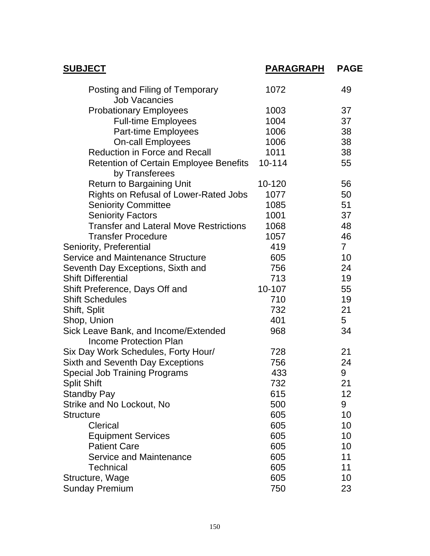| <b>SUBJECT</b>                                                        | <u>PARAGRAPH</u> | <b>PAGE</b>    |
|-----------------------------------------------------------------------|------------------|----------------|
| Posting and Filing of Temporary<br><b>Job Vacancies</b>               | 1072             | 49             |
| <b>Probationary Employees</b>                                         | 1003             | 37             |
| <b>Full-time Employees</b>                                            | 1004             | 37             |
| Part-time Employees                                                   | 1006             | 38             |
| <b>On-call Employees</b>                                              | 1006             | 38             |
| <b>Reduction in Force and Recall</b>                                  | 1011             | 38             |
| Retention of Certain Employee Benefits<br>by Transferees              | 10-114           | 55             |
| <b>Return to Bargaining Unit</b>                                      | 10-120           | 56             |
| Rights on Refusal of Lower-Rated Jobs                                 | 1077             | 50             |
| <b>Seniority Committee</b>                                            | 1085             | 51             |
| <b>Seniority Factors</b>                                              | 1001             | 37             |
| <b>Transfer and Lateral Move Restrictions</b>                         | 1068             | 48             |
| <b>Transfer Procedure</b>                                             | 1057             | 46             |
| Seniority, Preferential                                               | 419              | 7 <sup>1</sup> |
| <b>Service and Maintenance Structure</b>                              | 605              | 10             |
| Seventh Day Exceptions, Sixth and                                     | 756              | 24             |
| <b>Shift Differential</b>                                             | 713              | 19             |
| Shift Preference, Days Off and                                        | 10-107           | 55             |
| <b>Shift Schedules</b>                                                | 710              | 19             |
| Shift, Split                                                          | 732              | 21             |
| Shop, Union                                                           | 401              | 5              |
| Sick Leave Bank, and Income/Extended<br><b>Income Protection Plan</b> | 968              | 34             |
| Six Day Work Schedules, Forty Hour/                                   | 728              | 21             |
| <b>Sixth and Seventh Day Exceptions</b>                               | 756              | 24             |
| <b>Special Job Training Programs</b>                                  | 433              | 9              |
| <b>Split Shift</b>                                                    | 732              | 21             |
| <b>Standby Pay</b>                                                    | 615              | 12             |
| Strike and No Lockout, No                                             | 500              | 9              |
| <b>Structure</b>                                                      | 605              | 10             |
| Clerical                                                              | 605              | 10             |
| <b>Equipment Services</b>                                             | 605              | 10             |
| <b>Patient Care</b>                                                   | 605              | 10             |
| <b>Service and Maintenance</b>                                        | 605              | 11             |
| <b>Technical</b>                                                      | 605              | 11             |
| Structure, Wage                                                       | 605              | 10             |
| <b>Sunday Premium</b>                                                 | 750              | 23             |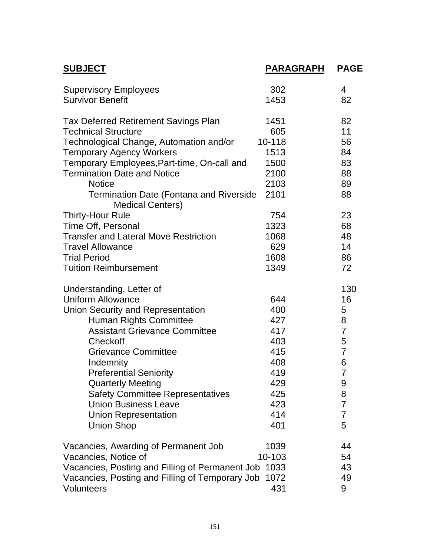| <b>SUBJECT</b>                                                            | <b>PARAGRAPH</b> | <b>PAGE</b>    |
|---------------------------------------------------------------------------|------------------|----------------|
| <b>Supervisory Employees</b>                                              | 302              | 4              |
| <b>Survivor Benefit</b>                                                   | 1453             | 82             |
| <b>Tax Deferred Retirement Savings Plan</b>                               | 1451             | 82             |
| <b>Technical Structure</b>                                                | 605              | 11             |
| Technological Change, Automation and/or                                   | 10-118           | 56             |
| <b>Temporary Agency Workers</b>                                           | 1513             | 84             |
| Temporary Employees, Part-time, On-call and                               | 1500             | 83             |
| <b>Termination Date and Notice</b>                                        | 2100             | 88             |
| <b>Notice</b>                                                             | 2103             | 89             |
| <b>Termination Date (Fontana and Riverside</b><br><b>Medical Centers)</b> | 2101             | 88             |
| <b>Thirty-Hour Rule</b>                                                   | 754              | 23             |
| Time Off, Personal                                                        | 1323             | 68             |
| <b>Transfer and Lateral Move Restriction</b>                              | 1068             | 48             |
| <b>Travel Allowance</b>                                                   | 629              | 14             |
| <b>Trial Period</b>                                                       | 1608             | 86             |
| <b>Tuition Reimbursement</b>                                              | 1349             | 72             |
| Understanding, Letter of                                                  |                  | 130            |
| <b>Uniform Allowance</b>                                                  | 644              | 16             |
| <b>Union Security and Representation</b>                                  | 400              | 5              |
| Human Rights Committee                                                    | 427              | 8              |
| <b>Assistant Grievance Committee</b>                                      | 417              | $\overline{7}$ |
| Checkoff                                                                  | 403              | 5              |
| <b>Grievance Committee</b>                                                | 415              | $\overline{7}$ |
| Indemnity                                                                 | 408              | 6              |
| <b>Preferential Seniority</b>                                             | 419              | $\overline{7}$ |
| <b>Quarterly Meeting</b>                                                  | 429              | 9              |
| <b>Safety Committee Representatives</b>                                   | 425              | 8              |
| <b>Union Business Leave</b>                                               | 423              | $\overline{7}$ |
| <b>Union Representation</b>                                               | 414              | $\overline{7}$ |
| <b>Union Shop</b>                                                         | 401              | 5              |
| Vacancies, Awarding of Permanent Job                                      | 1039             | 44             |
| Vacancies, Notice of                                                      | 10-103           | 54             |
| Vacancies, Posting and Filling of Permanent Job                           | 1033             | 43             |
| Vacancies, Posting and Filling of Temporary Job                           | 1072             | 49             |
| <b>Volunteers</b>                                                         | 431              | 9              |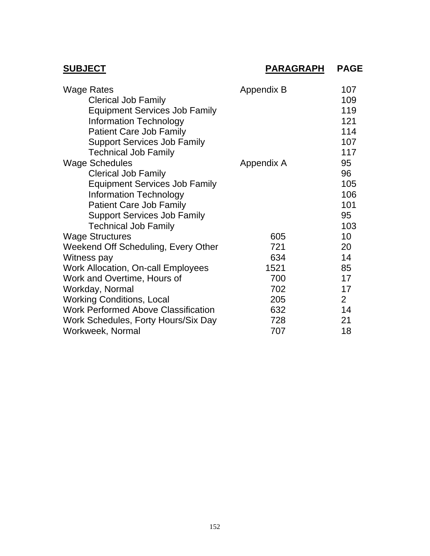## **SUBJECT PARAGRAPH PAGE**

| <b>Wage Rates</b>                          | Appendix B | 107            |
|--------------------------------------------|------------|----------------|
| <b>Clerical Job Family</b>                 |            | 109            |
| <b>Equipment Services Job Family</b>       |            | 119            |
| <b>Information Technology</b>              |            | 121            |
| <b>Patient Care Job Family</b>             |            | 114            |
| <b>Support Services Job Family</b>         |            | 107            |
| <b>Technical Job Family</b>                |            | 117            |
| <b>Wage Schedules</b>                      | Appendix A | 95             |
| <b>Clerical Job Family</b>                 |            | 96             |
| <b>Equipment Services Job Family</b>       |            | 105            |
| <b>Information Technology</b>              |            | 106            |
| <b>Patient Care Job Family</b>             |            | 101            |
| <b>Support Services Job Family</b>         |            | 95             |
| <b>Technical Job Family</b>                |            | 103            |
| <b>Wage Structures</b>                     | 605        | 10             |
| Weekend Off Scheduling, Every Other        | 721        | 20             |
| Witness pay                                | 634        | 14             |
| <b>Work Allocation, On-call Employees</b>  | 1521       | 85             |
| Work and Overtime, Hours of                | 700        | 17             |
| Workday, Normal                            | 702        | 17             |
| <b>Working Conditions, Local</b>           | 205        | 2 <sup>1</sup> |
| <b>Work Performed Above Classification</b> | 632        | 14             |
| Work Schedules, Forty Hours/Six Day        | 728        | 21             |
| Workweek, Normal                           | 707        | 18             |